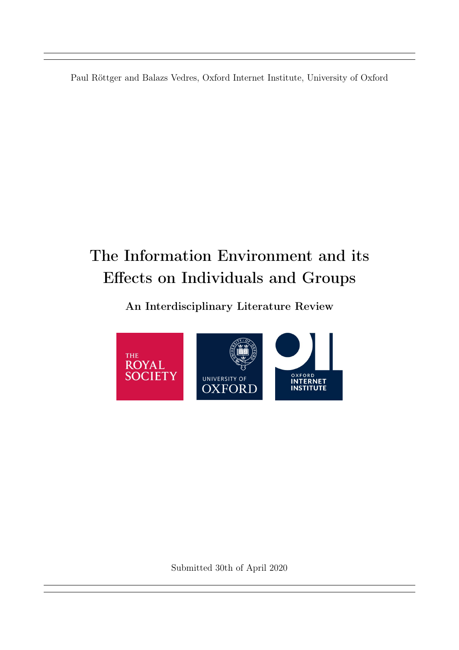<span id="page-0-0"></span>Paul Röttger and Balazs Vedres, Oxford Internet Institute, University of Oxford

# The Information Environment and its Effects on Individuals and Groups

# An Interdisciplinary Literature Review



Submitted 30th of April 2020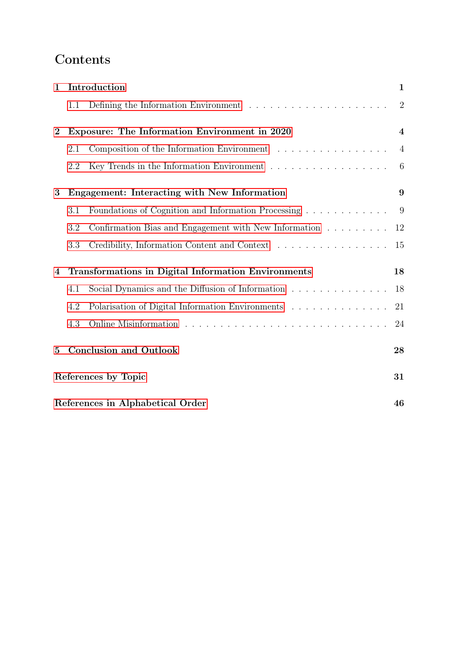# Contents

| $\mathbf{1}$     | Introduction                                               |                                                                                                                  | $\mathbf{1}$            |
|------------------|------------------------------------------------------------|------------------------------------------------------------------------------------------------------------------|-------------------------|
|                  | 1.1                                                        | Defining the Information Environment $\ldots \ldots \ldots \ldots \ldots \ldots \ldots$                          | $\overline{2}$          |
| $\boldsymbol{2}$ | Exposure: The Information Environment in 2020              |                                                                                                                  | $\overline{\mathbf{4}}$ |
|                  | 2.1                                                        | Composition of the Information Environment $\quad .\ \ .\ \ .\ \ .\ \ .\ \ .\ \ .\ \ .\ \ .\ \ .\ \ .\ \ .\ \ .$ | $\overline{4}$          |
|                  | 2.2                                                        |                                                                                                                  | $6\phantom{.}6$         |
| 3                | Engagement: Interacting with New Information               |                                                                                                                  | 9                       |
|                  | 3.1                                                        | Foundations of Cognition and Information Processing                                                              | 9                       |
|                  | 3.2                                                        | Confirmation Bias and Engagement with New Information $\ldots \ldots \ldots$                                     | 12                      |
|                  | 3.3                                                        | Credibility, Information Content and Context                                                                     | 15                      |
| 4                | <b>Transformations in Digital Information Environments</b> |                                                                                                                  | 18                      |
|                  | 4.1                                                        | Social Dynamics and the Diffusion of Information<br>$\hfill\ldots\ldots\ldots\ldots\ldots\ldots\ldots$           | 18                      |
|                  | 4.2                                                        | Polarisation of Digital Information Environments $\hfill\ldots\ldots\ldots\ldots\ldots\ldots\ldots$              | 21                      |
|                  | 4.3                                                        |                                                                                                                  | 24                      |
| 5                |                                                            | <b>Conclusion and Outlook</b>                                                                                    | 28                      |
|                  | References by Topic                                        |                                                                                                                  |                         |
|                  | References in Alphabetical Order<br>46                     |                                                                                                                  |                         |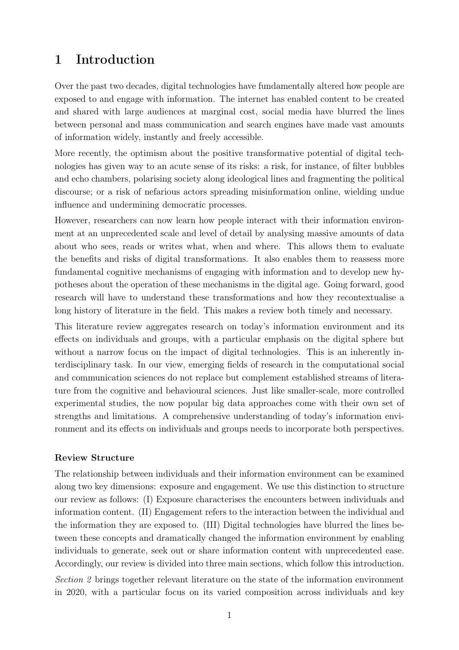# <span id="page-2-0"></span>1 Introduction

Over the past two decades, digital technologies have fundamentally altered how people are exposed to and engage with information. The internet has enabled content to be created and shared with large audiences at marginal cost, social media have blurred the lines between personal and mass communication and search engines have made vast amounts of information widely, instantly and freely accessible.

More recently, the optimism about the positive transformative potential of digital technologies has given way to an acute sense of its risks: a risk, for instance, of filter bubbles and echo chambers, polarising society along ideological lines and fragmenting the political discourse; or a risk of nefarious actors spreading misinformation online, wielding undue influence and undermining democratic processes.

However, researchers can now learn how people interact with their information environment at an unprecedented scale and level of detail by analysing massive amounts of data about who sees, reads or writes what, when and where. This allows them to evaluate the benefits and risks of digital transformations. It also enables them to reassess more fundamental cognitive mechanisms of engaging with information and to develop new hypotheses about the operation of these mechanisms in the digital age. Going forward, good research will have to understand these transformations and how they recontextualise a long history of literature in the field. This makes a review both timely and necessary.

This literature review aggregates research on today's information environment and its effects on individuals and groups, with a particular emphasis on the digital sphere but without a narrow focus on the impact of digital technologies. This is an inherently interdisciplinary task. In our view, emerging fields of research in the computational social and communication sciences do not replace but complement established streams of literature from the cognitive and behavioural sciences. Just like smaller-scale, more controlled experimental studies, the now popular big data approaches come with their own set of strengths and limitations. A comprehensive understanding of today's information environment and its effects on individuals and groups needs to incorporate both perspectives.

#### Review Structure

The relationship between individuals and their information environment can be examined along two key dimensions: exposure and engagement. We use this distinction to structure our review as follows: (I) Exposure characterises the encounters between individuals and information content. (II) Engagement refers to the interaction between the individual and the information they are exposed to. (III) Digital technologies have blurred the lines between these concepts and dramatically changed the information environment by enabling individuals to generate, seek out or share information content with unprecedented ease. Accordingly, our review is divided into three main sections, which follow this introduction. Section 2 brings together relevant literature on the state of the information environment in 2020, with a particular focus on its varied composition across individuals and key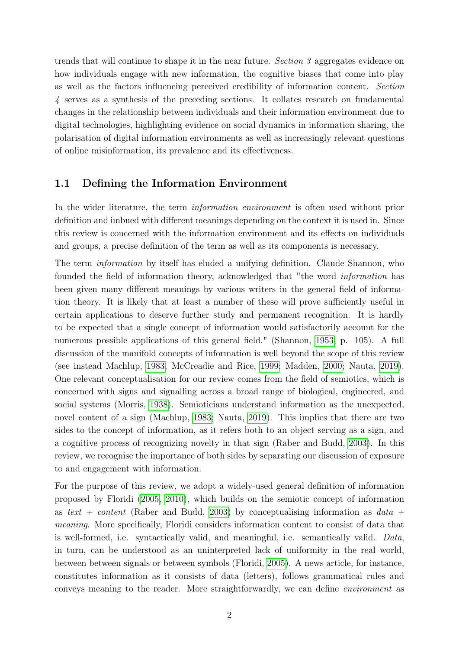trends that will continue to shape it in the near future. Section 3 aggregates evidence on how individuals engage with new information, the cognitive biases that come into play as well as the factors influencing perceived credibility of information content. Section 4 serves as a synthesis of the preceding sections. It collates research on fundamental changes in the relationship between individuals and their information environment due to digital technologies, highlighting evidence on social dynamics in information sharing, the polarisation of digital information environments as well as increasingly relevant questions of online misinformation, its prevalence and its effectiveness.

#### <span id="page-3-0"></span>1.1 Defining the Information Environment

In the wider literature, the term information environment is often used without prior definition and imbued with different meanings depending on the context it is used in. Since this review is concerned with the information environment and its effects on individuals and groups, a precise definition of the term as well as its components is necessary.

The term *information* by itself has eluded a unifying definition. Claude Shannon, who founded the field of information theory, acknowledged that "the word information has been given many different meanings by various writers in the general field of information theory. It is likely that at least a number of these will prove sufficiently useful in certain applications to deserve further study and permanent recognition. It is hardly to be expected that a single concept of information would satisfactorily account for the numerous possible applications of this general field." (Shannon, [1953,](#page-32-1) p. 105). A full discussion of the manifold concepts of information is well beyond the scope of this review (see instead Machlup, [1983;](#page-32-2) McCreadie and Rice, [1999;](#page-32-3) Madden, [2000;](#page-32-4) Nauta, [2019\)](#page-32-5). One relevant conceptualisation for our review comes from the field of semiotics, which is concerned with signs and signalling across a broad range of biological, engineered, and social systems (Morris, [1938\)](#page-32-6). Semioticians understand information as the unexpected, novel content of a sign (Machlup, [1983;](#page-32-2) Nauta, [2019\)](#page-32-5). This implies that there are two sides to the concept of information, as it refers both to an object serving as a sign, and a cognitive process of recognizing novelty in that sign (Raber and Budd, [2003\)](#page-32-7). In this review, we recognise the importance of both sides by separating our discussion of exposure to and engagement with information.

For the purpose of this review, we adopt a widely-used general definition of information proposed by Floridi [\(2005,](#page-32-8) [2010\)](#page-32-9), which builds on the semiotic concept of information as text + content (Raber and Budd, [2003\)](#page-32-7) by conceptualising information as data + meaning. More specifically, Floridi considers information content to consist of data that is well-formed, i.e. syntactically valid, and meaningful, i.e. semantically valid. Data, in turn, can be understood as an uninterpreted lack of uniformity in the real world, between between signals or between symbols (Floridi, [2005\)](#page-32-8). A news article, for instance, constitutes information as it consists of data (letters), follows grammatical rules and conveys meaning to the reader. More straightforwardly, we can define environment as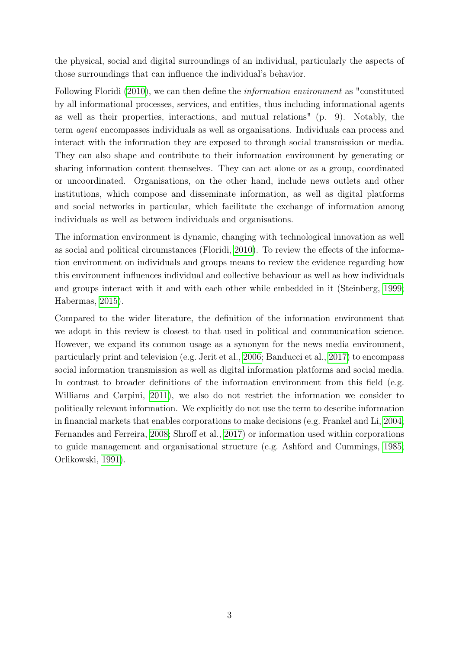the physical, social and digital surroundings of an individual, particularly the aspects of those surroundings that can influence the individual's behavior.

Following Floridi [\(2010\)](#page-32-9), we can then define the *information environment* as "constituted by all informational processes, services, and entities, thus including informational agents as well as their properties, interactions, and mutual relations" (p. 9). Notably, the term agent encompasses individuals as well as organisations. Individuals can process and interact with the information they are exposed to through social transmission or media. They can also shape and contribute to their information environment by generating or sharing information content themselves. They can act alone or as a group, coordinated or uncoordinated. Organisations, on the other hand, include news outlets and other institutions, which compose and disseminate information, as well as digital platforms and social networks in particular, which facilitate the exchange of information among individuals as well as between individuals and organisations.

The information environment is dynamic, changing with technological innovation as well as social and political circumstances (Floridi, [2010\)](#page-32-9). To review the effects of the information environment on individuals and groups means to review the evidence regarding how this environment influences individual and collective behaviour as well as how individuals and groups interact with it and with each other while embedded in it (Steinberg, [1999;](#page-32-10) Habermas, [2015\)](#page-32-11).

Compared to the wider literature, the definition of the information environment that we adopt in this review is closest to that used in political and communication science. However, we expand its common usage as a synonym for the news media environment, particularly print and television (e.g. Jerit et al., [2006;](#page-32-12) Banducci et al., [2017\)](#page-32-13) to encompass social information transmission as well as digital information platforms and social media. In contrast to broader definitions of the information environment from this field (e.g. Williams and Carpini, [2011\)](#page-32-14), we also do not restrict the information we consider to politically relevant information. We explicitly do not use the term to describe information in financial markets that enables corporations to make decisions (e.g. Frankel and Li, [2004;](#page-32-15) Fernandes and Ferreira, [2008;](#page-32-16) Shroff et al., [2017\)](#page-32-17) or information used within corporations to guide management and organisational structure (e.g. Ashford and Cummings, [1985;](#page-32-18) Orlikowski, [1991\)](#page-32-19).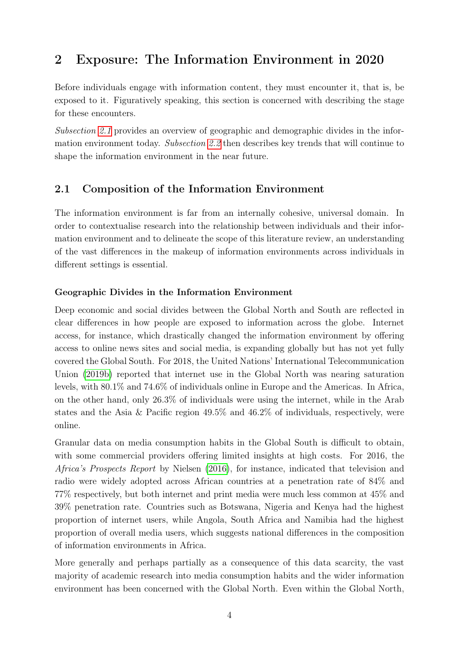# <span id="page-5-0"></span>2 Exposure: The Information Environment in 2020

Before individuals engage with information content, they must encounter it, that is, be exposed to it. Figuratively speaking, this section is concerned with describing the stage for these encounters.

Subsection [2.1](#page-5-1) provides an overview of geographic and demographic divides in the information environment today. Subsection [2.2](#page-7-0) then describes key trends that will continue to shape the information environment in the near future.

## <span id="page-5-1"></span>2.1 Composition of the Information Environment

The information environment is far from an internally cohesive, universal domain. In order to contextualise research into the relationship between individuals and their information environment and to delineate the scope of this literature review, an understanding of the vast differences in the makeup of information environments across individuals in different settings is essential.

### Geographic Divides in the Information Environment

Deep economic and social divides between the Global North and South are reflected in clear differences in how people are exposed to information across the globe. Internet access, for instance, which drastically changed the information environment by offering access to online news sites and social media, is expanding globally but has not yet fully covered the Global South. For 2018, the United Nations' International Telecommunication Union [\(2019b\)](#page-33-0) reported that internet use in the Global North was nearing saturation levels, with 80.1% and 74.6% of individuals online in Europe and the Americas. In Africa, on the other hand, only 26.3% of individuals were using the internet, while in the Arab states and the Asia & Pacific region 49.5% and 46.2% of individuals, respectively, were online.

Granular data on media consumption habits in the Global South is difficult to obtain, with some commercial providers offering limited insights at high costs. For 2016, the Africa's Prospects Report by Nielsen [\(2016\)](#page-33-1), for instance, indicated that television and radio were widely adopted across African countries at a penetration rate of 84% and 77% respectively, but both internet and print media were much less common at 45% and 39% penetration rate. Countries such as Botswana, Nigeria and Kenya had the highest proportion of internet users, while Angola, South Africa and Namibia had the highest proportion of overall media users, which suggests national differences in the composition of information environments in Africa.

More generally and perhaps partially as a consequence of this data scarcity, the vast majority of academic research into media consumption habits and the wider information environment has been concerned with the Global North. Even within the Global North,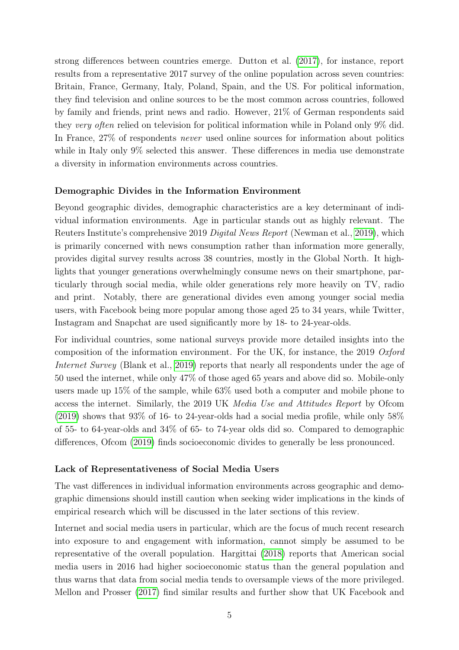strong differences between countries emerge. Dutton et al. [\(2017\)](#page-33-2), for instance, report results from a representative 2017 survey of the online population across seven countries: Britain, France, Germany, Italy, Poland, Spain, and the US. For political information, they find television and online sources to be the most common across countries, followed by family and friends, print news and radio. However, 21% of German respondents said they very often relied on television for political information while in Poland only 9% did. In France, 27% of respondents never used online sources for information about politics while in Italy only 9% selected this answer. These differences in media use demonstrate a diversity in information environments across countries.

#### Demographic Divides in the Information Environment

Beyond geographic divides, demographic characteristics are a key determinant of individual information environments. Age in particular stands out as highly relevant. The Reuters Institute's comprehensive 2019 Digital News Report (Newman et al., [2019\)](#page-33-3), which is primarily concerned with news consumption rather than information more generally, provides digital survey results across 38 countries, mostly in the Global North. It highlights that younger generations overwhelmingly consume news on their smartphone, particularly through social media, while older generations rely more heavily on TV, radio and print. Notably, there are generational divides even among younger social media users, with Facebook being more popular among those aged 25 to 34 years, while Twitter, Instagram and Snapchat are used significantly more by 18- to 24-year-olds.

For individual countries, some national surveys provide more detailed insights into the composition of the information environment. For the UK, for instance, the 2019 Oxford Internet Survey (Blank et al., [2019\)](#page-33-4) reports that nearly all respondents under the age of 50 used the internet, while only 47% of those aged 65 years and above did so. Mobile-only users made up 15% of the sample, while 63% used both a computer and mobile phone to access the internet. Similarly, the 2019 UK Media Use and Attitudes Report by Ofcom  $(2019)$  shows that 93% of 16- to 24-year-olds had a social media profile, while only 58% of 55- to 64-year-olds and 34% of 65- to 74-year olds did so. Compared to demographic differences, Ofcom [\(2019\)](#page-33-5) finds socioeconomic divides to generally be less pronounced.

#### Lack of Representativeness of Social Media Users

The vast differences in individual information environments across geographic and demographic dimensions should instill caution when seeking wider implications in the kinds of empirical research which will be discussed in the later sections of this review.

Internet and social media users in particular, which are the focus of much recent research into exposure to and engagement with information, cannot simply be assumed to be representative of the overall population. Hargittai [\(2018\)](#page-33-6) reports that American social media users in 2016 had higher socioeconomic status than the general population and thus warns that data from social media tends to oversample views of the more privileged. Mellon and Prosser [\(2017\)](#page-33-7) find similar results and further show that UK Facebook and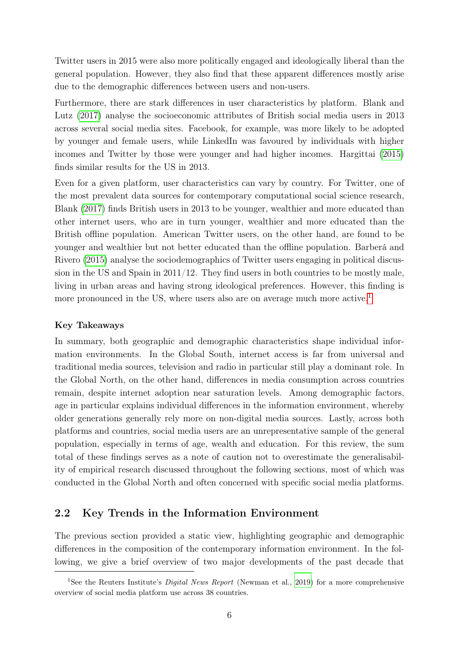Twitter users in 2015 were also more politically engaged and ideologically liberal than the general population. However, they also find that these apparent differences mostly arise due to the demographic differences between users and non-users.

Furthermore, there are stark differences in user characteristics by platform. Blank and Lutz [\(2017\)](#page-33-8) analyse the socioeconomic attributes of British social media users in 2013 across several social media sites. Facebook, for example, was more likely to be adopted by younger and female users, while LinkedIn was favoured by individuals with higher incomes and Twitter by those were younger and had higher incomes. Hargittai [\(2015\)](#page-33-9) finds similar results for the US in 2013.

Even for a given platform, user characteristics can vary by country. For Twitter, one of the most prevalent data sources for contemporary computational social science research, Blank [\(2017\)](#page-33-10) finds British users in 2013 to be younger, wealthier and more educated than other internet users, who are in turn younger, wealthier and more educated than the British offline population. American Twitter users, on the other hand, are found to be younger and wealthier but not better educated than the offline population. Barberá and Rivero [\(2015\)](#page-33-11) analyse the sociodemographics of Twitter users engaging in political discussion in the US and Spain in 2011/12. They find users in both countries to be mostly male, living in urban areas and having strong ideological preferences. However, this finding is more pronounced in the US, where users also are on average much more active.<sup>[1](#page-0-0)</sup>

#### Key Takeaways

In summary, both geographic and demographic characteristics shape individual information environments. In the Global South, internet access is far from universal and traditional media sources, television and radio in particular still play a dominant role. In the Global North, on the other hand, differences in media consumption across countries remain, despite internet adoption near saturation levels. Among demographic factors, age in particular explains individual differences in the information environment, whereby older generations generally rely more on non-digital media sources. Lastly, across both platforms and countries, social media users are an unrepresentative sample of the general population, especially in terms of age, wealth and education. For this review, the sum total of these findings serves as a note of caution not to overestimate the generalisability of empirical research discussed throughout the following sections, most of which was conducted in the Global North and often concerned with specific social media platforms.

#### <span id="page-7-0"></span>2.2 Key Trends in the Information Environment

The previous section provided a static view, highlighting geographic and demographic differences in the composition of the contemporary information environment. In the following, we give a brief overview of two major developments of the past decade that

<sup>&</sup>lt;sup>1</sup>See the Reuters Institute's *Digital News Report* (Newman et al., [2019\)](#page-33-3) for a more comprehensive overview of social media platform use across 38 countries.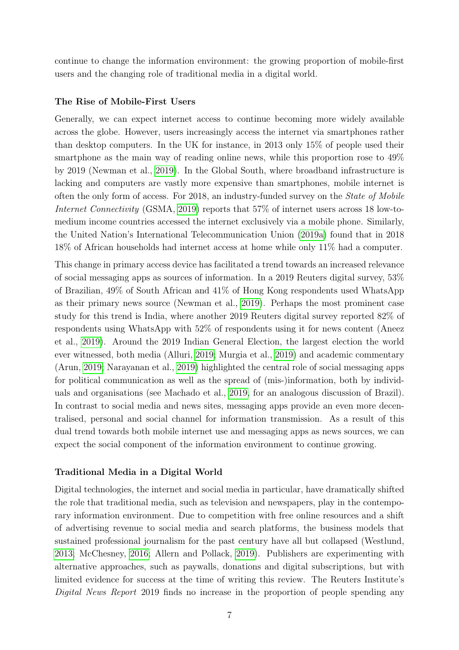continue to change the information environment: the growing proportion of mobile-first users and the changing role of traditional media in a digital world.

#### The Rise of Mobile-First Users

Generally, we can expect internet access to continue becoming more widely available across the globe. However, users increasingly access the internet via smartphones rather than desktop computers. In the UK for instance, in 2013 only 15% of people used their smartphone as the main way of reading online news, while this proportion rose to 49% by 2019 (Newman et al., [2019\)](#page-33-3). In the Global South, where broadband infrastructure is lacking and computers are vastly more expensive than smartphones, mobile internet is often the only form of access. For 2018, an industry-funded survey on the State of Mobile Internet Connectivity (GSMA, [2019\)](#page-34-0) reports that 57% of internet users across 18 low-tomedium income countries accessed the internet exclusively via a mobile phone. Similarly, the United Nation's International Telecommunication Union [\(2019a\)](#page-34-1) found that in 2018 18% of African households had internet access at home while only 11% had a computer.

This change in primary access device has facilitated a trend towards an increased relevance of social messaging apps as sources of information. In a 2019 Reuters digital survey, 53% of Brazilian, 49% of South African and 41% of Hong Kong respondents used WhatsApp as their primary news source (Newman et al., [2019\)](#page-33-3). Perhaps the most prominent case study for this trend is India, where another 2019 Reuters digital survey reported 82% of respondents using WhatsApp with 52% of respondents using it for news content (Aneez et al., [2019\)](#page-33-12). Around the 2019 Indian General Election, the largest election the world ever witnessed, both media (Alluri, [2019;](#page-33-13) Murgia et al., [2019\)](#page-34-2) and academic commentary (Arun, [2019;](#page-33-14) Narayanan et al., [2019\)](#page-34-3) highlighted the central role of social messaging apps for political communication as well as the spread of (mis-)information, both by individuals and organisations (see Machado et al., [2019,](#page-34-4) for an analogous discussion of Brazil). In contrast to social media and news sites, messaging apps provide an even more decentralised, personal and social channel for information transmission. As a result of this dual trend towards both mobile internet use and messaging apps as news sources, we can expect the social component of the information environment to continue growing.

#### Traditional Media in a Digital World

Digital technologies, the internet and social media in particular, have dramatically shifted the role that traditional media, such as television and newspapers, play in the contemporary information environment. Due to competition with free online resources and a shift of advertising revenue to social media and search platforms, the business models that sustained professional journalism for the past century have all but collapsed (Westlund, [2013;](#page-34-5) McChesney, [2016;](#page-34-6) Allern and Pollack, [2019\)](#page-33-15). Publishers are experimenting with alternative approaches, such as paywalls, donations and digital subscriptions, but with limited evidence for success at the time of writing this review. The Reuters Institute's Digital News Report 2019 finds no increase in the proportion of people spending any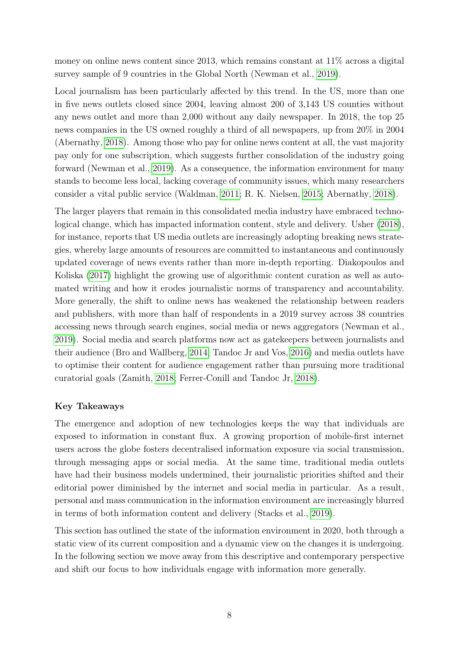money on online news content since 2013, which remains constant at 11% across a digital survey sample of 9 countries in the Global North (Newman et al., [2019\)](#page-33-3).

Local journalism has been particularly affected by this trend. In the US, more than one in five news outlets closed since 2004, leaving almost 200 of 3,143 US counties without any news outlet and more than 2,000 without any daily newspaper. In 2018, the top 25 news companies in the US owned roughly a third of all newspapers, up from 20% in 2004 (Abernathy, [2018\)](#page-33-16). Among those who pay for online news content at all, the vast majority pay only for one subscription, which suggests further consolidation of the industry going forward (Newman et al., [2019\)](#page-33-3). As a consequence, the information environment for many stands to become less local, lacking coverage of community issues, which many researchers consider a vital public service (Waldman, [2011;](#page-34-7) R. K. Nielsen, [2015;](#page-34-8) Abernathy, [2018\)](#page-33-16).

The larger players that remain in this consolidated media industry have embraced technological change, which has impacted information content, style and delivery. Usher [\(2018\)](#page-34-9), for instance, reports that US media outlets are increasingly adopting breaking news strategies, whereby large amounts of resources are committed to instantaneous and continuously updated coverage of news events rather than more in-depth reporting. Diakopoulos and Koliska [\(2017\)](#page-33-17) highlight the growing use of algorithmic content curation as well as automated writing and how it erodes journalistic norms of transparency and accountability. More generally, the shift to online news has weakened the relationship between readers and publishers, with more than half of respondents in a 2019 survey across 38 countries accessing news through search engines, social media or news aggregators (Newman et al., [2019\)](#page-33-3). Social media and search platforms now act as gatekeepers between journalists and their audience (Bro and Wallberg, [2014;](#page-33-18) Tandoc Jr and Vos, [2016\)](#page-34-10) and media outlets have to optimise their content for audience engagement rather than pursuing more traditional curatorial goals (Zamith, [2018;](#page-34-11) Ferrer-Conill and Tandoc Jr, [2018\)](#page-34-12).

#### Key Takeaways

The emergence and adoption of new technologies keeps the way that individuals are exposed to information in constant flux. A growing proportion of mobile-first internet users across the globe fosters decentralised information exposure via social transmission, through messaging apps or social media. At the same time, traditional media outlets have had their business models undermined, their journalistic priorities shifted and their editorial power diminished by the internet and social media in particular. As a result, personal and mass communication in the information environment are increasingly blurred in terms of both information content and delivery (Stacks et al., [2019\)](#page-34-13).

This section has outlined the state of the information environment in 2020, both through a static view of its current composition and a dynamic view on the changes it is undergoing. In the following section we move away from this descriptive and contemporary perspective and shift our focus to how individuals engage with information more generally.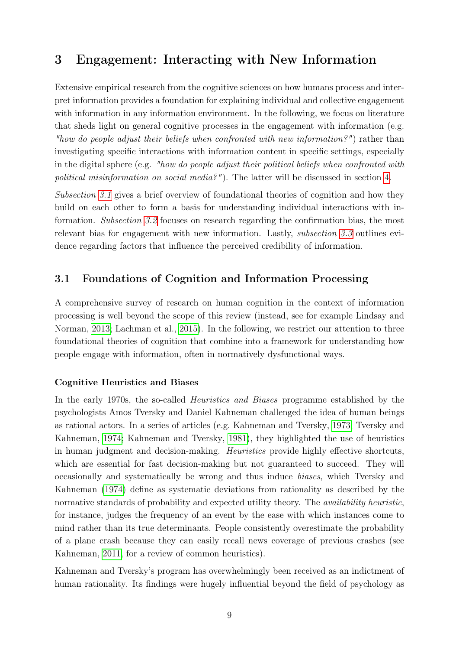# <span id="page-10-0"></span>3 Engagement: Interacting with New Information

Extensive empirical research from the cognitive sciences on how humans process and interpret information provides a foundation for explaining individual and collective engagement with information in any information environment. In the following, we focus on literature that sheds light on general cognitive processes in the engagement with information (e.g. "how do people adjust their beliefs when confronted with new information?") rather than investigating specific interactions with information content in specific settings, especially in the digital sphere (e.g. "how do people adjust their political beliefs when confronted with political misinformation on social media?"). The latter will be discussed in section [4.](#page-19-0)

Subsection [3.1](#page-10-1) gives a brief overview of foundational theories of cognition and how they build on each other to form a basis for understanding individual interactions with information. Subsection [3.2](#page-13-0) focuses on research regarding the confirmation bias, the most relevant bias for engagement with new information. Lastly, *subsection [3.3](#page-16-0)* outlines evidence regarding factors that influence the perceived credibility of information.

## <span id="page-10-1"></span>3.1 Foundations of Cognition and Information Processing

A comprehensive survey of research on human cognition in the context of information processing is well beyond the scope of this review (instead, see for example Lindsay and Norman, [2013;](#page-36-0) Lachman et al., [2015\)](#page-36-1). In the following, we restrict our attention to three foundational theories of cognition that combine into a framework for understanding how people engage with information, often in normatively dysfunctional ways.

#### Cognitive Heuristics and Biases

In the early 1970s, the so-called Heuristics and Biases programme established by the psychologists Amos Tversky and Daniel Kahneman challenged the idea of human beings as rational actors. In a series of articles (e.g. Kahneman and Tversky, [1973;](#page-35-0) Tversky and Kahneman, [1974;](#page-36-2) Kahneman and Tversky, [1981\)](#page-35-1), they highlighted the use of heuristics in human judgment and decision-making. Heuristics provide highly effective shortcuts, which are essential for fast decision-making but not guaranteed to succeed. They will occasionally and systematically be wrong and thus induce biases, which Tversky and Kahneman [\(1974\)](#page-36-2) define as systematic deviations from rationality as described by the normative standards of probability and expected utility theory. The *availability heuristic*, for instance, judges the frequency of an event by the ease with which instances come to mind rather than its true determinants. People consistently overestimate the probability of a plane crash because they can easily recall news coverage of previous crashes (see Kahneman, [2011,](#page-35-2) for a review of common heuristics).

Kahneman and Tversky's program has overwhelmingly been received as an indictment of human rationality. Its findings were hugely influential beyond the field of psychology as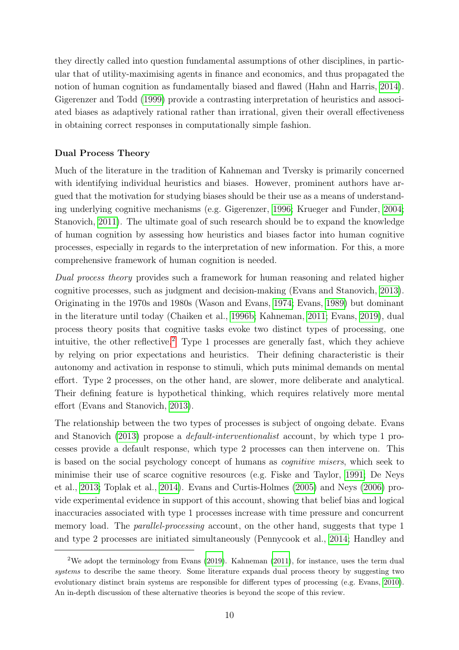they directly called into question fundamental assumptions of other disciplines, in particular that of utility-maximising agents in finance and economics, and thus propagated the notion of human cognition as fundamentally biased and flawed (Hahn and Harris, [2014\)](#page-35-3). Gigerenzer and Todd [\(1999\)](#page-35-4) provide a contrasting interpretation of heuristics and associated biases as adaptively rational rather than irrational, given their overall effectiveness in obtaining correct responses in computationally simple fashion.

#### Dual Process Theory

Much of the literature in the tradition of Kahneman and Tversky is primarily concerned with identifying individual heuristics and biases. However, prominent authors have argued that the motivation for studying biases should be their use as a means of understanding underlying cognitive mechanisms (e.g. Gigerenzer, [1996;](#page-35-5) Krueger and Funder, [2004;](#page-35-6) Stanovich, [2011\)](#page-36-3). The ultimate goal of such research should be to expand the knowledge of human cognition by assessing how heuristics and biases factor into human cognitive processes, especially in regards to the interpretation of new information. For this, a more comprehensive framework of human cognition is needed.

Dual process theory provides such a framework for human reasoning and related higher cognitive processes, such as judgment and decision-making (Evans and Stanovich, [2013\)](#page-35-7). Originating in the 1970s and 1980s (Wason and Evans, [1974;](#page-36-4) Evans, [1989\)](#page-35-8) but dominant in the literature until today (Chaiken et al., [1996b;](#page-35-9) Kahneman, [2011;](#page-35-2) Evans, [2019\)](#page-35-10), dual process theory posits that cognitive tasks evoke two distinct types of processing, one intuitive, the other reflective.<sup>[2](#page-0-0)</sup> Type 1 processes are generally fast, which they achieve by relying on prior expectations and heuristics. Their defining characteristic is their autonomy and activation in response to stimuli, which puts minimal demands on mental effort. Type 2 processes, on the other hand, are slower, more deliberate and analytical. Their defining feature is hypothetical thinking, which requires relatively more mental effort (Evans and Stanovich, [2013\)](#page-35-7).

The relationship between the two types of processes is subject of ongoing debate. Evans and Stanovich [\(2013\)](#page-35-7) propose a default-interventionalist account, by which type 1 processes provide a default response, which type 2 processes can then intervene on. This is based on the social psychology concept of humans as cognitive misers, which seek to minimise their use of scarce cognitive resources (e.g. Fiske and Taylor, [1991;](#page-35-11) De Neys et al., [2013;](#page-35-12) Toplak et al., [2014\)](#page-36-5). Evans and Curtis-Holmes [\(2005\)](#page-35-13) and Neys [\(2006\)](#page-36-6) provide experimental evidence in support of this account, showing that belief bias and logical inaccuracies associated with type 1 processes increase with time pressure and concurrent memory load. The *parallel-processing* account, on the other hand, suggests that type 1 and type 2 processes are initiated simultaneously (Pennycook et al., [2014;](#page-36-7) Handley and

<sup>&</sup>lt;sup>2</sup>We adopt the terminology from Evans  $(2019)$ . Kahneman  $(2011)$ , for instance, uses the term dual systems to describe the same theory. Some literature expands dual process theory by suggesting two evolutionary distinct brain systems are responsible for different types of processing (e.g. Evans, [2010\)](#page-35-14). An in-depth discussion of these alternative theories is beyond the scope of this review.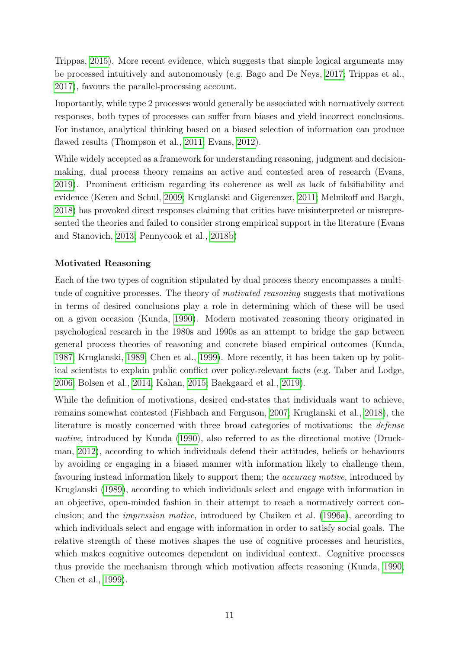Trippas, [2015\)](#page-35-15). More recent evidence, which suggests that simple logical arguments may be processed intuitively and autonomously (e.g. Bago and De Neys, [2017;](#page-34-14) Trippas et al., [2017\)](#page-36-8), favours the parallel-processing account.

Importantly, while type 2 processes would generally be associated with normatively correct responses, both types of processes can suffer from biases and yield incorrect conclusions. For instance, analytical thinking based on a biased selection of information can produce flawed results (Thompson et al., [2011;](#page-36-9) Evans, [2012\)](#page-35-16).

While widely accepted as a framework for understanding reasoning, judgment and decisionmaking, dual process theory remains an active and contested area of research (Evans, [2019\)](#page-35-10). Prominent criticism regarding its coherence as well as lack of falsifiability and evidence (Keren and Schul, [2009;](#page-35-17) Kruglanski and Gigerenzer, [2011;](#page-36-10) Melnikoff and Bargh, [2018\)](#page-36-11) has provoked direct responses claiming that critics have misinterpreted or misrepresented the theories and failed to consider strong empirical support in the literature (Evans and Stanovich, [2013;](#page-35-7) Pennycook et al., [2018b\)](#page-36-12)

### Motivated Reasoning

Each of the two types of cognition stipulated by dual process theory encompasses a multitude of cognitive processes. The theory of motivated reasoning suggests that motivations in terms of desired conclusions play a role in determining which of these will be used on a given occasion (Kunda, [1990\)](#page-36-13). Modern motivated reasoning theory originated in psychological research in the 1980s and 1990s as an attempt to bridge the gap between general process theories of reasoning and concrete biased empirical outcomes (Kunda, [1987;](#page-36-14) Kruglanski, [1989;](#page-36-15) Chen et al., [1999\)](#page-35-18). More recently, it has been taken up by political scientists to explain public conflict over policy-relevant facts (e.g. Taber and Lodge, [2006;](#page-36-16) Bolsen et al., [2014;](#page-34-15) Kahan, [2015;](#page-35-19) Baekgaard et al., [2019\)](#page-34-16).

While the definition of motivations, desired end-states that individuals want to achieve, remains somewhat contested (Fishbach and Ferguson, [2007;](#page-35-20) Kruglanski et al., [2018\)](#page-36-17), the literature is mostly concerned with three broad categories of motivations: the defense motive, introduced by Kunda [\(1990\)](#page-36-13), also referred to as the directional motive (Druckman, [2012\)](#page-35-21), according to which individuals defend their attitudes, beliefs or behaviours by avoiding or engaging in a biased manner with information likely to challenge them, favouring instead information likely to support them; the *accuracy motive*, introduced by Kruglanski [\(1989\)](#page-36-15), according to which individuals select and engage with information in an objective, open-minded fashion in their attempt to reach a normatively correct conclusion; and the impression motive, introduced by Chaiken et al. [\(1996a\)](#page-34-17), according to which individuals select and engage with information in order to satisfy social goals. The relative strength of these motives shapes the use of cognitive processes and heuristics, which makes cognitive outcomes dependent on individual context. Cognitive processes thus provide the mechanism through which motivation affects reasoning (Kunda, [1990;](#page-36-13) Chen et al., [1999\)](#page-35-18).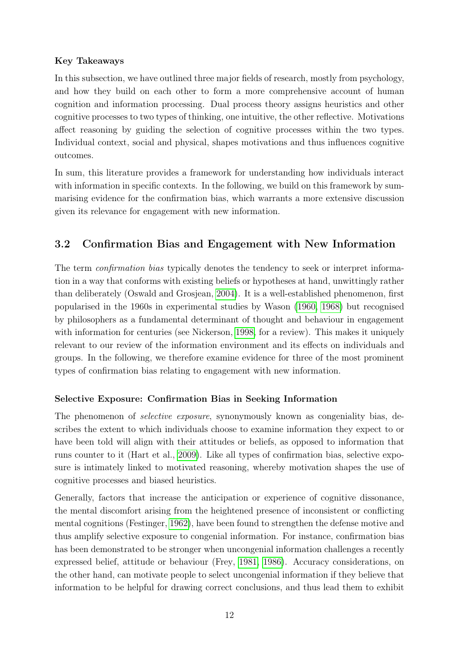#### Key Takeaways

In this subsection, we have outlined three major fields of research, mostly from psychology, and how they build on each other to form a more comprehensive account of human cognition and information processing. Dual process theory assigns heuristics and other cognitive processes to two types of thinking, one intuitive, the other reflective. Motivations affect reasoning by guiding the selection of cognitive processes within the two types. Individual context, social and physical, shapes motivations and thus influences cognitive outcomes.

In sum, this literature provides a framework for understanding how individuals interact with information in specific contexts. In the following, we build on this framework by summarising evidence for the confirmation bias, which warrants a more extensive discussion given its relevance for engagement with new information.

# <span id="page-13-0"></span>3.2 Confirmation Bias and Engagement with New Information

The term *confirmation bias* typically denotes the tendency to seek or interpret information in a way that conforms with existing beliefs or hypotheses at hand, unwittingly rather than deliberately (Oswald and Grosjean, [2004\)](#page-38-0). It is a well-established phenomenon, first popularised in the 1960s in experimental studies by Wason [\(1960,](#page-38-1) [1968\)](#page-39-0) but recognised by philosophers as a fundamental determinant of thought and behaviour in engagement with information for centuries (see Nickerson, [1998,](#page-38-2) for a review). This makes it uniquely relevant to our review of the information environment and its effects on individuals and groups. In the following, we therefore examine evidence for three of the most prominent types of confirmation bias relating to engagement with new information.

### Selective Exposure: Confirmation Bias in Seeking Information

The phenomenon of *selective exposure*, synonymously known as congeniality bias, describes the extent to which individuals choose to examine information they expect to or have been told will align with their attitudes or beliefs, as opposed to information that runs counter to it (Hart et al., [2009\)](#page-38-3). Like all types of confirmation bias, selective exposure is intimately linked to motivated reasoning, whereby motivation shapes the use of cognitive processes and biased heuristics.

Generally, factors that increase the anticipation or experience of cognitive dissonance, the mental discomfort arising from the heightened presence of inconsistent or conflicting mental cognitions (Festinger, [1962\)](#page-37-0), have been found to strengthen the defense motive and thus amplify selective exposure to congenial information. For instance, confirmation bias has been demonstrated to be stronger when uncongenial information challenges a recently expressed belief, attitude or behaviour (Frey, [1981,](#page-37-1) [1986\)](#page-37-2). Accuracy considerations, on the other hand, can motivate people to select uncongenial information if they believe that information to be helpful for drawing correct conclusions, and thus lead them to exhibit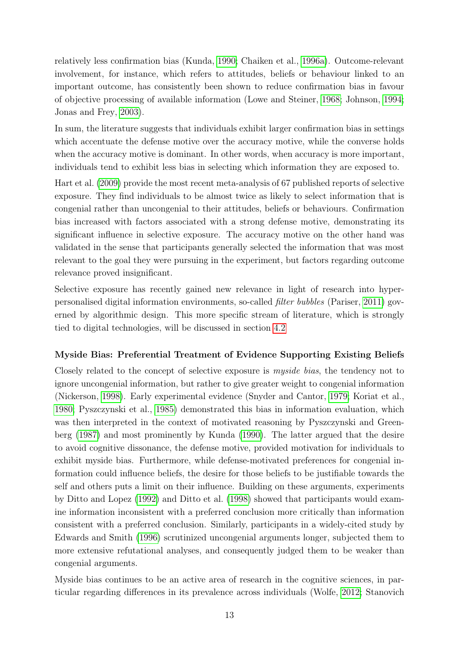relatively less confirmation bias (Kunda, [1990;](#page-36-13) Chaiken et al., [1996a\)](#page-34-17). Outcome-relevant involvement, for instance, which refers to attitudes, beliefs or behaviour linked to an important outcome, has consistently been shown to reduce confirmation bias in favour of objective processing of available information (Lowe and Steiner, [1968;](#page-38-4) Johnson, [1994;](#page-38-5) Jonas and Frey, [2003\)](#page-38-6).

In sum, the literature suggests that individuals exhibit larger confirmation bias in settings which accentuate the defense motive over the accuracy motive, while the converse holds when the accuracy motive is dominant. In other words, when accuracy is more important, individuals tend to exhibit less bias in selecting which information they are exposed to.

Hart et al. [\(2009\)](#page-38-3) provide the most recent meta-analysis of 67 published reports of selective exposure. They find individuals to be almost twice as likely to select information that is congenial rather than uncongenial to their attitudes, beliefs or behaviours. Confirmation bias increased with factors associated with a strong defense motive, demonstrating its significant influence in selective exposure. The accuracy motive on the other hand was validated in the sense that participants generally selected the information that was most relevant to the goal they were pursuing in the experiment, but factors regarding outcome relevance proved insignificant.

Selective exposure has recently gained new relevance in light of research into hyperpersonalised digital information environments, so-called filter bubbles (Pariser, [2011\)](#page-38-7) governed by algorithmic design. This more specific stream of literature, which is strongly tied to digital technologies, will be discussed in section [4.2](#page-22-0)

#### Myside Bias: Preferential Treatment of Evidence Supporting Existing Beliefs

Closely related to the concept of selective exposure is myside bias, the tendency not to ignore uncongenial information, but rather to give greater weight to congenial information (Nickerson, [1998\)](#page-38-2). Early experimental evidence (Snyder and Cantor, [1979;](#page-38-8) Koriat et al., [1980;](#page-38-9) Pyszczynski et al., [1985\)](#page-38-10) demonstrated this bias in information evaluation, which was then interpreted in the context of motivated reasoning by Pyszczynski and Greenberg [\(1987\)](#page-38-11) and most prominently by Kunda [\(1990\)](#page-36-13). The latter argued that the desire to avoid cognitive dissonance, the defense motive, provided motivation for individuals to exhibit myside bias. Furthermore, while defense-motivated preferences for congenial information could influence beliefs, the desire for those beliefs to be justifiable towards the self and others puts a limit on their influence. Building on these arguments, experiments by Ditto and Lopez [\(1992\)](#page-37-3) and Ditto et al. [\(1998\)](#page-37-4) showed that participants would examine information inconsistent with a preferred conclusion more critically than information consistent with a preferred conclusion. Similarly, participants in a widely-cited study by Edwards and Smith [\(1996\)](#page-37-5) scrutinized uncongenial arguments longer, subjected them to more extensive refutational analyses, and consequently judged them to be weaker than congenial arguments.

Myside bias continues to be an active area of research in the cognitive sciences, in particular regarding differences in its prevalence across individuals (Wolfe, [2012;](#page-39-1) Stanovich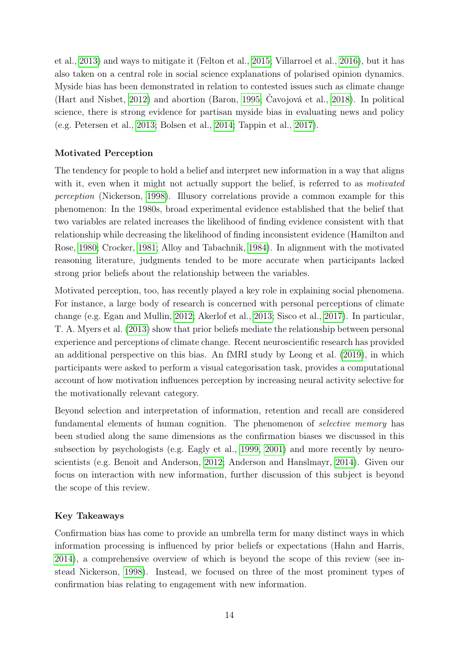et al., [2013\)](#page-38-12) and ways to mitigate it (Felton et al., [2015;](#page-37-6) Villarroel et al., [2016\)](#page-38-13), but it has also taken on a central role in social science explanations of polarised opinion dynamics. Myside bias has been demonstrated in relation to contested issues such as climate change (Hart and Nisbet, [2012\)](#page-37-7) and abortion (Baron, [1995;](#page-37-8) Čavojová et al., [2018\)](#page-37-9). In political science, there is strong evidence for partisan myside bias in evaluating news and policy (e.g. Petersen et al., [2013;](#page-38-14) Bolsen et al., [2014;](#page-34-15) Tappin et al., [2017\)](#page-38-15).

### Motivated Perception

The tendency for people to hold a belief and interpret new information in a way that aligns with it, even when it might not actually support the belief, is referred to as *motivated* perception (Nickerson, [1998\)](#page-38-2). Illusory correlations provide a common example for this phenomenon: In the 1980s, broad experimental evidence established that the belief that two variables are related increases the likelihood of finding evidence consistent with that relationship while decreasing the likelihood of finding inconsistent evidence (Hamilton and Rose, [1980;](#page-37-10) Crocker, [1981;](#page-37-11) Alloy and Tabachnik, [1984\)](#page-36-18). In alignment with the motivated reasoning literature, judgments tended to be more accurate when participants lacked strong prior beliefs about the relationship between the variables.

Motivated perception, too, has recently played a key role in explaining social phenomena. For instance, a large body of research is concerned with personal perceptions of climate change (e.g. Egan and Mullin, [2012;](#page-37-12) Akerlof et al., [2013;](#page-36-19) Sisco et al., [2017\)](#page-38-16). In particular, T. A. Myers et al. [\(2013\)](#page-38-17) show that prior beliefs mediate the relationship between personal experience and perceptions of climate change. Recent neuroscientific research has provided an additional perspective on this bias. An fMRI study by Leong et al. [\(2019\)](#page-38-18), in which participants were asked to perform a visual categorisation task, provides a computational account of how motivation influences perception by increasing neural activity selective for the motivationally relevant category.

Beyond selection and interpretation of information, retention and recall are considered fundamental elements of human cognition. The phenomenon of *selective memory* has been studied along the same dimensions as the confirmation biases we discussed in this subsection by psychologists (e.g. Eagly et al., [1999,](#page-37-13) [2001\)](#page-37-14) and more recently by neuroscientists (e.g. Benoit and Anderson, [2012;](#page-37-15) Anderson and Hanslmayr, [2014\)](#page-37-16). Given our focus on interaction with new information, further discussion of this subject is beyond the scope of this review.

### Key Takeaways

Confirmation bias has come to provide an umbrella term for many distinct ways in which information processing is influenced by prior beliefs or expectations (Hahn and Harris, [2014\)](#page-35-3), a comprehensive overview of which is beyond the scope of this review (see instead Nickerson, [1998\)](#page-38-2). Instead, we focused on three of the most prominent types of confirmation bias relating to engagement with new information.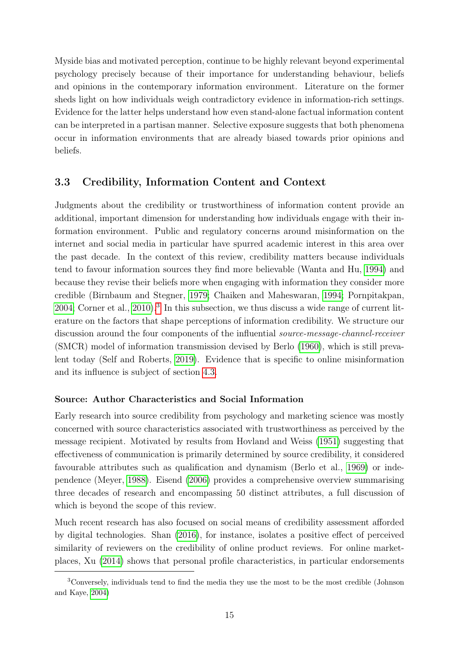Myside bias and motivated perception, continue to be highly relevant beyond experimental psychology precisely because of their importance for understanding behaviour, beliefs and opinions in the contemporary information environment. Literature on the former sheds light on how individuals weigh contradictory evidence in information-rich settings. Evidence for the latter helps understand how even stand-alone factual information content can be interpreted in a partisan manner. Selective exposure suggests that both phenomena occur in information environments that are already biased towards prior opinions and beliefs.

#### <span id="page-16-0"></span>3.3 Credibility, Information Content and Context

Judgments about the credibility or trustworthiness of information content provide an additional, important dimension for understanding how individuals engage with their information environment. Public and regulatory concerns around misinformation on the internet and social media in particular have spurred academic interest in this area over the past decade. In the context of this review, credibility matters because individuals tend to favour information sources they find more believable (Wanta and Hu, [1994\)](#page-40-0) and because they revise their beliefs more when engaging with information they consider more credible (Birnbaum and Stegner, [1979;](#page-39-2) Chaiken and Maheswaran, [1994;](#page-39-3) Pornpitakpan, [2004;](#page-40-1) Corner et al., [2010\)](#page-39-4).<sup>[3](#page-0-0)</sup> In this subsection, we thus discuss a wide range of current literature on the factors that shape perceptions of information credibility. We structure our discussion around the four components of the influential source-message-channel-receiver (SMCR) model of information transmission devised by Berlo [\(1960\)](#page-39-5), which is still prevalent today (Self and Roberts, [2019\)](#page-40-2). Evidence that is specific to online misinformation and its influence is subject of section [4.3.](#page-25-0)

#### Source: Author Characteristics and Social Information

Early research into source credibility from psychology and marketing science was mostly concerned with source characteristics associated with trustworthiness as perceived by the message recipient. Motivated by results from Hovland and Weiss [\(1951\)](#page-40-3) suggesting that effectiveness of communication is primarily determined by source credibility, it considered favourable attributes such as qualification and dynamism (Berlo et al., [1969\)](#page-39-6) or independence (Meyer, [1988\)](#page-40-4). Eisend [\(2006\)](#page-39-7) provides a comprehensive overview summarising three decades of research and encompassing 50 distinct attributes, a full discussion of which is beyond the scope of this review.

Much recent research has also focused on social means of credibility assessment afforded by digital technologies. Shan [\(2016\)](#page-40-5), for instance, isolates a positive effect of perceived similarity of reviewers on the credibility of online product reviews. For online marketplaces, Xu [\(2014\)](#page-41-0) shows that personal profile characteristics, in particular endorsements

<sup>3</sup>Conversely, individuals tend to find the media they use the most to be the most credible (Johnson and Kaye, [2004\)](#page-40-6)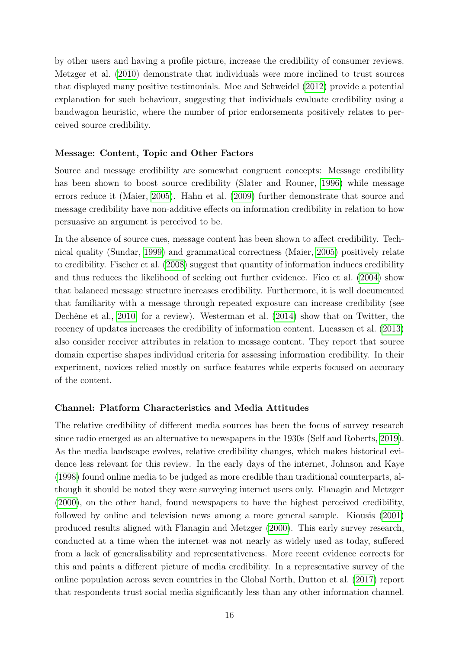by other users and having a profile picture, increase the credibility of consumer reviews. Metzger et al. [\(2010\)](#page-40-7) demonstrate that individuals were more inclined to trust sources that displayed many positive testimonials. Moe and Schweidel [\(2012\)](#page-40-8) provide a potential explanation for such behaviour, suggesting that individuals evaluate credibility using a bandwagon heuristic, where the number of prior endorsements positively relates to perceived source credibility.

#### Message: Content, Topic and Other Factors

Source and message credibility are somewhat congruent concepts: Message credibility has been shown to boost source credibility (Slater and Rouner, [1996\)](#page-40-9) while message errors reduce it (Maier, [2005\)](#page-40-10). Hahn et al. [\(2009\)](#page-39-8) further demonstrate that source and message credibility have non-additive effects on information credibility in relation to how persuasive an argument is perceived to be.

In the absence of source cues, message content has been shown to affect credibility. Technical quality (Sundar, [1999\)](#page-40-11) and grammatical correctness (Maier, [2005\)](#page-40-10) positively relate to credibility. Fischer et al. [\(2008\)](#page-39-9) suggest that quantity of information induces credibility and thus reduces the likelihood of seeking out further evidence. Fico et al. [\(2004\)](#page-39-10) show that balanced message structure increases credibility. Furthermore, it is well documented that familiarity with a message through repeated exposure can increase credibility (see Dechêne et al., [2010,](#page-39-11) for a review). Westerman et al. [\(2014\)](#page-41-1) show that on Twitter, the recency of updates increases the credibility of information content. Lucassen et al. [\(2013\)](#page-40-12) also consider receiver attributes in relation to message content. They report that source domain expertise shapes individual criteria for assessing information credibility. In their experiment, novices relied mostly on surface features while experts focused on accuracy of the content.

#### Channel: Platform Characteristics and Media Attitudes

The relative credibility of different media sources has been the focus of survey research since radio emerged as an alternative to newspapers in the 1930s (Self and Roberts, [2019\)](#page-40-2). As the media landscape evolves, relative credibility changes, which makes historical evidence less relevant for this review. In the early days of the internet, Johnson and Kaye [\(1998\)](#page-40-13) found online media to be judged as more credible than traditional counterparts, although it should be noted they were surveying internet users only. Flanagin and Metzger [\(2000\)](#page-39-12), on the other hand, found newspapers to have the highest perceived credibility, followed by online and television news among a more general sample. Kiousis [\(2001\)](#page-40-14) produced results aligned with Flanagin and Metzger [\(2000\)](#page-39-12). This early survey research, conducted at a time when the internet was not nearly as widely used as today, suffered from a lack of generalisability and representativeness. More recent evidence corrects for this and paints a different picture of media credibility. In a representative survey of the online population across seven countries in the Global North, Dutton et al. [\(2017\)](#page-33-2) report that respondents trust social media significantly less than any other information channel.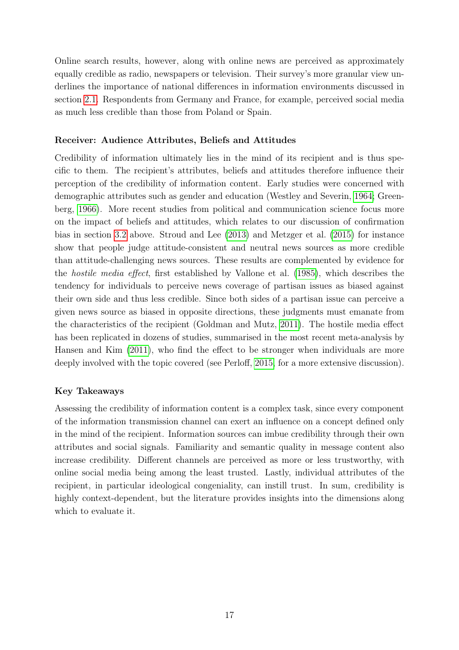Online search results, however, along with online news are perceived as approximately equally credible as radio, newspapers or television. Their survey's more granular view underlines the importance of national differences in information environments discussed in section [2.1.](#page-5-1) Respondents from Germany and France, for example, perceived social media as much less credible than those from Poland or Spain.

#### Receiver: Audience Attributes, Beliefs and Attitudes

Credibility of information ultimately lies in the mind of its recipient and is thus specific to them. The recipient's attributes, beliefs and attitudes therefore influence their perception of the credibility of information content. Early studies were concerned with demographic attributes such as gender and education (Westley and Severin, [1964;](#page-41-2) Greenberg, [1966\)](#page-39-13). More recent studies from political and communication science focus more on the impact of beliefs and attitudes, which relates to our discussion of confirmation bias in section [3.2](#page-13-0) above. Stroud and Lee [\(2013\)](#page-40-15) and Metzger et al. [\(2015\)](#page-40-16) for instance show that people judge attitude-consistent and neutral news sources as more credible than attitude-challenging news sources. These results are complemented by evidence for the hostile media effect, first established by Vallone et al. [\(1985\)](#page-40-17), which describes the tendency for individuals to perceive news coverage of partisan issues as biased against their own side and thus less credible. Since both sides of a partisan issue can perceive a given news source as biased in opposite directions, these judgments must emanate from the characteristics of the recipient (Goldman and Mutz, [2011\)](#page-39-14). The hostile media effect has been replicated in dozens of studies, summarised in the most recent meta-analysis by Hansen and Kim [\(2011\)](#page-39-15), who find the effect to be stronger when individuals are more deeply involved with the topic covered (see Perloff, [2015,](#page-40-18) for a more extensive discussion).

#### Key Takeaways

Assessing the credibility of information content is a complex task, since every component of the information transmission channel can exert an influence on a concept defined only in the mind of the recipient. Information sources can imbue credibility through their own attributes and social signals. Familiarity and semantic quality in message content also increase credibility. Different channels are perceived as more or less trustworthy, with online social media being among the least trusted. Lastly, individual attributes of the recipient, in particular ideological congeniality, can instill trust. In sum, credibility is highly context-dependent, but the literature provides insights into the dimensions along which to evaluate it.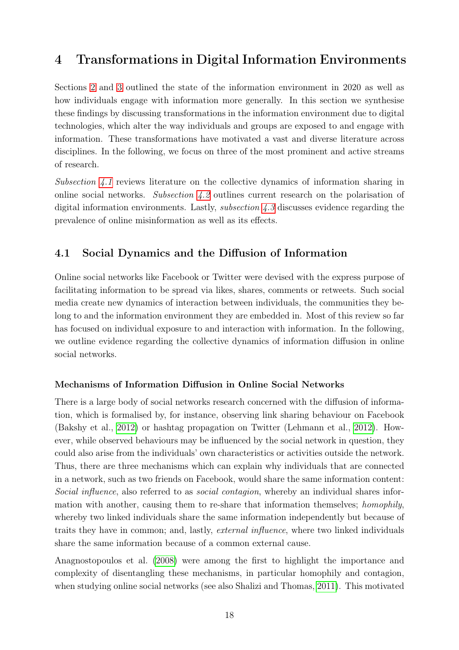# <span id="page-19-0"></span>4 Transformations in Digital Information Environments

Sections [2](#page-5-0) and [3](#page-10-0) outlined the state of the information environment in 2020 as well as how individuals engage with information more generally. In this section we synthesise these findings by discussing transformations in the information environment due to digital technologies, which alter the way individuals and groups are exposed to and engage with information. These transformations have motivated a vast and diverse literature across disciplines. In the following, we focus on three of the most prominent and active streams of research.

Subsection  $4.1$  reviews literature on the collective dynamics of information sharing in online social networks. Subsection [4.2](#page-22-0) outlines current research on the polarisation of digital information environments. Lastly, subsection [4.3](#page-25-0) discusses evidence regarding the prevalence of online misinformation as well as its effects.

## <span id="page-19-1"></span>4.1 Social Dynamics and the Diffusion of Information

Online social networks like Facebook or Twitter were devised with the express purpose of facilitating information to be spread via likes, shares, comments or retweets. Such social media create new dynamics of interaction between individuals, the communities they belong to and the information environment they are embedded in. Most of this review so far has focused on individual exposure to and interaction with information. In the following, we outline evidence regarding the collective dynamics of information diffusion in online social networks.

#### Mechanisms of Information Diffusion in Online Social Networks

There is a large body of social networks research concerned with the diffusion of information, which is formalised by, for instance, observing link sharing behaviour on Facebook (Bakshy et al., [2012\)](#page-41-3) or hashtag propagation on Twitter (Lehmann et al., [2012\)](#page-42-0). However, while observed behaviours may be influenced by the social network in question, they could also arise from the individuals' own characteristics or activities outside the network. Thus, there are three mechanisms which can explain why individuals that are connected in a network, such as two friends on Facebook, would share the same information content: Social influence, also referred to as social contagion, whereby an individual shares information with another, causing them to re-share that information themselves; homophily, whereby two linked individuals share the same information independently but because of traits they have in common; and, lastly, external influence, where two linked individuals share the same information because of a common external cause.

Anagnostopoulos et al. [\(2008\)](#page-41-4) were among the first to highlight the importance and complexity of disentangling these mechanisms, in particular homophily and contagion, when studying online social networks (see also Shalizi and Thomas, [2011\)](#page-42-1). This motivated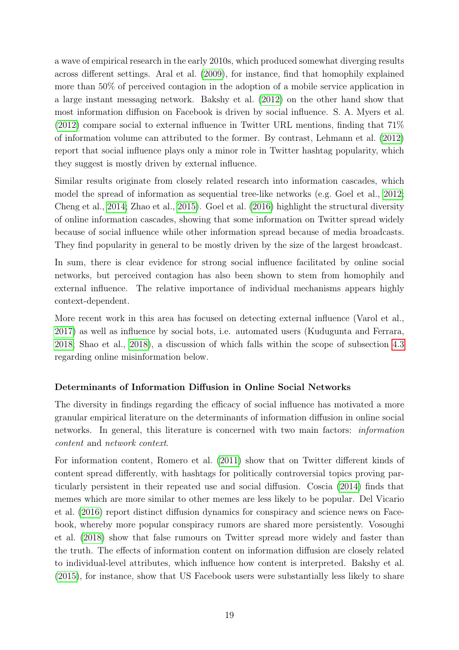a wave of empirical research in the early 2010s, which produced somewhat diverging results across different settings. Aral et al. [\(2009\)](#page-41-5), for instance, find that homophily explained more than 50% of perceived contagion in the adoption of a mobile service application in a large instant messaging network. Bakshy et al. [\(2012\)](#page-41-3) on the other hand show that most information diffusion on Facebook is driven by social influence. S. A. Myers et al. [\(2012\)](#page-42-2) compare social to external influence in Twitter URL mentions, finding that 71% of information volume can attributed to the former. By contrast, Lehmann et al. [\(2012\)](#page-42-0) report that social influence plays only a minor role in Twitter hashtag popularity, which they suggest is mostly driven by external influence.

Similar results originate from closely related research into information cascades, which model the spread of information as sequential tree-like networks (e.g. Goel et al., [2012;](#page-41-6) Cheng et al., [2014;](#page-41-7) Zhao et al., [2015\)](#page-42-3). Goel et al. [\(2016\)](#page-41-8) highlight the structural diversity of online information cascades, showing that some information on Twitter spread widely because of social influence while other information spread because of media broadcasts. They find popularity in general to be mostly driven by the size of the largest broadcast.

In sum, there is clear evidence for strong social influence facilitated by online social networks, but perceived contagion has also been shown to stem from homophily and external influence. The relative importance of individual mechanisms appears highly context-dependent.

More recent work in this area has focused on detecting external influence (Varol et al., [2017\)](#page-42-4) as well as influence by social bots, i.e. automated users (Kudugunta and Ferrara, [2018;](#page-42-5) Shao et al., [2018\)](#page-42-6), a discussion of which falls within the scope of subsection [4.3](#page-25-0) regarding online misinformation below.

### Determinants of Information Diffusion in Online Social Networks

The diversity in findings regarding the efficacy of social influence has motivated a more granular empirical literature on the determinants of information diffusion in online social networks. In general, this literature is concerned with two main factors: information content and network context.

For information content, Romero et al. [\(2011\)](#page-42-7) show that on Twitter different kinds of content spread differently, with hashtags for politically controversial topics proving particularly persistent in their repeated use and social diffusion. Coscia [\(2014\)](#page-41-9) finds that memes which are more similar to other memes are less likely to be popular. Del Vicario et al. [\(2016\)](#page-41-10) report distinct diffusion dynamics for conspiracy and science news on Facebook, whereby more popular conspiracy rumors are shared more persistently. Vosoughi et al. [\(2018\)](#page-42-8) show that false rumours on Twitter spread more widely and faster than the truth. The effects of information content on information diffusion are closely related to individual-level attributes, which influence how content is interpreted. Bakshy et al. [\(2015\)](#page-41-11), for instance, show that US Facebook users were substantially less likely to share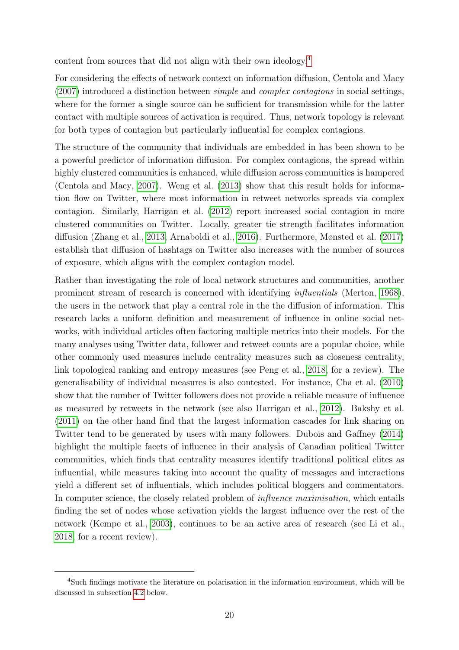content from sources that did not align with their own ideology.[4](#page-0-0)

For considering the effects of network context on information diffusion, Centola and Macy [\(2007\)](#page-41-12) introduced a distinction between simple and complex contagions in social settings, where for the former a single source can be sufficient for transmission while for the latter contact with multiple sources of activation is required. Thus, network topology is relevant for both types of contagion but particularly influential for complex contagions.

The structure of the community that individuals are embedded in has been shown to be a powerful predictor of information diffusion. For complex contagions, the spread within highly clustered communities is enhanced, while diffusion across communities is hampered (Centola and Macy, [2007\)](#page-41-12). Weng et al. [\(2013\)](#page-42-9) show that this result holds for information flow on Twitter, where most information in retweet networks spreads via complex contagion. Similarly, Harrigan et al. [\(2012\)](#page-42-10) report increased social contagion in more clustered communities on Twitter. Locally, greater tie strength facilitates information diffusion (Zhang et al., [2013;](#page-42-11) Arnaboldi et al., [2016\)](#page-41-13). Furthermore, Mønsted et al. [\(2017\)](#page-42-12) establish that diffusion of hashtags on Twitter also increases with the number of sources of exposure, which aligns with the complex contagion model.

Rather than investigating the role of local network structures and communities, another prominent stream of research is concerned with identifying influentials (Merton, [1968\)](#page-42-13), the users in the network that play a central role in the the diffusion of information. This research lacks a uniform definition and measurement of influence in online social networks, with individual articles often factoring multiple metrics into their models. For the many analyses using Twitter data, follower and retweet counts are a popular choice, while other commonly used measures include centrality measures such as closeness centrality, link topological ranking and entropy measures (see Peng et al., [2018,](#page-42-14) for a review). The generalisability of individual measures is also contested. For instance, Cha et al. [\(2010\)](#page-41-14) show that the number of Twitter followers does not provide a reliable measure of influence as measured by retweets in the network (see also Harrigan et al., [2012\)](#page-42-10). Bakshy et al. [\(2011\)](#page-41-15) on the other hand find that the largest information cascades for link sharing on Twitter tend to be generated by users with many followers. Dubois and Gaffney [\(2014\)](#page-41-16) highlight the multiple facets of influence in their analysis of Canadian political Twitter communities, which finds that centrality measures identify traditional political elites as influential, while measures taking into account the quality of messages and interactions yield a different set of influentials, which includes political bloggers and commentators. In computer science, the closely related problem of *influence maximisation*, which entails finding the set of nodes whose activation yields the largest influence over the rest of the network (Kempe et al., [2003\)](#page-42-15), continues to be an active area of research (see Li et al., [2018,](#page-42-16) for a recent review).

<sup>4</sup>Such findings motivate the literature on polarisation in the information environment, which will be discussed in subsection [4.2](#page-22-0) below.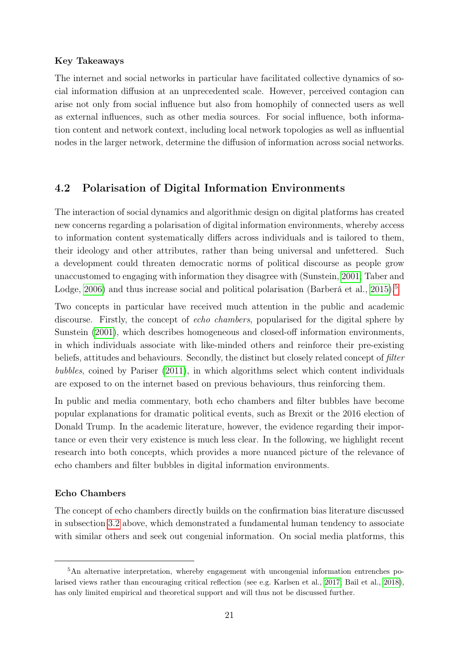#### Key Takeaways

The internet and social networks in particular have facilitated collective dynamics of social information diffusion at an unprecedented scale. However, perceived contagion can arise not only from social influence but also from homophily of connected users as well as external influences, such as other media sources. For social influence, both information content and network context, including local network topologies as well as influential nodes in the larger network, determine the diffusion of information across social networks.

#### <span id="page-22-0"></span>4.2 Polarisation of Digital Information Environments

The interaction of social dynamics and algorithmic design on digital platforms has created new concerns regarding a polarisation of digital information environments, whereby access to information content systematically differs across individuals and is tailored to them, their ideology and other attributes, rather than being universal and unfettered. Such a development could threaten democratic norms of political discourse as people grow unaccustomed to engaging with information they disagree with (Sunstein, [2001;](#page-43-0) Taber and Lodge, [2006\)](#page-36-16) and thus increase social and political polarisation (Barberá et al., [2015\)](#page-43-1).<sup>[5](#page-0-0)</sup>

Two concepts in particular have received much attention in the public and academic discourse. Firstly, the concept of echo chambers, popularised for the digital sphere by Sunstein [\(2001\)](#page-43-0), which describes homogeneous and closed-off information environments, in which individuals associate with like-minded others and reinforce their pre-existing beliefs, attitudes and behaviours. Secondly, the distinct but closely related concept of *filter* bubbles, coined by Pariser [\(2011\)](#page-38-7), in which algorithms select which content individuals are exposed to on the internet based on previous behaviours, thus reinforcing them.

In public and media commentary, both echo chambers and filter bubbles have become popular explanations for dramatic political events, such as Brexit or the 2016 election of Donald Trump. In the academic literature, however, the evidence regarding their importance or even their very existence is much less clear. In the following, we highlight recent research into both concepts, which provides a more nuanced picture of the relevance of echo chambers and filter bubbles in digital information environments.

#### Echo Chambers

The concept of echo chambers directly builds on the confirmation bias literature discussed in subsection [3.2](#page-13-0) above, which demonstrated a fundamental human tendency to associate with similar others and seek out congenial information. On social media platforms, this

<sup>5</sup>An alternative interpretation, whereby engagement with uncongenial information entrenches polarised views rather than encouraging critical reflection (see e.g. Karlsen et al., [2017;](#page-43-2) Bail et al., [2018\)](#page-43-3), has only limited empirical and theoretical support and will thus not be discussed further.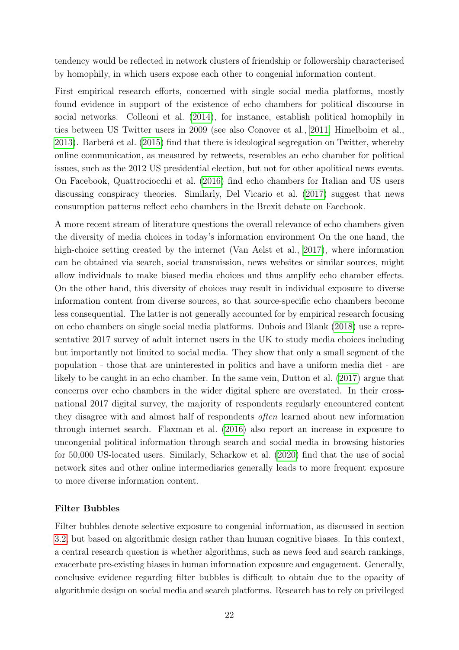tendency would be reflected in network clusters of friendship or followership characterised by homophily, in which users expose each other to congenial information content.

First empirical research efforts, concerned with single social media platforms, mostly found evidence in support of the existence of echo chambers for political discourse in social networks. Colleoni et al. [\(2014\)](#page-43-4), for instance, establish political homophily in ties between US Twitter users in 2009 (see also Conover et al., [2011;](#page-43-5) Himelboim et al., [2013\)](#page-43-6). Barberá et al. [\(2015\)](#page-43-1) find that there is ideological segregation on Twitter, whereby online communication, as measured by retweets, resembles an echo chamber for political issues, such as the 2012 US presidential election, but not for other apolitical news events. On Facebook, Quattrociocchi et al. [\(2016\)](#page-43-7) find echo chambers for Italian and US users discussing conspiracy theories. Similarly, Del Vicario et al. [\(2017\)](#page-43-8) suggest that news consumption patterns reflect echo chambers in the Brexit debate on Facebook.

A more recent stream of literature questions the overall relevance of echo chambers given the diversity of media choices in today's information environment On the one hand, the high-choice setting created by the internet (Van Aelst et al., [2017\)](#page-44-0), where information can be obtained via search, social transmission, news websites or similar sources, might allow individuals to make biased media choices and thus amplify echo chamber effects. On the other hand, this diversity of choices may result in individual exposure to diverse information content from diverse sources, so that source-specific echo chambers become less consequential. The latter is not generally accounted for by empirical research focusing on echo chambers on single social media platforms. Dubois and Blank [\(2018\)](#page-43-9) use a representative 2017 survey of adult internet users in the UK to study media choices including but importantly not limited to social media. They show that only a small segment of the population - those that are uninterested in politics and have a uniform media diet - are likely to be caught in an echo chamber. In the same vein, Dutton et al. [\(2017\)](#page-33-2) argue that concerns over echo chambers in the wider digital sphere are overstated. In their crossnational 2017 digital survey, the majority of respondents regularly encountered content they disagree with and almost half of respondents often learned about new information through internet search. Flaxman et al. [\(2016\)](#page-43-10) also report an increase in exposure to uncongenial political information through search and social media in browsing histories for 50,000 US-located users. Similarly, Scharkow et al. [\(2020\)](#page-43-11) find that the use of social network sites and other online intermediaries generally leads to more frequent exposure to more diverse information content.

#### Filter Bubbles

Filter bubbles denote selective exposure to congenial information, as discussed in section [3.2,](#page-13-0) but based on algorithmic design rather than human cognitive biases. In this context, a central research question is whether algorithms, such as news feed and search rankings, exacerbate pre-existing biases in human information exposure and engagement. Generally, conclusive evidence regarding filter bubbles is difficult to obtain due to the opacity of algorithmic design on social media and search platforms. Research has to rely on privileged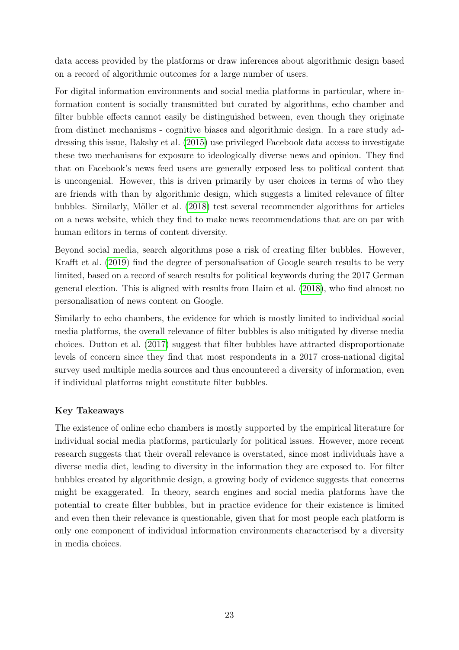data access provided by the platforms or draw inferences about algorithmic design based on a record of algorithmic outcomes for a large number of users.

For digital information environments and social media platforms in particular, where information content is socially transmitted but curated by algorithms, echo chamber and filter bubble effects cannot easily be distinguished between, even though they originate from distinct mechanisms - cognitive biases and algorithmic design. In a rare study addressing this issue, Bakshy et al. [\(2015\)](#page-41-11) use privileged Facebook data access to investigate these two mechanisms for exposure to ideologically diverse news and opinion. They find that on Facebook's news feed users are generally exposed less to political content that is uncongenial. However, this is driven primarily by user choices in terms of who they are friends with than by algorithmic design, which suggests a limited relevance of filter bubbles. Similarly, Möller et al. [\(2018\)](#page-43-12) test several recommender algorithms for articles on a news website, which they find to make news recommendations that are on par with human editors in terms of content diversity.

Beyond social media, search algorithms pose a risk of creating filter bubbles. However, Krafft et al. [\(2019\)](#page-43-13) find the degree of personalisation of Google search results to be very limited, based on a record of search results for political keywords during the 2017 German general election. This is aligned with results from Haim et al. [\(2018\)](#page-43-14), who find almost no personalisation of news content on Google.

Similarly to echo chambers, the evidence for which is mostly limited to individual social media platforms, the overall relevance of filter bubbles is also mitigated by diverse media choices. Dutton et al. [\(2017\)](#page-33-2) suggest that filter bubbles have attracted disproportionate levels of concern since they find that most respondents in a 2017 cross-national digital survey used multiple media sources and thus encountered a diversity of information, even if individual platforms might constitute filter bubbles.

#### Key Takeaways

The existence of online echo chambers is mostly supported by the empirical literature for individual social media platforms, particularly for political issues. However, more recent research suggests that their overall relevance is overstated, since most individuals have a diverse media diet, leading to diversity in the information they are exposed to. For filter bubbles created by algorithmic design, a growing body of evidence suggests that concerns might be exaggerated. In theory, search engines and social media platforms have the potential to create filter bubbles, but in practice evidence for their existence is limited and even then their relevance is questionable, given that for most people each platform is only one component of individual information environments characterised by a diversity in media choices.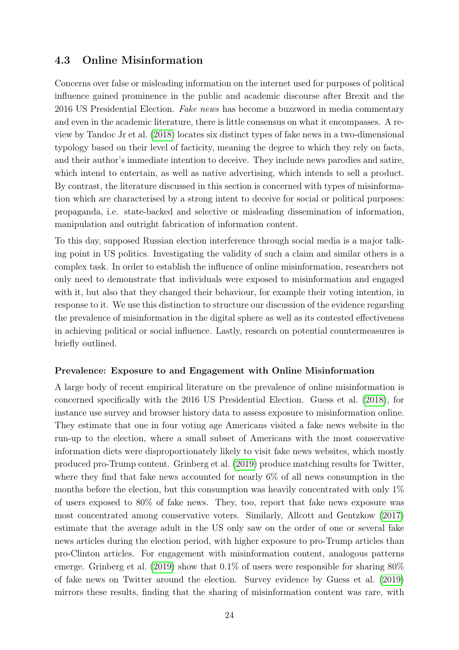### <span id="page-25-0"></span>4.3 Online Misinformation

Concerns over false or misleading information on the internet used for purposes of political influence gained prominence in the public and academic discourse after Brexit and the 2016 US Presidential Election. Fake news has become a buzzword in media commentary and even in the academic literature, there is little consensus on what it encompasses. A review by Tandoc Jr et al. [\(2018\)](#page-46-0) locates six distinct types of fake news in a two-dimensional typology based on their level of facticity, meaning the degree to which they rely on facts, and their author's immediate intention to deceive. They include news parodies and satire, which intend to entertain, as well as native advertising, which intends to sell a product. By contrast, the literature discussed in this section is concerned with types of misinformation which are characterised by a strong intent to deceive for social or political purposes: propaganda, i.e. state-backed and selective or misleading dissemination of information, manipulation and outright fabrication of information content.

To this day, supposed Russian election interference through social media is a major talking point in US politics. Investigating the validity of such a claim and similar others is a complex task. In order to establish the influence of online misinformation, researchers not only need to demonstrate that individuals were exposed to misinformation and engaged with it, but also that they changed their behaviour, for example their voting intention, in response to it. We use this distinction to structure our discussion of the evidence regarding the prevalence of misinformation in the digital sphere as well as its contested effectiveness in achieving political or social influence. Lastly, research on potential countermeasures is briefly outlined.

#### Prevalence: Exposure to and Engagement with Online Misinformation

A large body of recent empirical literature on the prevalence of online misinformation is concerned specifically with the 2016 US Presidential Election. Guess et al. [\(2018\)](#page-45-0), for instance use survey and browser history data to assess exposure to misinformation online. They estimate that one in four voting age Americans visited a fake news website in the run-up to the election, where a small subset of Americans with the most conservative information diets were disproportionately likely to visit fake news websites, which mostly produced pro-Trump content. Grinberg et al. [\(2019\)](#page-44-1) produce matching results for Twitter, where they find that fake news accounted for nearly 6% of all news consumption in the months before the election, but this consumption was heavily concentrated with only  $1\%$ of users exposed to 80% of fake news. They, too, report that fake news exposure was most concentrated among conservative voters. Similarly, Allcott and Gentzkow [\(2017\)](#page-44-2) estimate that the average adult in the US only saw on the order of one or several fake news articles during the election period, with higher exposure to pro-Trump articles than pro-Clinton articles. For engagement with misinformation content, analogous patterns emerge. Grinberg et al. [\(2019\)](#page-44-1) show that 0.1% of users were responsible for sharing 80% of fake news on Twitter around the election. Survey evidence by Guess et al. [\(2019\)](#page-45-1) mirrors these results, finding that the sharing of misinformation content was rare, with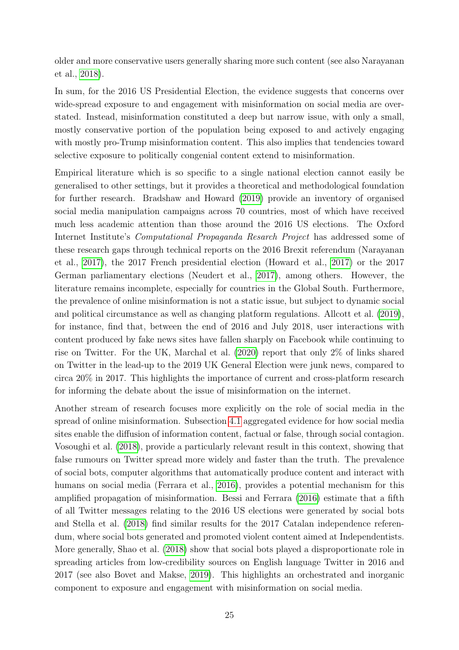older and more conservative users generally sharing more such content (see also Narayanan et al., [2018\)](#page-45-2).

In sum, for the 2016 US Presidential Election, the evidence suggests that concerns over wide-spread exposure to and engagement with misinformation on social media are overstated. Instead, misinformation constituted a deep but narrow issue, with only a small, mostly conservative portion of the population being exposed to and actively engaging with mostly pro-Trump misinformation content. This also implies that tendencies toward selective exposure to politically congenial content extend to misinformation.

Empirical literature which is so specific to a single national election cannot easily be generalised to other settings, but it provides a theoretical and methodological foundation for further research. Bradshaw and Howard [\(2019\)](#page-44-3) provide an inventory of organised social media manipulation campaigns across 70 countries, most of which have received much less academic attention than those around the 2016 US elections. The Oxford Internet Institute's Computational Propaganda Resarch Project has addressed some of these research gaps through technical reports on the 2016 Brexit referendum (Narayanan et al., [2017\)](#page-45-3), the 2017 French presidential election (Howard et al., [2017\)](#page-45-4) or the 2017 German parliamentary elections (Neudert et al., [2017\)](#page-45-5), among others. However, the literature remains incomplete, especially for countries in the Global South. Furthermore, the prevalence of online misinformation is not a static issue, but subject to dynamic social and political circumstance as well as changing platform regulations. Allcott et al. [\(2019\)](#page-44-4), for instance, find that, between the end of 2016 and July 2018, user interactions with content produced by fake news sites have fallen sharply on Facebook while continuing to rise on Twitter. For the UK, Marchal et al. [\(2020\)](#page-45-6) report that only 2% of links shared on Twitter in the lead-up to the 2019 UK General Election were junk news, compared to circa 20% in 2017. This highlights the importance of current and cross-platform research for informing the debate about the issue of misinformation on the internet.

Another stream of research focuses more explicitly on the role of social media in the spread of online misinformation. Subsection [4.1](#page-19-1) aggregated evidence for how social media sites enable the diffusion of information content, factual or false, through social contagion. Vosoughi et al. [\(2018\)](#page-42-8), provide a particularly relevant result in this context, showing that false rumours on Twitter spread more widely and faster than the truth. The prevalence of social bots, computer algorithms that automatically produce content and interact with humans on social media (Ferrara et al., [2016\)](#page-44-5), provides a potential mechanism for this amplified propagation of misinformation. Bessi and Ferrara [\(2016\)](#page-44-6) estimate that a fifth of all Twitter messages relating to the 2016 US elections were generated by social bots and Stella et al. [\(2018\)](#page-45-7) find similar results for the 2017 Catalan independence referendum, where social bots generated and promoted violent content aimed at Independentists. More generally, Shao et al. [\(2018\)](#page-42-6) show that social bots played a disproportionate role in spreading articles from low-credibility sources on English language Twitter in 2016 and 2017 (see also Bovet and Makse, [2019\)](#page-44-7). This highlights an orchestrated and inorganic component to exposure and engagement with misinformation on social media.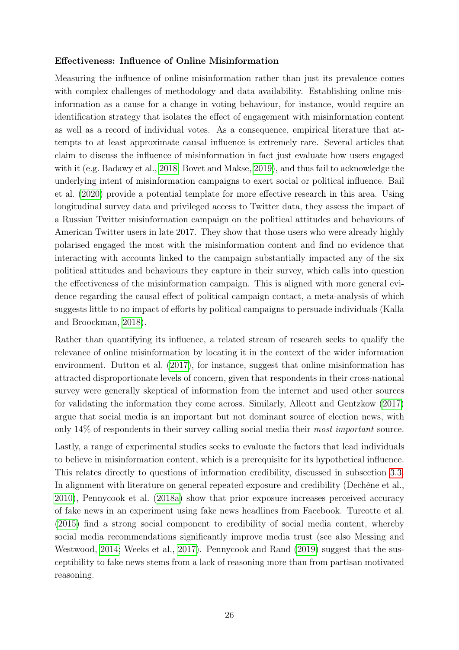#### Effectiveness: Influence of Online Misinformation

Measuring the influence of online misinformation rather than just its prevalence comes with complex challenges of methodology and data availability. Establishing online misinformation as a cause for a change in voting behaviour, for instance, would require an identification strategy that isolates the effect of engagement with misinformation content as well as a record of individual votes. As a consequence, empirical literature that attempts to at least approximate causal influence is extremely rare. Several articles that claim to discuss the influence of misinformation in fact just evaluate how users engaged with it (e.g. Badawy et al., [2018;](#page-44-8) Bovet and Makse, [2019\)](#page-44-7), and thus fail to acknowledge the underlying intent of misinformation campaigns to exert social or political influence. Bail et al. [\(2020\)](#page-44-9) provide a potential template for more effective research in this area. Using longitudinal survey data and privileged access to Twitter data, they assess the impact of a Russian Twitter misinformation campaign on the political attitudes and behaviours of American Twitter users in late 2017. They show that those users who were already highly polarised engaged the most with the misinformation content and find no evidence that interacting with accounts linked to the campaign substantially impacted any of the six political attitudes and behaviours they capture in their survey, which calls into question the effectiveness of the misinformation campaign. This is aligned with more general evidence regarding the causal effect of political campaign contact, a meta-analysis of which suggests little to no impact of efforts by political campaigns to persuade individuals (Kalla and Broockman, [2018\)](#page-45-8).

Rather than quantifying its influence, a related stream of research seeks to qualify the relevance of online misinformation by locating it in the context of the wider information environment. Dutton et al. [\(2017\)](#page-33-2), for instance, suggest that online misinformation has attracted disproportionate levels of concern, given that respondents in their cross-national survey were generally skeptical of information from the internet and used other sources for validating the information they come across. Similarly, Allcott and Gentzkow [\(2017\)](#page-44-2) argue that social media is an important but not dominant source of election news, with only 14% of respondents in their survey calling social media their most important source.

Lastly, a range of experimental studies seeks to evaluate the factors that lead individuals to believe in misinformation content, which is a prerequisite for its hypothetical influence. This relates directly to questions of information credibility, discussed in subsection [3.3.](#page-16-0) In alignment with literature on general repeated exposure and credibility (Dechêne et al., [2010\)](#page-39-11), Pennycook et al. [\(2018a\)](#page-45-9) show that prior exposure increases perceived accuracy of fake news in an experiment using fake news headlines from Facebook. Turcotte et al. [\(2015\)](#page-46-1) find a strong social component to credibility of social media content, whereby social media recommendations significantly improve media trust (see also Messing and Westwood, [2014;](#page-45-10) Weeks et al., [2017\)](#page-46-2). Pennycook and Rand [\(2019\)](#page-45-11) suggest that the susceptibility to fake news stems from a lack of reasoning more than from partisan motivated reasoning.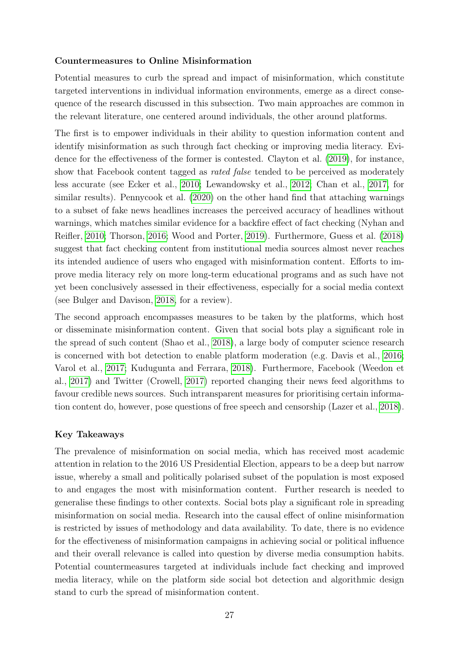#### Countermeasures to Online Misinformation

Potential measures to curb the spread and impact of misinformation, which constitute targeted interventions in individual information environments, emerge as a direct consequence of the research discussed in this subsection. Two main approaches are common in the relevant literature, one centered around individuals, the other around platforms.

The first is to empower individuals in their ability to question information content and identify misinformation as such through fact checking or improving media literacy. Evidence for the effectiveness of the former is contested. Clayton et al. [\(2019\)](#page-44-10), for instance, show that Facebook content tagged as rated false tended to be perceived as moderately less accurate (see Ecker et al., [2010;](#page-44-11) Lewandowsky et al., [2012;](#page-45-12) Chan et al., [2017,](#page-44-12) for similar results). Pennycook et al. [\(2020\)](#page-45-13) on the other hand find that attaching warnings to a subset of fake news headlines increases the perceived accuracy of headlines without warnings, which matches similar evidence for a backfire effect of fact checking (Nyhan and Reifler, [2010;](#page-45-14) Thorson, [2016;](#page-46-3) Wood and Porter, [2019\)](#page-46-4). Furthermore, Guess et al. [\(2018\)](#page-45-0) suggest that fact checking content from institutional media sources almost never reaches its intended audience of users who engaged with misinformation content. Efforts to improve media literacy rely on more long-term educational programs and as such have not yet been conclusively assessed in their effectiveness, especially for a social media context (see Bulger and Davison, [2018,](#page-44-13) for a review).

The second approach encompasses measures to be taken by the platforms, which host or disseminate misinformation content. Given that social bots play a significant role in the spread of such content (Shao et al., [2018\)](#page-42-6), a large body of computer science research is concerned with bot detection to enable platform moderation (e.g. Davis et al., [2016;](#page-44-14) Varol et al., [2017;](#page-42-4) Kudugunta and Ferrara, [2018\)](#page-42-5). Furthermore, Facebook (Weedon et al., [2017\)](#page-46-5) and Twitter (Crowell, [2017\)](#page-44-15) reported changing their news feed algorithms to favour credible news sources. Such intransparent measures for prioritising certain information content do, however, pose questions of free speech and censorship (Lazer et al., [2018\)](#page-45-15).

#### Key Takeaways

The prevalence of misinformation on social media, which has received most academic attention in relation to the 2016 US Presidential Election, appears to be a deep but narrow issue, whereby a small and politically polarised subset of the population is most exposed to and engages the most with misinformation content. Further research is needed to generalise these findings to other contexts. Social bots play a significant role in spreading misinformation on social media. Research into the causal effect of online misinformation is restricted by issues of methodology and data availability. To date, there is no evidence for the effectiveness of misinformation campaigns in achieving social or political influence and their overall relevance is called into question by diverse media consumption habits. Potential countermeasures targeted at individuals include fact checking and improved media literacy, while on the platform side social bot detection and algorithmic design stand to curb the spread of misinformation content.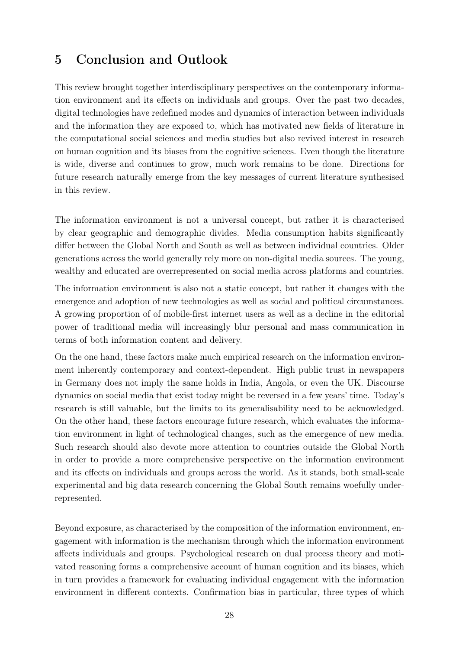# <span id="page-29-0"></span>5 Conclusion and Outlook

This review brought together interdisciplinary perspectives on the contemporary information environment and its effects on individuals and groups. Over the past two decades, digital technologies have redefined modes and dynamics of interaction between individuals and the information they are exposed to, which has motivated new fields of literature in the computational social sciences and media studies but also revived interest in research on human cognition and its biases from the cognitive sciences. Even though the literature is wide, diverse and continues to grow, much work remains to be done. Directions for future research naturally emerge from the key messages of current literature synthesised in this review.

The information environment is not a universal concept, but rather it is characterised by clear geographic and demographic divides. Media consumption habits significantly differ between the Global North and South as well as between individual countries. Older generations across the world generally rely more on non-digital media sources. The young, wealthy and educated are overrepresented on social media across platforms and countries.

The information environment is also not a static concept, but rather it changes with the emergence and adoption of new technologies as well as social and political circumstances. A growing proportion of of mobile-first internet users as well as a decline in the editorial power of traditional media will increasingly blur personal and mass communication in terms of both information content and delivery.

On the one hand, these factors make much empirical research on the information environment inherently contemporary and context-dependent. High public trust in newspapers in Germany does not imply the same holds in India, Angola, or even the UK. Discourse dynamics on social media that exist today might be reversed in a few years' time. Today's research is still valuable, but the limits to its generalisability need to be acknowledged. On the other hand, these factors encourage future research, which evaluates the information environment in light of technological changes, such as the emergence of new media. Such research should also devote more attention to countries outside the Global North in order to provide a more comprehensive perspective on the information environment and its effects on individuals and groups across the world. As it stands, both small-scale experimental and big data research concerning the Global South remains woefully underrepresented.

Beyond exposure, as characterised by the composition of the information environment, engagement with information is the mechanism through which the information environment affects individuals and groups. Psychological research on dual process theory and motivated reasoning forms a comprehensive account of human cognition and its biases, which in turn provides a framework for evaluating individual engagement with the information environment in different contexts. Confirmation bias in particular, three types of which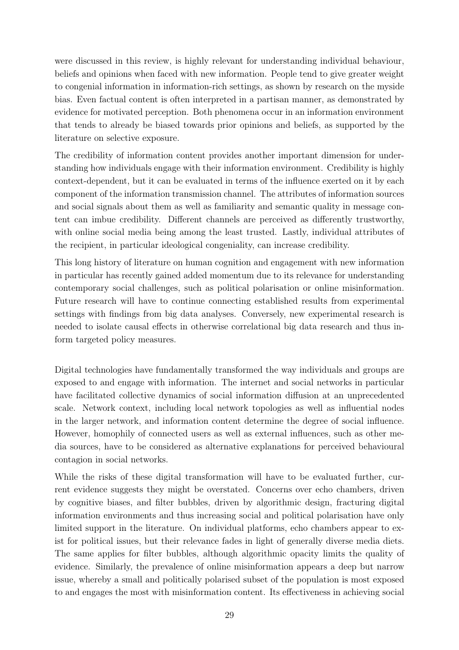were discussed in this review, is highly relevant for understanding individual behaviour, beliefs and opinions when faced with new information. People tend to give greater weight to congenial information in information-rich settings, as shown by research on the myside bias. Even factual content is often interpreted in a partisan manner, as demonstrated by evidence for motivated perception. Both phenomena occur in an information environment that tends to already be biased towards prior opinions and beliefs, as supported by the literature on selective exposure.

The credibility of information content provides another important dimension for understanding how individuals engage with their information environment. Credibility is highly context-dependent, but it can be evaluated in terms of the influence exerted on it by each component of the information transmission channel. The attributes of information sources and social signals about them as well as familiarity and semantic quality in message content can imbue credibility. Different channels are perceived as differently trustworthy, with online social media being among the least trusted. Lastly, individual attributes of the recipient, in particular ideological congeniality, can increase credibility.

This long history of literature on human cognition and engagement with new information in particular has recently gained added momentum due to its relevance for understanding contemporary social challenges, such as political polarisation or online misinformation. Future research will have to continue connecting established results from experimental settings with findings from big data analyses. Conversely, new experimental research is needed to isolate causal effects in otherwise correlational big data research and thus inform targeted policy measures.

Digital technologies have fundamentally transformed the way individuals and groups are exposed to and engage with information. The internet and social networks in particular have facilitated collective dynamics of social information diffusion at an unprecedented scale. Network context, including local network topologies as well as influential nodes in the larger network, and information content determine the degree of social influence. However, homophily of connected users as well as external influences, such as other media sources, have to be considered as alternative explanations for perceived behavioural contagion in social networks.

While the risks of these digital transformation will have to be evaluated further, current evidence suggests they might be overstated. Concerns over echo chambers, driven by cognitive biases, and filter bubbles, driven by algorithmic design, fracturing digital information environments and thus increasing social and political polarisation have only limited support in the literature. On individual platforms, echo chambers appear to exist for political issues, but their relevance fades in light of generally diverse media diets. The same applies for filter bubbles, although algorithmic opacity limits the quality of evidence. Similarly, the prevalence of online misinformation appears a deep but narrow issue, whereby a small and politically polarised subset of the population is most exposed to and engages the most with misinformation content. Its effectiveness in achieving social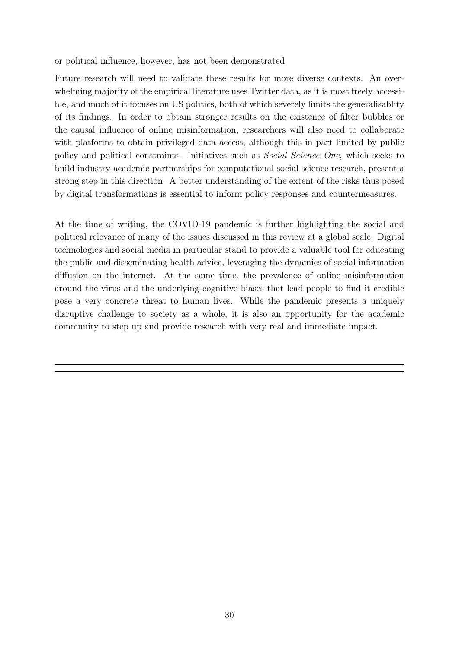or political influence, however, has not been demonstrated.

Future research will need to validate these results for more diverse contexts. An overwhelming majority of the empirical literature uses Twitter data, as it is most freely accessible, and much of it focuses on US politics, both of which severely limits the generalisablity of its findings. In order to obtain stronger results on the existence of filter bubbles or the causal influence of online misinformation, researchers will also need to collaborate with platforms to obtain privileged data access, although this in part limited by public policy and political constraints. Initiatives such as Social Science One, which seeks to build industry-academic partnerships for computational social science research, present a strong step in this direction. A better understanding of the extent of the risks thus posed by digital transformations is essential to inform policy responses and countermeasures.

At the time of writing, the COVID-19 pandemic is further highlighting the social and political relevance of many of the issues discussed in this review at a global scale. Digital technologies and social media in particular stand to provide a valuable tool for educating the public and disseminating health advice, leveraging the dynamics of social information diffusion on the internet. At the same time, the prevalence of online misinformation around the virus and the underlying cognitive biases that lead people to find it credible pose a very concrete threat to human lives. While the pandemic presents a uniquely disruptive challenge to society as a whole, it is also an opportunity for the academic community to step up and provide research with very real and immediate impact.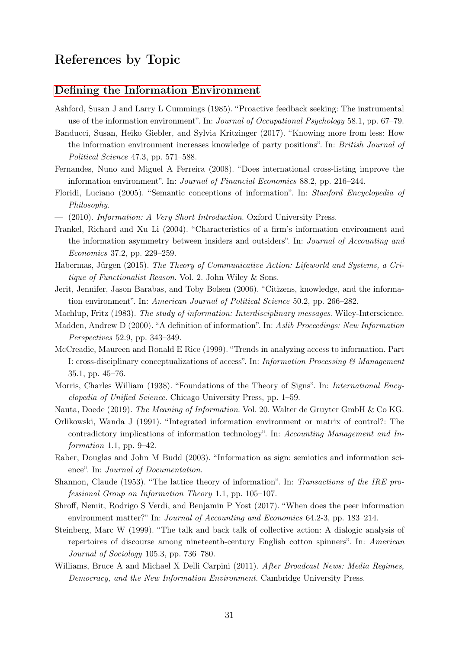# <span id="page-32-0"></span>References by Topic

#### [Defining the Information Environment](#page-2-0)

- <span id="page-32-18"></span>Ashford, Susan J and Larry L Cummings (1985). "Proactive feedback seeking: The instrumental use of the information environment". In: Journal of Occupational Psychology 58.1, pp. 67–79.
- <span id="page-32-13"></span>Banducci, Susan, Heiko Giebler, and Sylvia Kritzinger (2017). "Knowing more from less: How the information environment increases knowledge of party positions". In: British Journal of Political Science 47.3, pp. 571–588.
- <span id="page-32-16"></span>Fernandes, Nuno and Miguel A Ferreira (2008). "Does international cross-listing improve the information environment". In: Journal of Financial Economics 88.2, pp. 216–244.
- <span id="page-32-8"></span>Floridi, Luciano (2005). "Semantic conceptions of information". In: Stanford Encyclopedia of Philosophy.
- <span id="page-32-9"></span>— (2010). Information: A Very Short Introduction. Oxford University Press.
- <span id="page-32-15"></span>Frankel, Richard and Xu Li (2004). "Characteristics of a firm's information environment and the information asymmetry between insiders and outsiders". In: Journal of Accounting and Economics 37.2, pp. 229–259.
- <span id="page-32-11"></span>Habermas, Jürgen (2015). The Theory of Communicative Action: Lifeworld and Systems, a Critique of Functionalist Reason. Vol. 2. John Wiley & Sons.
- <span id="page-32-12"></span>Jerit, Jennifer, Jason Barabas, and Toby Bolsen (2006). "Citizens, knowledge, and the information environment". In: American Journal of Political Science 50.2, pp. 266–282.
- <span id="page-32-2"></span>Machlup, Fritz (1983). The study of information: Interdisciplinary messages. Wiley-Interscience.
- <span id="page-32-4"></span>Madden, Andrew D (2000). "A definition of information". In: Aslib Proceedings: New Information Perspectives 52.9, pp. 343–349.
- <span id="page-32-3"></span>McCreadie, Maureen and Ronald E Rice (1999). "Trends in analyzing access to information. Part I: cross-disciplinary conceptualizations of access". In: Information Processing  $\mathcal{C}$  Management 35.1, pp. 45–76.
- <span id="page-32-6"></span>Morris, Charles William (1938). "Foundations of the Theory of Signs". In: International Encyclopedia of Unified Science. Chicago University Press, pp. 1–59.
- <span id="page-32-5"></span>Nauta, Doede (2019). The Meaning of Information. Vol. 20. Walter de Gruyter GmbH & Co KG.
- <span id="page-32-19"></span>Orlikowski, Wanda J (1991). "Integrated information environment or matrix of control?: The contradictory implications of information technology". In: Accounting Management and Information 1.1, pp.  $9-42$ .
- <span id="page-32-7"></span>Raber, Douglas and John M Budd (2003). "Information as sign: semiotics and information science". In: Journal of Documentation.
- <span id="page-32-1"></span>Shannon, Claude (1953). "The lattice theory of information". In: Transactions of the IRE professional Group on Information Theory 1.1, pp. 105–107.
- <span id="page-32-17"></span>Shroff, Nemit, Rodrigo S Verdi, and Benjamin P Yost (2017). "When does the peer information environment matter?" In: *Journal of Accounting and Economics* 64.2-3, pp. 183–214.
- <span id="page-32-10"></span>Steinberg, Marc W (1999). "The talk and back talk of collective action: A dialogic analysis of repertoires of discourse among nineteenth-century English cotton spinners". In: American Journal of Sociology 105.3, pp. 736–780.
- <span id="page-32-14"></span>Williams, Bruce A and Michael X Delli Carpini (2011). After Broadcast News: Media Regimes, Democracy, and the New Information Environment. Cambridge University Press.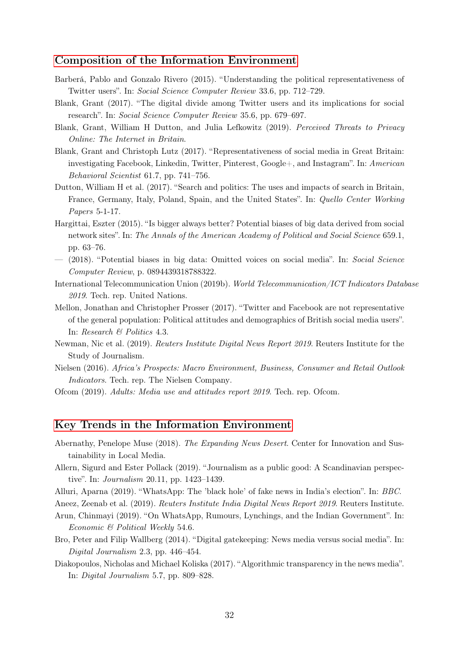#### [Composition of the Information Environment](#page-5-0)

- <span id="page-33-11"></span>Barberá, Pablo and Gonzalo Rivero (2015). "Understanding the political representativeness of Twitter users". In: Social Science Computer Review 33.6, pp. 712–729.
- <span id="page-33-10"></span>Blank, Grant (2017). "The digital divide among Twitter users and its implications for social research". In: Social Science Computer Review 35.6, pp. 679–697.
- <span id="page-33-4"></span>Blank, Grant, William H Dutton, and Julia Lefkowitz (2019). Perceived Threats to Privacy Online: The Internet in Britain.
- <span id="page-33-8"></span>Blank, Grant and Christoph Lutz (2017). "Representativeness of social media in Great Britain: investigating Facebook, Linkedin, Twitter, Pinterest, Google+, and Instagram". In: American Behavioral Scientist 61.7, pp. 741–756.
- <span id="page-33-2"></span>Dutton, William H et al. (2017). "Search and politics: The uses and impacts of search in Britain, France, Germany, Italy, Poland, Spain, and the United States". In: Quello Center Working Papers 5-1-17.
- <span id="page-33-9"></span>Hargittai, Eszter (2015). "Is bigger always better? Potential biases of big data derived from social network sites". In: The Annals of the American Academy of Political and Social Science 659.1, pp. 63–76.
- <span id="page-33-6"></span>— (2018). "Potential biases in big data: Omitted voices on social media". In: Social Science Computer Review, p. 0894439318788322.
- <span id="page-33-0"></span>International Telecommunication Union (2019b). World Telecommunication/ICT Indicators Database 2019. Tech. rep. United Nations.
- <span id="page-33-7"></span>Mellon, Jonathan and Christopher Prosser (2017). "Twitter and Facebook are not representative of the general population: Political attitudes and demographics of British social media users". In: Research & Politics 4.3.
- <span id="page-33-3"></span>Newman, Nic et al. (2019). Reuters Institute Digital News Report 2019. Reuters Institute for the Study of Journalism.
- <span id="page-33-1"></span>Nielsen (2016). Africa's Prospects: Macro Environment, Business, Consumer and Retail Outlook Indicators. Tech. rep. The Nielsen Company.
- <span id="page-33-5"></span>Ofcom (2019). Adults: Media use and attitudes report 2019. Tech. rep. Ofcom.

#### [Key Trends in the Information Environment](#page-5-1)

- <span id="page-33-16"></span>Abernathy, Penelope Muse (2018). The Expanding News Desert. Center for Innovation and Sustainability in Local Media.
- <span id="page-33-15"></span>Allern, Sigurd and Ester Pollack (2019). "Journalism as a public good: A Scandinavian perspective". In: Journalism 20.11, pp. 1423–1439.
- <span id="page-33-13"></span>Alluri, Aparna (2019). "WhatsApp: The 'black hole' of fake news in India's election". In: BBC.

<span id="page-33-12"></span>Aneez, Zeenab et al. (2019). Reuters Institute India Digital News Report 2019. Reuters Institute.

- <span id="page-33-14"></span>Arun, Chinmayi (2019). "On WhatsApp, Rumours, Lynchings, and the Indian Government". In: Economic & Political Weekly 54.6.
- <span id="page-33-18"></span>Bro, Peter and Filip Wallberg (2014). "Digital gatekeeping: News media versus social media". In: Digital Journalism 2.3, pp. 446–454.
- <span id="page-33-17"></span>Diakopoulos, Nicholas and Michael Koliska (2017). "Algorithmic transparency in the news media". In: Digital Journalism 5.7, pp. 809–828.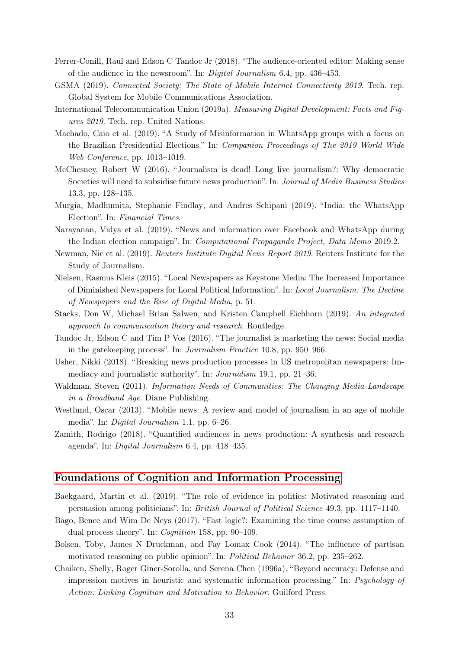- <span id="page-34-12"></span>Ferrer-Conill, Raul and Edson C Tandoc Jr (2018). "The audience-oriented editor: Making sense of the audience in the newsroom". In: Digital Journalism 6.4, pp. 436–453.
- <span id="page-34-0"></span>GSMA (2019). Connected Society: The State of Mobile Internet Connectivity 2019. Tech. rep. Global System for Mobile Communications Association.
- <span id="page-34-1"></span>International Telecommunication Union (2019a). Measuring Digital Development: Facts and Figures 2019. Tech. rep. United Nations.
- <span id="page-34-4"></span>Machado, Caio et al. (2019). "A Study of Misinformation in WhatsApp groups with a focus on the Brazilian Presidential Elections." In: Companion Proceedings of The 2019 World Wide Web Conference, pp. 1013–1019.
- <span id="page-34-6"></span>McChesney, Robert W (2016). "Journalism is dead! Long live journalism?: Why democratic Societies will need to subsidise future news production". In: Journal of Media Business Studies 13.3, pp. 128–135.
- <span id="page-34-2"></span>Murgia, Madhumita, Stephanie Findlay, and Andres Schipani (2019). "India: the WhatsApp Election". In: Financial Times.
- <span id="page-34-3"></span>Narayanan, Vidya et al. (2019). "News and information over Facebook and WhatsApp during the Indian election campaign". In: Computational Propaganda Project, Data Memo 2019.2.
- Newman, Nic et al. (2019). Reuters Institute Digital News Report 2019. Reuters Institute for the Study of Journalism.
- <span id="page-34-8"></span>Nielsen, Rasmus Kleis (2015). "Local Newspapers as Keystone Media: The Increased Importance of Diminished Newspapers for Local Political Information". In: Local Journalism: The Decline of Newspapers and the Rise of Digital Media, p. 51.
- <span id="page-34-13"></span>Stacks, Don W, Michael Brian Salwen, and Kristen Campbell Eichhorn (2019). An integrated approach to communication theory and research. Routledge.
- <span id="page-34-10"></span>Tandoc Jr, Edson C and Tim P Vos (2016). "The journalist is marketing the news: Social media in the gatekeeping process". In: Journalism Practice 10.8, pp. 950–966.
- <span id="page-34-9"></span>Usher, Nikki (2018). "Breaking news production processes in US metropolitan newspapers: Immediacy and journalistic authority". In: Journalism 19.1, pp. 21–36.
- <span id="page-34-7"></span>Waldman, Steven (2011). Information Needs of Communities: The Changing Media Landscape in a Broadband Age. Diane Publishing.
- <span id="page-34-5"></span>Westlund, Oscar (2013). "Mobile news: A review and model of journalism in an age of mobile media". In: Digital Journalism 1.1, pp. 6–26.
- <span id="page-34-11"></span>Zamith, Rodrigo (2018). "Quantified audiences in news production: A synthesis and research agenda". In: Digital Journalism 6.4, pp. 418–435.

#### [Foundations of Cognition and Information Processing](#page-10-0)

- <span id="page-34-16"></span>Baekgaard, Martin et al. (2019). "The role of evidence in politics: Motivated reasoning and persuasion among politicians". In: British Journal of Political Science 49.3, pp. 1117–1140.
- <span id="page-34-14"></span>Bago, Bence and Wim De Neys (2017). "Fast logic?: Examining the time course assumption of dual process theory". In: Cognition 158, pp. 90–109.
- <span id="page-34-15"></span>Bolsen, Toby, James N Druckman, and Fay Lomax Cook (2014). "The influence of partisan motivated reasoning on public opinion". In: Political Behavior 36.2, pp. 235–262.
- <span id="page-34-17"></span>Chaiken, Shelly, Roger Giner-Sorolla, and Serena Chen (1996a). "Beyond accuracy: Defense and impression motives in heuristic and systematic information processing." In: Psychology of Action: Linking Cognition and Motivation to Behavior. Guilford Press.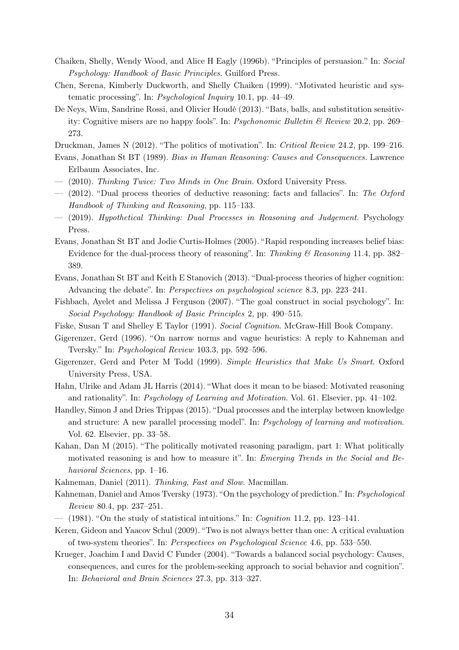- <span id="page-35-9"></span>Chaiken, Shelly, Wendy Wood, and Alice H Eagly (1996b). "Principles of persuasion." In: Social Psychology: Handbook of Basic Principles. Guilford Press.
- <span id="page-35-18"></span>Chen, Serena, Kimberly Duckworth, and Shelly Chaiken (1999). "Motivated heuristic and systematic processing". In: Psychological Inquiry 10.1, pp. 44–49.
- <span id="page-35-12"></span>De Neys, Wim, Sandrine Rossi, and Olivier Houdé (2013). "Bats, balls, and substitution sensitivity: Cognitive misers are no happy fools". In: Psychonomic Bulletin & Review 20.2, pp. 269– 273.

<span id="page-35-21"></span>Druckman, James N (2012). "The politics of motivation". In: Critical Review 24.2, pp. 199–216.

- <span id="page-35-8"></span>Evans, Jonathan St BT (1989). Bias in Human Reasoning: Causes and Consequences. Lawrence Erlbaum Associates, Inc.
- <span id="page-35-14"></span> $-$  (2010). Thinking Twice: Two Minds in One Brain. Oxford University Press.
- <span id="page-35-16"></span> $-$  (2012). "Dual process theories of deductive reasoning: facts and fallacies". In: The Oxford Handbook of Thinking and Reasoning, pp. 115–133.
- <span id="page-35-10"></span>— (2019). Hypothetical Thinking: Dual Processes in Reasoning and Judgement. Psychology Press.
- <span id="page-35-13"></span>Evans, Jonathan St BT and Jodie Curtis-Holmes (2005). "Rapid responding increases belief bias: Evidence for the dual-process theory of reasoning". In: Thinking  $\mathcal{B}$  Reasoning 11.4, pp. 382– 389.
- <span id="page-35-7"></span>Evans, Jonathan St BT and Keith E Stanovich (2013). "Dual-process theories of higher cognition: Advancing the debate". In: Perspectives on psychological science 8.3, pp. 223–241.
- <span id="page-35-20"></span>Fishbach, Ayelet and Melissa J Ferguson (2007). "The goal construct in social psychology". In: Social Psychology: Handbook of Basic Principles 2, pp. 490–515.
- <span id="page-35-11"></span>Fiske, Susan T and Shelley E Taylor (1991). Social Cognition. McGraw-Hill Book Company.
- <span id="page-35-5"></span>Gigerenzer, Gerd (1996). "On narrow norms and vague heuristics: A reply to Kahneman and Tversky." In: Psychological Review 103.3, pp. 592–596.
- <span id="page-35-4"></span>Gigerenzer, Gerd and Peter M Todd (1999). Simple Heuristics that Make Us Smart. Oxford University Press, USA.
- <span id="page-35-3"></span>Hahn, Ulrike and Adam JL Harris (2014). "What does it mean to be biased: Motivated reasoning and rationality". In: Psychology of Learning and Motivation. Vol. 61. Elsevier, pp. 41–102.
- <span id="page-35-15"></span>Handley, Simon J and Dries Trippas (2015). "Dual processes and the interplay between knowledge and structure: A new parallel processing model". In: Psychology of learning and motivation. Vol. 62. Elsevier, pp. 33–58.
- <span id="page-35-19"></span>Kahan, Dan M (2015). "The politically motivated reasoning paradigm, part 1: What politically motivated reasoning is and how to measure it". In: *Emerging Trends in the Social and Be*havioral Sciences, pp. 1–16.
- <span id="page-35-2"></span>Kahneman, Daniel (2011). Thinking, Fast and Slow. Macmillan.
- <span id="page-35-0"></span>Kahneman, Daniel and Amos Tversky (1973). "On the psychology of prediction." In: Psychological Review 80.4, pp. 237–251.
- <span id="page-35-1"></span>— (1981). "On the study of statistical intuitions." In: Cognition 11.2, pp. 123–141.
- <span id="page-35-17"></span>Keren, Gideon and Yaacov Schul (2009). "Two is not always better than one: A critical evaluation of two-system theories". In: Perspectives on Psychological Science 4.6, pp. 533–550.
- <span id="page-35-6"></span>Krueger, Joachim I and David C Funder (2004). "Towards a balanced social psychology: Causes, consequences, and cures for the problem-seeking approach to social behavior and cognition". In: Behavioral and Brain Sciences 27.3, pp. 313–327.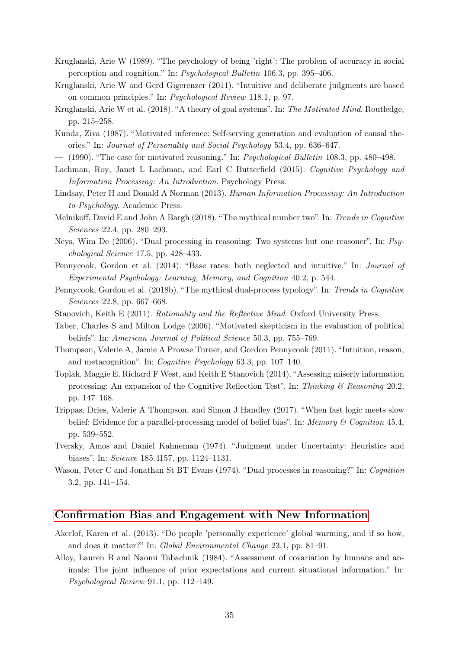- <span id="page-36-15"></span>Kruglanski, Arie W (1989). "The psychology of being 'right': The problem of accuracy in social perception and cognition." In: Psychological Bulletin 106.3, pp. 395–406.
- <span id="page-36-10"></span>Kruglanski, Arie W and Gerd Gigerenzer (2011). "Intuitive and deliberate judgments are based on common principles." In: Psychological Review 118.1, p. 97.
- <span id="page-36-17"></span>Kruglanski, Arie W et al. (2018). "A theory of goal systems". In: The Motivated Mind. Routledge, pp. 215–258.
- <span id="page-36-14"></span>Kunda, Ziva (1987). "Motivated inference: Self-serving generation and evaluation of causal theories." In: Journal of Personality and Social Psychology 53.4, pp. 636–647.
- <span id="page-36-13"></span> $-$  (1990). "The case for motivated reasoning." In: *Psychological Bulletin* 108.3, pp. 480–498.
- <span id="page-36-1"></span>Lachman, Roy, Janet L Lachman, and Earl C Butterfield (2015). Cognitive Psychology and Information Processing: An Introduction. Psychology Press.
- <span id="page-36-0"></span>Lindsay, Peter H and Donald A Norman (2013). Human Information Processing: An Introduction to Psychology. Academic Press.
- <span id="page-36-11"></span>Melnikoff, David E and John A Bargh (2018). "The mythical number two". In: Trends in Cognitive Sciences 22.4, pp. 280–293.
- <span id="page-36-6"></span>Neys, Wim De (2006). "Dual processing in reasoning: Two systems but one reasoner". In: Psychological Science 17.5, pp. 428–433.
- <span id="page-36-7"></span>Pennycook, Gordon et al. (2014). "Base rates: both neglected and intuitive." In: Journal of Experimental Psychology: Learning, Memory, and Cognition 40.2, p. 544.
- <span id="page-36-12"></span>Pennycook, Gordon et al. (2018b). "The mythical dual-process typology". In: Trends in Cognitive Sciences 22.8, pp. 667–668.
- <span id="page-36-3"></span>Stanovich, Keith E (2011). Rationality and the Reflective Mind. Oxford University Press.
- <span id="page-36-16"></span>Taber, Charles S and Milton Lodge (2006). "Motivated skepticism in the evaluation of political beliefs". In: American Journal of Political Science 50.3, pp. 755–769.
- <span id="page-36-9"></span>Thompson, Valerie A, Jamie A Prowse Turner, and Gordon Pennycook (2011). "Intuition, reason, and metacognition". In: Cognitive Psychology 63.3, pp. 107–140.
- <span id="page-36-5"></span>Toplak, Maggie E, Richard F West, and Keith E Stanovich (2014). "Assessing miserly information processing: An expansion of the Cognitive Reflection Test". In: Thinking & Reasoning 20.2, pp. 147–168.
- <span id="page-36-8"></span>Trippas, Dries, Valerie A Thompson, and Simon J Handley (2017). "When fast logic meets slow belief: Evidence for a parallel-processing model of belief bias". In: Memory & Cognition 45.4, pp. 539–552.
- <span id="page-36-2"></span>Tversky, Amos and Daniel Kahneman (1974). "Judgment under Uncertainty: Heuristics and biases". In: Science 185.4157, pp. 1124–1131.
- <span id="page-36-4"></span>Wason, Peter C and Jonathan St BT Evans (1974). "Dual processes in reasoning?" In: Cognition 3.2, pp. 141–154.

#### [Confirmation Bias and Engagement with New Information](#page-10-1)

- <span id="page-36-19"></span>Akerlof, Karen et al. (2013). "Do people 'personally experience' global warming, and if so how, and does it matter?" In: Global Environmental Change 23.1, pp. 81–91.
- <span id="page-36-18"></span>Alloy, Lauren B and Naomi Tabachnik (1984). "Assessment of covariation by humans and animals: The joint influence of prior expectations and current situational information." In: Psychological Review 91.1, pp. 112–149.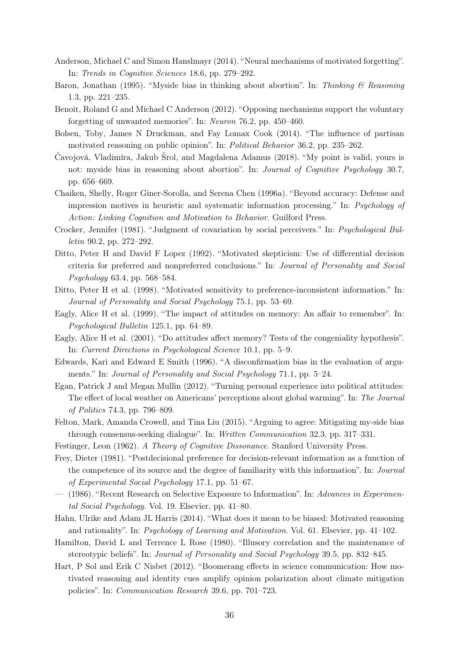- <span id="page-37-16"></span>Anderson, Michael C and Simon Hanslmayr (2014). "Neural mechanisms of motivated forgetting". In: Trends in Cognitive Sciences 18.6, pp. 279–292.
- <span id="page-37-8"></span>Baron, Jonathan (1995). "Myside bias in thinking about abortion". In: Thinking & Reasoning 1.3, pp. 221–235.
- <span id="page-37-15"></span>Benoit, Roland G and Michael C Anderson (2012). "Opposing mechanisms support the voluntary forgetting of unwanted memories". In: Neuron 76.2, pp. 450–460.
- Bolsen, Toby, James N Druckman, and Fay Lomax Cook (2014). "The influence of partisan motivated reasoning on public opinion". In: Political Behavior 36.2, pp. 235–262.
- <span id="page-37-9"></span>Čavojová, Vladimíra, Jakub Šrol, and Magdalena Adamus (2018). "My point is valid, yours is not: myside bias in reasoning about abortion". In: *Journal of Cognitive Psychology* 30.7, pp. 656–669.
- Chaiken, Shelly, Roger Giner-Sorolla, and Serena Chen (1996a). "Beyond accuracy: Defense and impression motives in heuristic and systematic information processing." In: Psychology of Action: Linking Cognition and Motivation to Behavior. Guilford Press.
- <span id="page-37-11"></span>Crocker, Jennifer (1981). "Judgment of covariation by social perceivers." In: Psychological Bulletin 90.2, pp. 272–292.
- <span id="page-37-3"></span>Ditto, Peter H and David F Lopez (1992). "Motivated skepticism: Use of differential decision criteria for preferred and nonpreferred conclusions." In: Journal of Personality and Social Psychology 63.4, pp. 568–584.
- <span id="page-37-4"></span>Ditto, Peter H et al. (1998). "Motivated sensitivity to preference-inconsistent information." In: Journal of Personality and Social Psychology 75.1, pp. 53–69.
- <span id="page-37-13"></span>Eagly, Alice H et al. (1999). "The impact of attitudes on memory: An affair to remember". In: Psychological Bulletin 125.1, pp. 64–89.
- <span id="page-37-14"></span>Eagly, Alice H et al. (2001). "Do attitudes affect memory? Tests of the congeniality hypothesis". In: Current Directions in Psychological Science 10.1, pp. 5–9.
- <span id="page-37-5"></span>Edwards, Kari and Edward E Smith (1996). "A disconfirmation bias in the evaluation of arguments." In: Journal of Personality and Social Psychology 71.1, pp. 5–24.
- <span id="page-37-12"></span>Egan, Patrick J and Megan Mullin (2012). "Turning personal experience into political attitudes: The effect of local weather on Americans' perceptions about global warming". In: The Journal of Politics 74.3, pp. 796–809.
- <span id="page-37-6"></span>Felton, Mark, Amanda Crowell, and Tina Liu (2015). "Arguing to agree: Mitigating my-side bias through consensus-seeking dialogue". In: Written Communication 32.3, pp. 317–331.
- <span id="page-37-0"></span>Festinger, Leon (1962). A Theory of Cognitive Dissonance. Stanford University Press.
- <span id="page-37-1"></span>Frey, Dieter (1981). "Postdecisional preference for decision-relevant information as a function of the competence of its source and the degree of familiarity with this information". In: Journal of Experimental Social Psychology 17.1, pp. 51–67.
- <span id="page-37-2"></span>— (1986). "Recent Research on Selective Exposure to Information". In: Advances in Experimental Social Psychology. Vol. 19. Elsevier, pp. 41–80.
- Hahn, Ulrike and Adam JL Harris (2014). "What does it mean to be biased: Motivated reasoning and rationality". In: Psychology of Learning and Motivation. Vol. 61. Elsevier, pp. 41–102.
- <span id="page-37-10"></span>Hamilton, David L and Terrence L Rose (1980). "Illusory correlation and the maintenance of stereotypic beliefs". In: Journal of Personality and Social Psychology 39.5, pp. 832–845.
- <span id="page-37-7"></span>Hart, P Sol and Erik C Nisbet (2012). "Boomerang effects in science communication: How motivated reasoning and identity cues amplify opinion polarization about climate mitigation policies". In: Communication Research 39.6, pp. 701–723.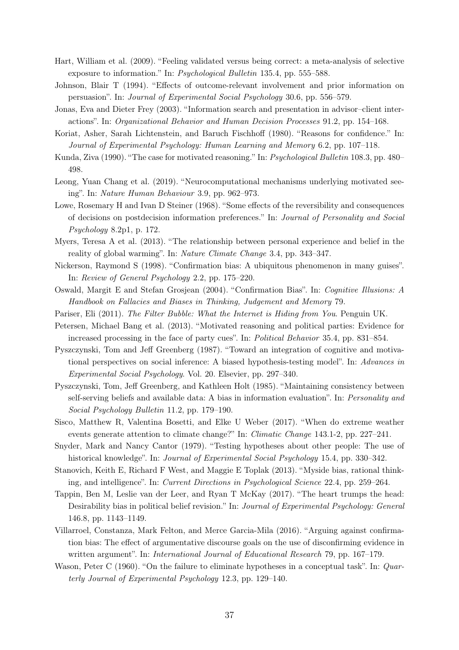- <span id="page-38-3"></span>Hart, William et al. (2009). "Feeling validated versus being correct: a meta-analysis of selective exposure to information." In: Psychological Bulletin 135.4, pp. 555–588.
- <span id="page-38-5"></span>Johnson, Blair T (1994). "Effects of outcome-relevant involvement and prior information on persuasion". In: Journal of Experimental Social Psychology 30.6, pp. 556–579.
- <span id="page-38-6"></span>Jonas, Eva and Dieter Frey (2003). "Information search and presentation in advisor–client interactions". In: Organizational Behavior and Human Decision Processes 91.2, pp. 154–168.
- <span id="page-38-9"></span>Koriat, Asher, Sarah Lichtenstein, and Baruch Fischhoff (1980). "Reasons for confidence." In: Journal of Experimental Psychology: Human Learning and Memory 6.2, pp. 107–118.
- Kunda, Ziva (1990). "The case for motivated reasoning." In: Psychological Bulletin 108.3, pp. 480– 498.
- <span id="page-38-18"></span>Leong, Yuan Chang et al. (2019). "Neurocomputational mechanisms underlying motivated seeing". In: Nature Human Behaviour 3.9, pp. 962–973.
- <span id="page-38-4"></span>Lowe, Rosemary H and Ivan D Steiner (1968). "Some effects of the reversibility and consequences of decisions on postdecision information preferences." In: Journal of Personality and Social Psychology 8.2p1, p. 172.
- <span id="page-38-17"></span>Myers, Teresa A et al. (2013). "The relationship between personal experience and belief in the reality of global warming". In: Nature Climate Change 3.4, pp. 343–347.
- <span id="page-38-2"></span>Nickerson, Raymond S (1998). "Confirmation bias: A ubiquitous phenomenon in many guises". In: Review of General Psychology 2.2, pp. 175–220.
- <span id="page-38-0"></span>Oswald, Margit E and Stefan Grosjean (2004). "Confirmation Bias". In: Cognitive Illusions: A Handbook on Fallacies and Biases in Thinking, Judgement and Memory 79.
- <span id="page-38-7"></span>Pariser, Eli (2011). The Filter Bubble: What the Internet is Hiding from You. Penguin UK.
- <span id="page-38-14"></span>Petersen, Michael Bang et al. (2013). "Motivated reasoning and political parties: Evidence for increased processing in the face of party cues". In: Political Behavior 35.4, pp. 831–854.
- <span id="page-38-11"></span>Pyszczynski, Tom and Jeff Greenberg (1987). "Toward an integration of cognitive and motivational perspectives on social inference: A biased hypothesis-testing model". In: Advances in Experimental Social Psychology. Vol. 20. Elsevier, pp. 297–340.
- <span id="page-38-10"></span>Pyszczynski, Tom, Jeff Greenberg, and Kathleen Holt (1985). "Maintaining consistency between self-serving beliefs and available data: A bias in information evaluation". In: Personality and Social Psychology Bulletin 11.2, pp. 179–190.
- <span id="page-38-16"></span>Sisco, Matthew R, Valentina Bosetti, and Elke U Weber (2017). "When do extreme weather events generate attention to climate change?" In: *Climatic Change* 143.1-2, pp. 227–241.
- <span id="page-38-8"></span>Snyder, Mark and Nancy Cantor (1979). "Testing hypotheses about other people: The use of historical knowledge". In: *Journal of Experimental Social Psychology* 15.4, pp. 330–342.
- <span id="page-38-12"></span>Stanovich, Keith E, Richard F West, and Maggie E Toplak (2013). "Myside bias, rational thinking, and intelligence". In: Current Directions in Psychological Science 22.4, pp. 259–264.
- <span id="page-38-15"></span>Tappin, Ben M, Leslie van der Leer, and Ryan T McKay (2017). "The heart trumps the head: Desirability bias in political belief revision." In: Journal of Experimental Psychology: General 146.8, pp. 1143–1149.
- <span id="page-38-13"></span>Villarroel, Constanza, Mark Felton, and Merce Garcia-Mila (2016). "Arguing against confirmation bias: The effect of argumentative discourse goals on the use of disconfirming evidence in written argument". In: *International Journal of Educational Research* 79, pp. 167–179.
- <span id="page-38-1"></span>Wason, Peter C (1960). "On the failure to eliminate hypotheses in a conceptual task". In: *Quar*terly Journal of Experimental Psychology 12.3, pp. 129–140.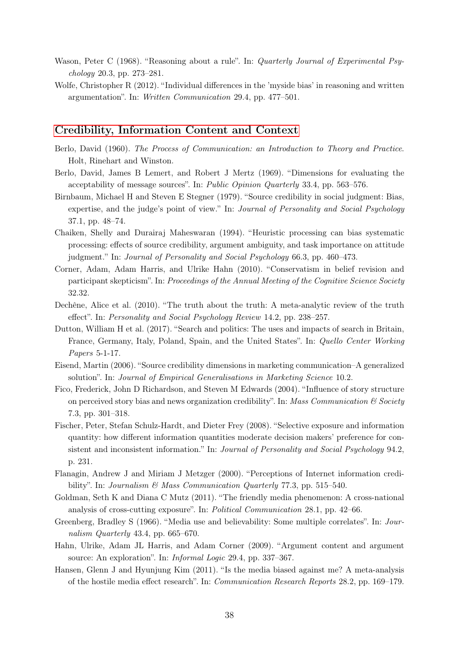- <span id="page-39-0"></span>Wason, Peter C (1968). "Reasoning about a rule". In: Quarterly Journal of Experimental Psychology 20.3, pp. 273–281.
- <span id="page-39-1"></span>Wolfe, Christopher R (2012). "Individual differences in the 'myside bias' in reasoning and written argumentation". In: Written Communication 29.4, pp. 477–501.

#### [Credibility, Information Content and Context](#page-13-0)

- <span id="page-39-5"></span>Berlo, David (1960). The Process of Communication: an Introduction to Theory and Practice. Holt, Rinehart and Winston.
- <span id="page-39-6"></span>Berlo, David, James B Lemert, and Robert J Mertz (1969). "Dimensions for evaluating the acceptability of message sources". In: Public Opinion Quarterly 33.4, pp. 563–576.
- <span id="page-39-2"></span>Birnbaum, Michael H and Steven E Stegner (1979). "Source credibility in social judgment: Bias, expertise, and the judge's point of view." In: Journal of Personality and Social Psychology 37.1, pp. 48–74.
- <span id="page-39-3"></span>Chaiken, Shelly and Durairaj Maheswaran (1994). "Heuristic processing can bias systematic processing: effects of source credibility, argument ambiguity, and task importance on attitude judgment." In: Journal of Personality and Social Psychology 66.3, pp. 460–473.
- <span id="page-39-4"></span>Corner, Adam, Adam Harris, and Ulrike Hahn (2010). "Conservatism in belief revision and participant skepticism". In: Proceedings of the Annual Meeting of the Cognitive Science Society 32.32.
- <span id="page-39-11"></span>Dechêne, Alice et al. (2010). "The truth about the truth: A meta-analytic review of the truth effect". In: Personality and Social Psychology Review 14.2, pp. 238–257.
- Dutton, William H et al. (2017). "Search and politics: The uses and impacts of search in Britain, France, Germany, Italy, Poland, Spain, and the United States". In: Quello Center Working Papers 5-1-17.
- <span id="page-39-7"></span>Eisend, Martin (2006). "Source credibility dimensions in marketing communication–A generalized solution". In: Journal of Empirical Generalisations in Marketing Science 10.2.
- <span id="page-39-10"></span>Fico, Frederick, John D Richardson, and Steven M Edwards (2004). "Influence of story structure on perceived story bias and news organization credibility". In: Mass Communication  $\mathcal C$  Society 7.3, pp. 301–318.
- <span id="page-39-9"></span>Fischer, Peter, Stefan Schulz-Hardt, and Dieter Frey (2008). "Selective exposure and information quantity: how different information quantities moderate decision makers' preference for consistent and inconsistent information." In: Journal of Personality and Social Psychology 94.2, p. 231.
- <span id="page-39-12"></span>Flanagin, Andrew J and Miriam J Metzger (2000). "Perceptions of Internet information credibility". In: Journalism & Mass Communication Quarterly 77.3, pp. 515–540.
- <span id="page-39-14"></span>Goldman, Seth K and Diana C Mutz (2011). "The friendly media phenomenon: A cross-national analysis of cross-cutting exposure". In: Political Communication 28.1, pp. 42–66.
- <span id="page-39-13"></span>Greenberg, Bradley S (1966). "Media use and believability: Some multiple correlates". In: Journalism Quarterly 43.4, pp. 665–670.
- <span id="page-39-8"></span>Hahn, Ulrike, Adam JL Harris, and Adam Corner (2009). "Argument content and argument source: An exploration". In: Informal Logic 29.4, pp. 337–367.
- <span id="page-39-15"></span>Hansen, Glenn J and Hyunjung Kim (2011). "Is the media biased against me? A meta-analysis of the hostile media effect research". In: Communication Research Reports 28.2, pp. 169–179.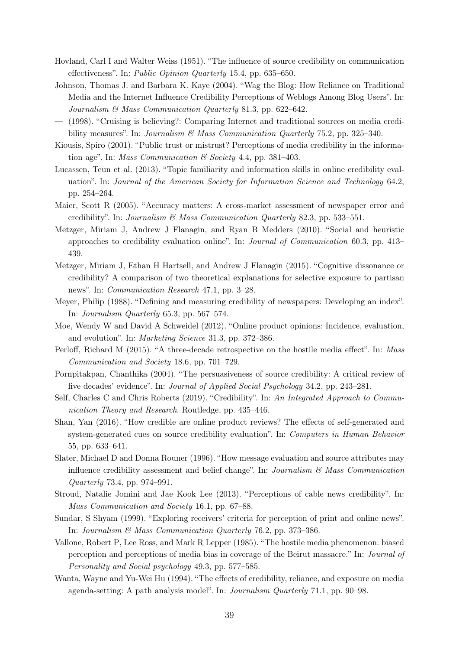- <span id="page-40-3"></span>Hovland, Carl I and Walter Weiss (1951). "The influence of source credibility on communication effectiveness". In: Public Opinion Quarterly 15.4, pp. 635–650.
- <span id="page-40-6"></span>Johnson, Thomas J. and Barbara K. Kaye (2004). "Wag the Blog: How Reliance on Traditional Media and the Internet Influence Credibility Perceptions of Weblogs Among Blog Users". In: Journalism & Mass Communication Quarterly 81.3, pp. 622–642.
- <span id="page-40-13"></span>— (1998). "Cruising is believing?: Comparing Internet and traditional sources on media credibility measures". In: Journalism  $\mathcal{B}$  Mass Communication Quarterly 75.2, pp. 325–340.
- <span id="page-40-14"></span>Kiousis, Spiro (2001). "Public trust or mistrust? Perceptions of media credibility in the information age". In: *Mass Communication*  $\mathcal{C}$  *Society* 4.4, pp. 381–403.
- <span id="page-40-12"></span>Lucassen, Teun et al. (2013). "Topic familiarity and information skills in online credibility evaluation". In: Journal of the American Society for Information Science and Technology 64.2, pp. 254–264.
- <span id="page-40-10"></span>Maier, Scott R (2005). "Accuracy matters: A cross-market assessment of newspaper error and credibility". In: Journalism & Mass Communication Quarterly 82.3, pp. 533–551.
- <span id="page-40-7"></span>Metzger, Miriam J, Andrew J Flanagin, and Ryan B Medders (2010). "Social and heuristic approaches to credibility evaluation online". In: Journal of Communication 60.3, pp. 413– 439.
- <span id="page-40-16"></span>Metzger, Miriam J, Ethan H Hartsell, and Andrew J Flanagin (2015). "Cognitive dissonance or credibility? A comparison of two theoretical explanations for selective exposure to partisan news". In: Communication Research 47.1, pp. 3–28.
- <span id="page-40-4"></span>Meyer, Philip (1988). "Defining and measuring credibility of newspapers: Developing an index". In: Journalism Quarterly 65.3, pp. 567–574.
- <span id="page-40-8"></span>Moe, Wendy W and David A Schweidel (2012). "Online product opinions: Incidence, evaluation, and evolution". In: Marketing Science 31.3, pp. 372–386.
- <span id="page-40-18"></span>Perloff, Richard M (2015). "A three-decade retrospective on the hostile media effect". In: Mass Communication and Society 18.6, pp. 701–729.
- <span id="page-40-1"></span>Pornpitakpan, Chanthika (2004). "The persuasiveness of source credibility: A critical review of five decades' evidence". In: Journal of Applied Social Psychology 34.2, pp. 243–281.
- <span id="page-40-2"></span>Self, Charles C and Chris Roberts (2019). "Credibility". In: An Integrated Approach to Communication Theory and Research. Routledge, pp. 435–446.
- <span id="page-40-5"></span>Shan, Yan (2016). "How credible are online product reviews? The effects of self-generated and system-generated cues on source credibility evaluation". In: Computers in Human Behavior 55, pp. 633–641.
- <span id="page-40-9"></span>Slater, Michael D and Donna Rouner (1996). "How message evaluation and source attributes may influence credibility assessment and belief change". In: Journalism  $\mathcal{B}$  Mass Communication Quarterly 73.4, pp. 974–991.
- <span id="page-40-15"></span>Stroud, Natalie Jomini and Jae Kook Lee (2013). "Perceptions of cable news credibility". In: Mass Communication and Society 16.1, pp. 67–88.
- <span id="page-40-11"></span>Sundar, S Shyam (1999). "Exploring receivers' criteria for perception of print and online news". In: Journalism & Mass Communication Quarterly 76.2, pp. 373–386.
- <span id="page-40-17"></span>Vallone, Robert P, Lee Ross, and Mark R Lepper (1985). "The hostile media phenomenon: biased perception and perceptions of media bias in coverage of the Beirut massacre." In: Journal of Personality and Social psychology 49.3, pp. 577–585.
- <span id="page-40-0"></span>Wanta, Wayne and Yu-Wei Hu (1994). "The effects of credibility, reliance, and exposure on media agenda-setting: A path analysis model". In: Journalism Quarterly 71.1, pp. 90–98.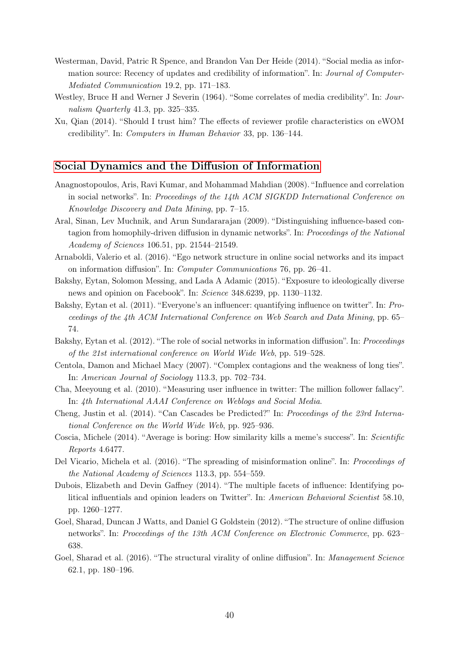- <span id="page-41-1"></span>Westerman, David, Patric R Spence, and Brandon Van Der Heide (2014). "Social media as information source: Recency of updates and credibility of information". In: Journal of Computer-Mediated Communication 19.2, pp. 171–183.
- <span id="page-41-2"></span>Westley, Bruce H and Werner J Severin (1964). "Some correlates of media credibility". In: Journalism Quarterly 41.3, pp. 325–335.
- <span id="page-41-0"></span>Xu, Qian (2014). "Should I trust him? The effects of reviewer profile characteristics on eWOM credibility". In: Computers in Human Behavior 33, pp. 136–144.

#### [Social Dynamics and the Diffusion of Information](#page-19-0)

- <span id="page-41-4"></span>Anagnostopoulos, Aris, Ravi Kumar, and Mohammad Mahdian (2008). "Influence and correlation in social networks". In: Proceedings of the 14th ACM SIGKDD International Conference on Knowledge Discovery and Data Mining, pp. 7–15.
- <span id="page-41-5"></span>Aral, Sinan, Lev Muchnik, and Arun Sundararajan (2009). "Distinguishing influence-based contagion from homophily-driven diffusion in dynamic networks". In: Proceedings of the National Academy of Sciences 106.51, pp. 21544–21549.
- <span id="page-41-13"></span>Arnaboldi, Valerio et al. (2016). "Ego network structure in online social networks and its impact on information diffusion". In: Computer Communications 76, pp. 26–41.
- <span id="page-41-11"></span>Bakshy, Eytan, Solomon Messing, and Lada A Adamic (2015). "Exposure to ideologically diverse news and opinion on Facebook". In: Science 348.6239, pp. 1130–1132.
- <span id="page-41-15"></span>Bakshy, Eytan et al. (2011). "Everyone's an influencer: quantifying influence on twitter". In: Proceedings of the 4th ACM International Conference on Web Search and Data Mining, pp. 65– 74.
- <span id="page-41-3"></span>Bakshy, Eytan et al. (2012). "The role of social networks in information diffusion". In: Proceedings of the 21st international conference on World Wide Web, pp. 519–528.
- <span id="page-41-12"></span>Centola, Damon and Michael Macy (2007). "Complex contagions and the weakness of long ties". In: American Journal of Sociology 113.3, pp. 702–734.
- <span id="page-41-14"></span>Cha, Meeyoung et al. (2010). "Measuring user influence in twitter: The million follower fallacy". In: 4th International AAAI Conference on Weblogs and Social Media.
- <span id="page-41-7"></span>Cheng, Justin et al. (2014). "Can Cascades be Predicted?" In: Proceedings of the 23rd International Conference on the World Wide Web, pp. 925–936.
- <span id="page-41-9"></span>Coscia, Michele (2014). "Average is boring: How similarity kills a meme's success". In: Scientific Reports 4.6477.
- <span id="page-41-10"></span>Del Vicario, Michela et al. (2016). "The spreading of misinformation online". In: Proceedings of the National Academy of Sciences 113.3, pp. 554–559.
- <span id="page-41-16"></span>Dubois, Elizabeth and Devin Gaffney (2014). "The multiple facets of influence: Identifying political influentials and opinion leaders on Twitter". In: American Behavioral Scientist 58.10, pp. 1260–1277.
- <span id="page-41-6"></span>Goel, Sharad, Duncan J Watts, and Daniel G Goldstein (2012). "The structure of online diffusion networks". In: Proceedings of the 13th ACM Conference on Electronic Commerce, pp. 623– 638.
- <span id="page-41-8"></span>Goel, Sharad et al. (2016). "The structural virality of online diffusion". In: Management Science 62.1, pp. 180–196.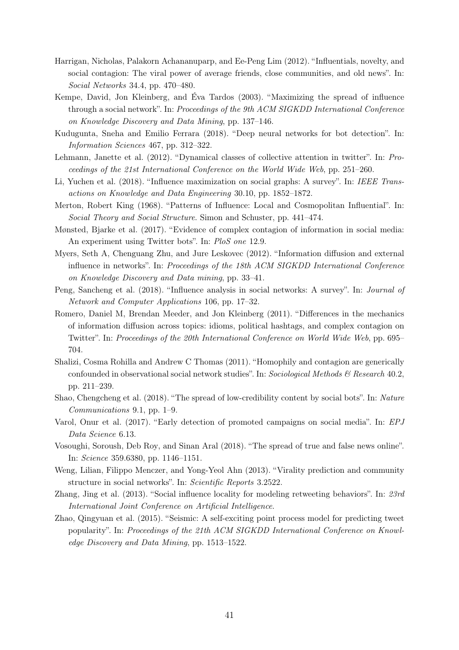- <span id="page-42-10"></span>Harrigan, Nicholas, Palakorn Achananuparp, and Ee-Peng Lim (2012). "Influentials, novelty, and social contagion: The viral power of average friends, close communities, and old news". In: Social Networks 34.4, pp. 470–480.
- <span id="page-42-15"></span>Kempe, David, Jon Kleinberg, and Éva Tardos (2003). "Maximizing the spread of influence through a social network". In: Proceedings of the 9th ACM SIGKDD International Conference on Knowledge Discovery and Data Mining, pp. 137–146.
- <span id="page-42-5"></span>Kudugunta, Sneha and Emilio Ferrara (2018). "Deep neural networks for bot detection". In: Information Sciences 467, pp. 312–322.
- <span id="page-42-0"></span>Lehmann, Janette et al. (2012). "Dynamical classes of collective attention in twitter". In: Proceedings of the 21st International Conference on the World Wide Web, pp. 251–260.
- <span id="page-42-16"></span>Li, Yuchen et al. (2018). "Influence maximization on social graphs: A survey". In: IEEE Transactions on Knowledge and Data Engineering 30.10, pp. 1852–1872.
- <span id="page-42-13"></span>Merton, Robert King (1968). "Patterns of Influence: Local and Cosmopolitan Influential". In: Social Theory and Social Structure. Simon and Schuster, pp. 441–474.
- <span id="page-42-12"></span>Mønsted, Bjarke et al. (2017). "Evidence of complex contagion of information in social media: An experiment using Twitter bots". In: PloS one 12.9.
- <span id="page-42-2"></span>Myers, Seth A, Chenguang Zhu, and Jure Leskovec (2012). "Information diffusion and external influence in networks". In: Proceedings of the 18th ACM SIGKDD International Conference on Knowledge Discovery and Data mining, pp. 33–41.
- <span id="page-42-14"></span>Peng, Sancheng et al. (2018). "Influence analysis in social networks: A survey". In: Journal of Network and Computer Applications 106, pp. 17–32.
- <span id="page-42-7"></span>Romero, Daniel M, Brendan Meeder, and Jon Kleinberg (2011). "Differences in the mechanics of information diffusion across topics: idioms, political hashtags, and complex contagion on Twitter". In: Proceedings of the 20th International Conference on World Wide Web, pp. 695– 704.
- <span id="page-42-1"></span>Shalizi, Cosma Rohilla and Andrew C Thomas (2011). "Homophily and contagion are generically confounded in observational social network studies". In: Sociological Methods  $\mathcal{C}$  Research 40.2, pp. 211–239.
- <span id="page-42-6"></span>Shao, Chengcheng et al. (2018). "The spread of low-credibility content by social bots". In: Nature Communications 9.1, pp. 1–9.
- <span id="page-42-4"></span>Varol, Onur et al. (2017). "Early detection of promoted campaigns on social media". In: EPJ Data Science 6.13.
- <span id="page-42-8"></span>Vosoughi, Soroush, Deb Roy, and Sinan Aral (2018). "The spread of true and false news online". In: Science 359.6380, pp. 1146–1151.
- <span id="page-42-9"></span>Weng, Lilian, Filippo Menczer, and Yong-Yeol Ahn (2013). "Virality prediction and community structure in social networks". In: Scientific Reports 3.2522.
- <span id="page-42-11"></span>Zhang, Jing et al. (2013). "Social influence locality for modeling retweeting behaviors". In: 23rd International Joint Conference on Artificial Intelligence.
- <span id="page-42-3"></span>Zhao, Qingyuan et al. (2015). "Seismic: A self-exciting point process model for predicting tweet popularity". In: Proceedings of the 21th ACM SIGKDD International Conference on Knowledge Discovery and Data Mining, pp. 1513–1522.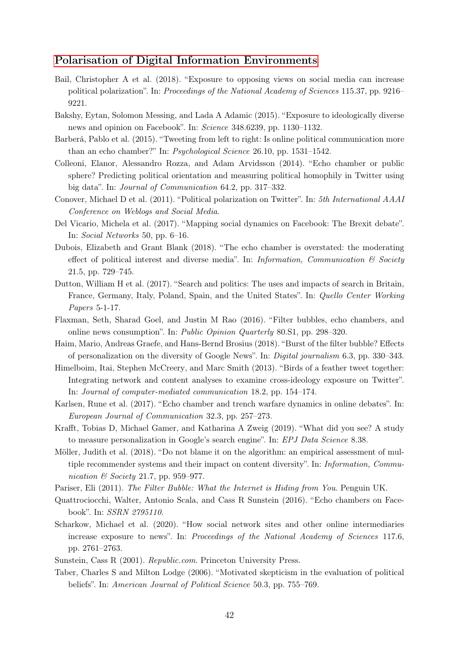#### [Polarisation of Digital Information Environments](#page-19-1)

- <span id="page-43-3"></span>Bail, Christopher A et al. (2018). "Exposure to opposing views on social media can increase political polarization". In: Proceedings of the National Academy of Sciences 115.37, pp. 9216– 9221.
- Bakshy, Eytan, Solomon Messing, and Lada A Adamic (2015). "Exposure to ideologically diverse news and opinion on Facebook". In: Science 348.6239, pp. 1130–1132.
- <span id="page-43-1"></span>Barberá, Pablo et al. (2015). "Tweeting from left to right: Is online political communication more than an echo chamber?" In: Psychological Science 26.10, pp. 1531–1542.
- <span id="page-43-4"></span>Colleoni, Elanor, Alessandro Rozza, and Adam Arvidsson (2014). "Echo chamber or public sphere? Predicting political orientation and measuring political homophily in Twitter using big data". In: Journal of Communication 64.2, pp. 317–332.
- <span id="page-43-5"></span>Conover, Michael D et al. (2011). "Political polarization on Twitter". In: 5th International AAAI Conference on Weblogs and Social Media.
- <span id="page-43-8"></span>Del Vicario, Michela et al. (2017). "Mapping social dynamics on Facebook: The Brexit debate". In: Social Networks 50, pp. 6–16.
- <span id="page-43-9"></span>Dubois, Elizabeth and Grant Blank (2018). "The echo chamber is overstated: the moderating effect of political interest and diverse media". In: Information, Communication  $\mathcal{B}$  Society 21.5, pp. 729–745.
- Dutton, William H et al. (2017). "Search and politics: The uses and impacts of search in Britain, France, Germany, Italy, Poland, Spain, and the United States". In: Quello Center Working Papers 5-1-17.
- <span id="page-43-10"></span>Flaxman, Seth, Sharad Goel, and Justin M Rao (2016). "Filter bubbles, echo chambers, and online news consumption". In: Public Opinion Quarterly 80.S1, pp. 298–320.
- <span id="page-43-14"></span>Haim, Mario, Andreas Graefe, and Hans-Bernd Brosius (2018). "Burst of the filter bubble? Effects of personalization on the diversity of Google News". In: Digital journalism 6.3, pp. 330–343.
- <span id="page-43-6"></span>Himelboim, Itai, Stephen McCreery, and Marc Smith (2013). "Birds of a feather tweet together: Integrating network and content analyses to examine cross-ideology exposure on Twitter". In: Journal of computer-mediated communication 18.2, pp. 154–174.
- <span id="page-43-2"></span>Karlsen, Rune et al. (2017). "Echo chamber and trench warfare dynamics in online debates". In: European Journal of Communication 32.3, pp. 257–273.
- <span id="page-43-13"></span>Krafft, Tobias D, Michael Gamer, and Katharina A Zweig (2019). "What did you see? A study to measure personalization in Google's search engine". In: *EPJ Data Science* 8.38.
- <span id="page-43-12"></span>Möller, Judith et al. (2018). "Do not blame it on the algorithm: an empirical assessment of multiple recommender systems and their impact on content diversity". In: Information, Communication & Society 21.7, pp. 959–977.
- Pariser, Eli (2011). The Filter Bubble: What the Internet is Hiding from You. Penguin UK.
- <span id="page-43-7"></span>Quattrociocchi, Walter, Antonio Scala, and Cass R Sunstein (2016). "Echo chambers on Facebook". In: SSRN 2795110.
- <span id="page-43-11"></span>Scharkow, Michael et al. (2020). "How social network sites and other online intermediaries increase exposure to news". In: Proceedings of the National Academy of Sciences 117.6, pp. 2761–2763.
- <span id="page-43-0"></span>Sunstein, Cass R (2001). Republic.com. Princeton University Press.
- Taber, Charles S and Milton Lodge (2006). "Motivated skepticism in the evaluation of political beliefs". In: American Journal of Political Science 50.3, pp. 755–769.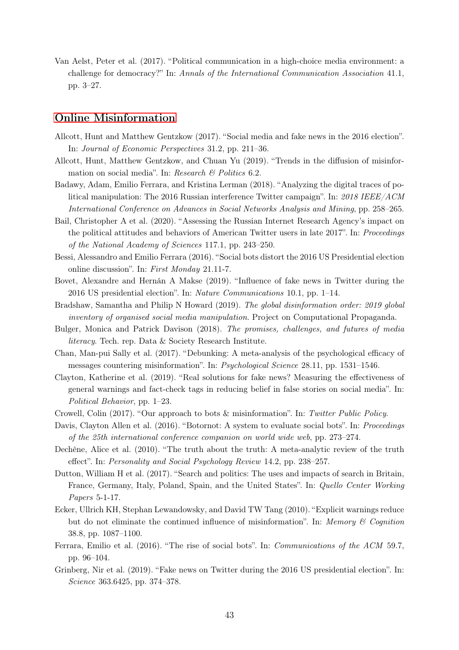<span id="page-44-0"></span>Van Aelst, Peter et al. (2017). "Political communication in a high-choice media environment: a challenge for democracy?" In: Annals of the International Communication Association 41.1, pp. 3–27.

#### [Online Misinformation](#page-22-0)

- <span id="page-44-2"></span>Allcott, Hunt and Matthew Gentzkow (2017). "Social media and fake news in the 2016 election". In: Journal of Economic Perspectives 31.2, pp. 211–36.
- <span id="page-44-4"></span>Allcott, Hunt, Matthew Gentzkow, and Chuan Yu (2019). "Trends in the diffusion of misinformation on social media". In: Research & Politics 6.2.
- <span id="page-44-8"></span>Badawy, Adam, Emilio Ferrara, and Kristina Lerman (2018). "Analyzing the digital traces of political manipulation: The 2016 Russian interference Twitter campaign". In: 2018 IEEE/ACM International Conference on Advances in Social Networks Analysis and Mining, pp. 258–265.
- <span id="page-44-9"></span>Bail, Christopher A et al. (2020). "Assessing the Russian Internet Research Agency's impact on the political attitudes and behaviors of American Twitter users in late 2017". In: Proceedings of the National Academy of Sciences 117.1, pp. 243–250.
- <span id="page-44-6"></span>Bessi, Alessandro and Emilio Ferrara (2016). "Social bots distort the 2016 US Presidential election online discussion". In: First Monday 21.11-7.
- <span id="page-44-7"></span>Bovet, Alexandre and Hernán A Makse (2019). "Influence of fake news in Twitter during the 2016 US presidential election". In: Nature Communications 10.1, pp. 1–14.
- <span id="page-44-3"></span>Bradshaw, Samantha and Philip N Howard (2019). The global disinformation order: 2019 global inventory of organised social media manipulation. Project on Computational Propaganda.
- <span id="page-44-13"></span>Bulger, Monica and Patrick Davison (2018). The promises, challenges, and futures of media literacy. Tech. rep. Data & Society Research Institute.
- <span id="page-44-12"></span>Chan, Man-pui Sally et al. (2017). "Debunking: A meta-analysis of the psychological efficacy of messages countering misinformation". In: Psychological Science 28.11, pp. 1531–1546.
- <span id="page-44-10"></span>Clayton, Katherine et al. (2019). "Real solutions for fake news? Measuring the effectiveness of general warnings and fact-check tags in reducing belief in false stories on social media". In: Political Behavior, pp. 1–23.
- <span id="page-44-15"></span>Crowell, Colin (2017). "Our approach to bots & misinformation". In: Twitter Public Policy.
- <span id="page-44-14"></span>Davis, Clayton Allen et al. (2016). "Botornot: A system to evaluate social bots". In: Proceedings of the 25th international conference companion on world wide web, pp. 273–274.
- Dechêne, Alice et al. (2010). "The truth about the truth: A meta-analytic review of the truth effect". In: Personality and Social Psychology Review 14.2, pp. 238–257.
- Dutton, William H et al. (2017). "Search and politics: The uses and impacts of search in Britain, France, Germany, Italy, Poland, Spain, and the United States". In: Quello Center Working Papers 5-1-17.
- <span id="page-44-11"></span>Ecker, Ullrich KH, Stephan Lewandowsky, and David TW Tang (2010). "Explicit warnings reduce but do not eliminate the continued influence of misinformation". In: Memory  $\mathcal C$  Cognition 38.8, pp. 1087–1100.
- <span id="page-44-5"></span>Ferrara, Emilio et al. (2016). "The rise of social bots". In: Communications of the ACM 59.7, pp. 96–104.
- <span id="page-44-1"></span>Grinberg, Nir et al. (2019). "Fake news on Twitter during the 2016 US presidential election". In: Science 363.6425, pp. 374–378.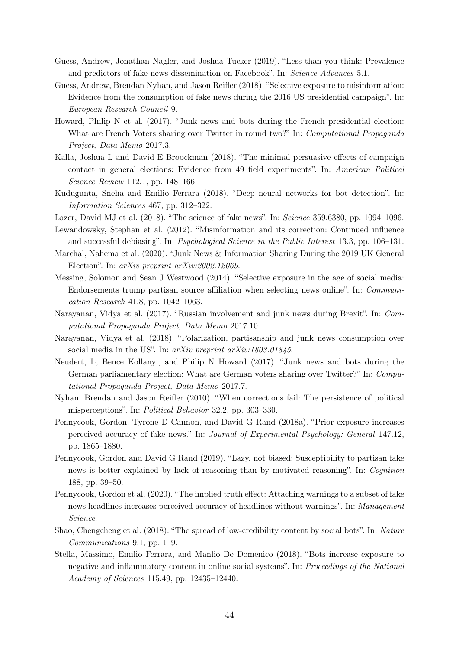- <span id="page-45-1"></span>Guess, Andrew, Jonathan Nagler, and Joshua Tucker (2019). "Less than you think: Prevalence and predictors of fake news dissemination on Facebook". In: Science Advances 5.1.
- <span id="page-45-0"></span>Guess, Andrew, Brendan Nyhan, and Jason Reifler (2018). "Selective exposure to misinformation: Evidence from the consumption of fake news during the 2016 US presidential campaign". In: European Research Council 9.
- <span id="page-45-4"></span>Howard, Philip N et al. (2017). "Junk news and bots during the French presidential election: What are French Voters sharing over Twitter in round two?" In: Computational Propaganda Project, Data Memo 2017.3.
- <span id="page-45-8"></span>Kalla, Joshua L and David E Broockman (2018). "The minimal persuasive effects of campaign contact in general elections: Evidence from 49 field experiments". In: American Political Science Review 112.1, pp. 148–166.
- Kudugunta, Sneha and Emilio Ferrara (2018). "Deep neural networks for bot detection". In: Information Sciences 467, pp. 312–322.
- <span id="page-45-15"></span>Lazer, David MJ et al. (2018). "The science of fake news". In: Science 359.6380, pp. 1094–1096.

<span id="page-45-12"></span>Lewandowsky, Stephan et al. (2012). "Misinformation and its correction: Continued influence and successful debiasing". In: Psychological Science in the Public Interest 13.3, pp. 106–131.

- <span id="page-45-6"></span>Marchal, Nahema et al. (2020). "Junk News & Information Sharing During the 2019 UK General Election". In: arXiv preprint arXiv:2002.12069.
- <span id="page-45-10"></span>Messing, Solomon and Sean J Westwood (2014). "Selective exposure in the age of social media: Endorsements trump partisan source affiliation when selecting news online". In: Communication Research 41.8, pp. 1042–1063.
- <span id="page-45-3"></span>Narayanan, Vidya et al. (2017). "Russian involvement and junk news during Brexit". In: Computational Propaganda Project, Data Memo 2017.10.
- <span id="page-45-2"></span>Narayanan, Vidya et al. (2018). "Polarization, partisanship and junk news consumption over social media in the US". In: arXiv preprint arXiv:1803.01845.
- <span id="page-45-5"></span>Neudert, L, Bence Kollanyi, and Philip N Howard (2017). "Junk news and bots during the German parliamentary election: What are German voters sharing over Twitter?" In: Computational Propaganda Project, Data Memo 2017.7.
- <span id="page-45-14"></span>Nyhan, Brendan and Jason Reifler (2010). "When corrections fail: The persistence of political misperceptions". In: Political Behavior 32.2, pp. 303–330.
- <span id="page-45-9"></span>Pennycook, Gordon, Tyrone D Cannon, and David G Rand (2018a). "Prior exposure increases perceived accuracy of fake news." In: Journal of Experimental Psychology: General 147.12, pp. 1865–1880.
- <span id="page-45-11"></span>Pennycook, Gordon and David G Rand (2019). "Lazy, not biased: Susceptibility to partisan fake news is better explained by lack of reasoning than by motivated reasoning". In: Cognition 188, pp. 39–50.
- <span id="page-45-13"></span>Pennycook, Gordon et al. (2020). "The implied truth effect: Attaching warnings to a subset of fake news headlines increases perceived accuracy of headlines without warnings". In: Management Science.
- Shao, Chengcheng et al. (2018). "The spread of low-credibility content by social bots". In: Nature Communications 9.1, pp. 1–9.
- <span id="page-45-7"></span>Stella, Massimo, Emilio Ferrara, and Manlio De Domenico (2018). "Bots increase exposure to negative and inflammatory content in online social systems". In: Proceedings of the National Academy of Sciences 115.49, pp. 12435–12440.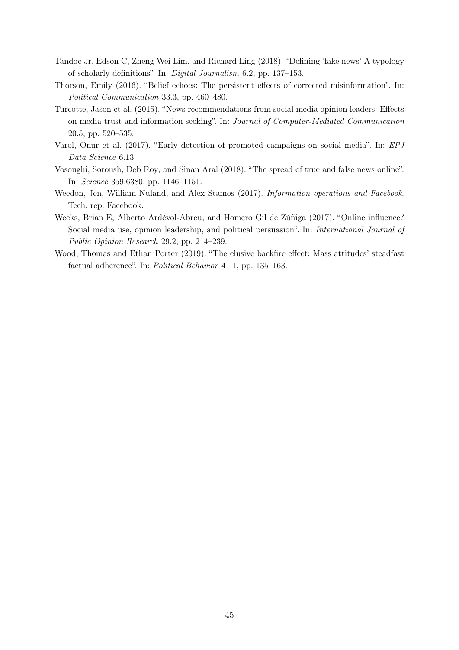- <span id="page-46-0"></span>Tandoc Jr, Edson C, Zheng Wei Lim, and Richard Ling (2018). "Defining 'fake news' A typology of scholarly definitions". In: Digital Journalism 6.2, pp. 137–153.
- <span id="page-46-3"></span>Thorson, Emily (2016). "Belief echoes: The persistent effects of corrected misinformation". In: Political Communication 33.3, pp. 460–480.
- <span id="page-46-1"></span>Turcotte, Jason et al. (2015). "News recommendations from social media opinion leaders: Effects on media trust and information seeking". In: Journal of Computer-Mediated Communication 20.5, pp. 520–535.
- Varol, Onur et al. (2017). "Early detection of promoted campaigns on social media". In: EPJ Data Science 6.13.
- Vosoughi, Soroush, Deb Roy, and Sinan Aral (2018). "The spread of true and false news online". In: Science 359.6380, pp. 1146–1151.
- <span id="page-46-5"></span>Weedon, Jen, William Nuland, and Alex Stamos (2017). Information operations and Facebook. Tech. rep. Facebook.
- <span id="page-46-2"></span>Weeks, Brian E, Alberto Ardèvol-Abreu, and Homero Gil de Zúñiga (2017). "Online influence? Social media use, opinion leadership, and political persuasion". In: International Journal of Public Opinion Research 29.2, pp. 214–239.
- <span id="page-46-4"></span>Wood, Thomas and Ethan Porter (2019). "The elusive backfire effect: Mass attitudes' steadfast factual adherence". In: Political Behavior 41.1, pp. 135–163.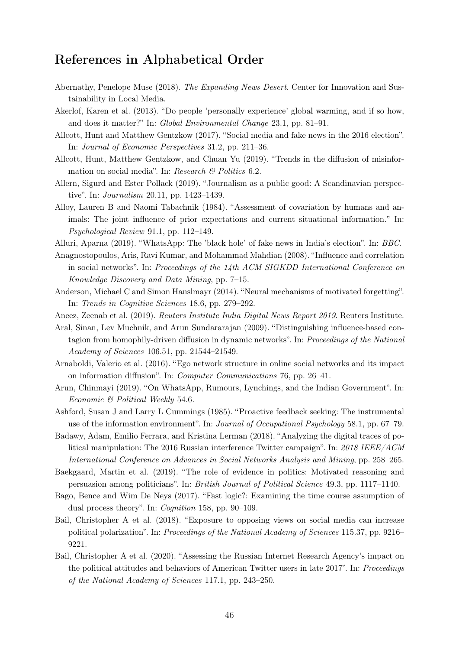# <span id="page-47-0"></span>References in Alphabetical Order

- Abernathy, Penelope Muse (2018). The Expanding News Desert. Center for Innovation and Sustainability in Local Media.
- Akerlof, Karen et al. (2013). "Do people 'personally experience' global warming, and if so how, and does it matter?" In: Global Environmental Change 23.1, pp. 81–91.
- Allcott, Hunt and Matthew Gentzkow (2017). "Social media and fake news in the 2016 election". In: Journal of Economic Perspectives 31.2, pp. 211–36.
- Allcott, Hunt, Matthew Gentzkow, and Chuan Yu (2019). "Trends in the diffusion of misinformation on social media". In: Research  $\mathcal B$  Politics 6.2.
- Allern, Sigurd and Ester Pollack (2019). "Journalism as a public good: A Scandinavian perspective". In: Journalism 20.11, pp. 1423–1439.
- Alloy, Lauren B and Naomi Tabachnik (1984). "Assessment of covariation by humans and animals: The joint influence of prior expectations and current situational information." In: Psychological Review 91.1, pp. 112–149.
- Alluri, Aparna (2019). "WhatsApp: The 'black hole' of fake news in India's election". In: BBC.
- Anagnostopoulos, Aris, Ravi Kumar, and Mohammad Mahdian (2008). "Influence and correlation in social networks". In: Proceedings of the 14th ACM SIGKDD International Conference on Knowledge Discovery and Data Mining, pp. 7–15.
- Anderson, Michael C and Simon Hanslmayr (2014). "Neural mechanisms of motivated forgetting". In: Trends in Cognitive Sciences 18.6, pp. 279–292.
- Aneez, Zeenab et al. (2019). Reuters Institute India Digital News Report 2019. Reuters Institute.
- Aral, Sinan, Lev Muchnik, and Arun Sundararajan (2009). "Distinguishing influence-based contagion from homophily-driven diffusion in dynamic networks". In: Proceedings of the National Academy of Sciences 106.51, pp. 21544–21549.
- Arnaboldi, Valerio et al. (2016). "Ego network structure in online social networks and its impact on information diffusion". In: Computer Communications 76, pp. 26–41.
- Arun, Chinmayi (2019). "On WhatsApp, Rumours, Lynchings, and the Indian Government". In: Economic & Political Weekly 54.6.
- Ashford, Susan J and Larry L Cummings (1985). "Proactive feedback seeking: The instrumental use of the information environment". In: Journal of Occupational Psychology 58.1, pp. 67–79.
- Badawy, Adam, Emilio Ferrara, and Kristina Lerman (2018). "Analyzing the digital traces of political manipulation: The 2016 Russian interference Twitter campaign". In: 2018 IEEE/ACM International Conference on Advances in Social Networks Analysis and Mining, pp. 258–265.
- Baekgaard, Martin et al. (2019). "The role of evidence in politics: Motivated reasoning and persuasion among politicians". In: British Journal of Political Science 49.3, pp. 1117–1140.
- Bago, Bence and Wim De Neys (2017). "Fast logic?: Examining the time course assumption of dual process theory". In: Cognition 158, pp. 90–109.
- Bail, Christopher A et al. (2018). "Exposure to opposing views on social media can increase political polarization". In: Proceedings of the National Academy of Sciences 115.37, pp. 9216– 9221.
- Bail, Christopher A et al. (2020). "Assessing the Russian Internet Research Agency's impact on the political attitudes and behaviors of American Twitter users in late 2017". In: Proceedings of the National Academy of Sciences 117.1, pp. 243–250.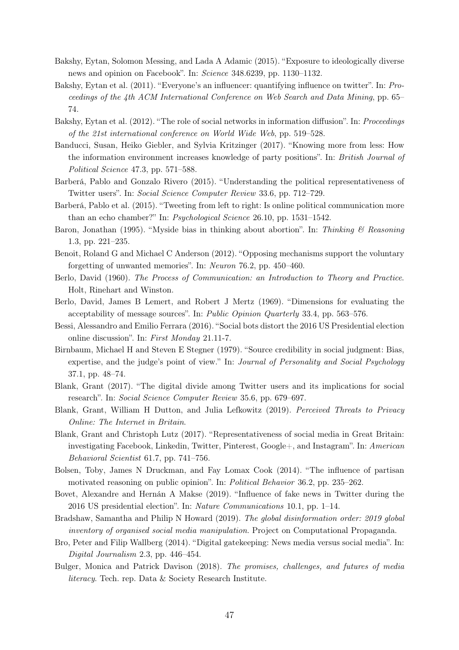- Bakshy, Eytan, Solomon Messing, and Lada A Adamic (2015). "Exposure to ideologically diverse news and opinion on Facebook". In: Science 348.6239, pp. 1130–1132.
- Bakshy, Eytan et al. (2011). "Everyone's an influencer: quantifying influence on twitter". In: Proceedings of the 4th ACM International Conference on Web Search and Data Mining, pp. 65– 74.
- Bakshy, Eytan et al. (2012). "The role of social networks in information diffusion". In: Proceedings of the 21st international conference on World Wide Web, pp. 519–528.
- Banducci, Susan, Heiko Giebler, and Sylvia Kritzinger (2017). "Knowing more from less: How the information environment increases knowledge of party positions". In: British Journal of Political Science 47.3, pp. 571–588.
- Barberá, Pablo and Gonzalo Rivero (2015). "Understanding the political representativeness of Twitter users". In: Social Science Computer Review 33.6, pp. 712–729.
- Barberá, Pablo et al. (2015). "Tweeting from left to right: Is online political communication more than an echo chamber?" In: Psychological Science 26.10, pp. 1531–1542.
- Baron, Jonathan (1995). "Myside bias in thinking about abortion". In: Thinking & Reasoning 1.3, pp. 221–235.
- Benoit, Roland G and Michael C Anderson (2012). "Opposing mechanisms support the voluntary forgetting of unwanted memories". In: Neuron 76.2, pp. 450–460.
- Berlo, David (1960). The Process of Communication: an Introduction to Theory and Practice. Holt, Rinehart and Winston.
- Berlo, David, James B Lemert, and Robert J Mertz (1969). "Dimensions for evaluating the acceptability of message sources". In: Public Opinion Quarterly 33.4, pp. 563–576.
- Bessi, Alessandro and Emilio Ferrara (2016). "Social bots distort the 2016 US Presidential election online discussion". In: First Monday 21.11-7.
- Birnbaum, Michael H and Steven E Stegner (1979). "Source credibility in social judgment: Bias, expertise, and the judge's point of view." In: Journal of Personality and Social Psychology 37.1, pp. 48–74.
- Blank, Grant (2017). "The digital divide among Twitter users and its implications for social research". In: Social Science Computer Review 35.6, pp. 679–697.
- Blank, Grant, William H Dutton, and Julia Lefkowitz (2019). Perceived Threats to Privacy Online: The Internet in Britain.
- Blank, Grant and Christoph Lutz (2017). "Representativeness of social media in Great Britain: investigating Facebook, Linkedin, Twitter, Pinterest, Google+, and Instagram". In: American Behavioral Scientist 61.7, pp. 741–756.
- Bolsen, Toby, James N Druckman, and Fay Lomax Cook (2014). "The influence of partisan motivated reasoning on public opinion". In: *Political Behavior* 36.2, pp. 235–262.
- Bovet, Alexandre and Hernán A Makse (2019). "Influence of fake news in Twitter during the 2016 US presidential election". In: Nature Communications 10.1, pp. 1–14.
- Bradshaw, Samantha and Philip N Howard (2019). The global disinformation order: 2019 global inventory of organised social media manipulation. Project on Computational Propaganda.
- Bro, Peter and Filip Wallberg (2014). "Digital gatekeeping: News media versus social media". In: Digital Journalism 2.3, pp. 446–454.
- Bulger, Monica and Patrick Davison (2018). The promises, challenges, and futures of media literacy. Tech. rep. Data & Society Research Institute.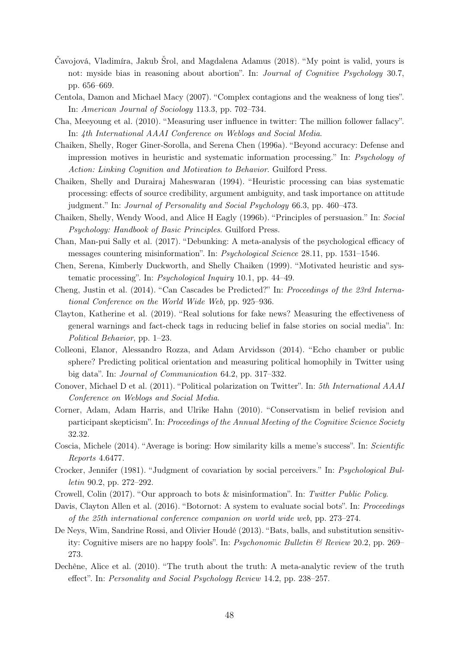- Čavojová, Vladimíra, Jakub Šrol, and Magdalena Adamus (2018). "My point is valid, yours is not: myside bias in reasoning about abortion". In: *Journal of Cognitive Psychology* 30.7, pp. 656–669.
- Centola, Damon and Michael Macy (2007). "Complex contagions and the weakness of long ties". In: American Journal of Sociology 113.3, pp. 702–734.
- Cha, Meeyoung et al. (2010). "Measuring user influence in twitter: The million follower fallacy". In: 4th International AAAI Conference on Weblogs and Social Media.
- Chaiken, Shelly, Roger Giner-Sorolla, and Serena Chen (1996a). "Beyond accuracy: Defense and impression motives in heuristic and systematic information processing." In: Psychology of Action: Linking Cognition and Motivation to Behavior. Guilford Press.
- Chaiken, Shelly and Durairaj Maheswaran (1994). "Heuristic processing can bias systematic processing: effects of source credibility, argument ambiguity, and task importance on attitude judgment." In: Journal of Personality and Social Psychology 66.3, pp. 460–473.
- Chaiken, Shelly, Wendy Wood, and Alice H Eagly (1996b). "Principles of persuasion." In: Social Psychology: Handbook of Basic Principles. Guilford Press.
- Chan, Man-pui Sally et al. (2017). "Debunking: A meta-analysis of the psychological efficacy of messages countering misinformation". In: Psychological Science 28.11, pp. 1531–1546.
- Chen, Serena, Kimberly Duckworth, and Shelly Chaiken (1999). "Motivated heuristic and systematic processing". In: Psychological Inquiry 10.1, pp. 44–49.
- Cheng, Justin et al. (2014). "Can Cascades be Predicted?" In: Proceedings of the 23rd International Conference on the World Wide Web, pp. 925–936.
- Clayton, Katherine et al. (2019). "Real solutions for fake news? Measuring the effectiveness of general warnings and fact-check tags in reducing belief in false stories on social media". In: Political Behavior, pp. 1–23.
- Colleoni, Elanor, Alessandro Rozza, and Adam Arvidsson (2014). "Echo chamber or public sphere? Predicting political orientation and measuring political homophily in Twitter using big data". In: Journal of Communication 64.2, pp. 317–332.
- Conover, Michael D et al. (2011). "Political polarization on Twitter". In: 5th International AAAI Conference on Weblogs and Social Media.
- Corner, Adam, Adam Harris, and Ulrike Hahn (2010). "Conservatism in belief revision and participant skepticism". In: Proceedings of the Annual Meeting of the Cognitive Science Society 32.32.
- Coscia, Michele (2014). "Average is boring: How similarity kills a meme's success". In: Scientific Reports 4.6477.
- Crocker, Jennifer (1981). "Judgment of covariation by social perceivers." In: Psychological Bulletin 90.2, pp. 272–292.
- Crowell, Colin (2017). "Our approach to bots & misinformation". In: Twitter Public Policy.
- Davis, Clayton Allen et al. (2016). "Botornot: A system to evaluate social bots". In: Proceedings of the 25th international conference companion on world wide web, pp. 273–274.
- De Neys, Wim, Sandrine Rossi, and Olivier Houdé (2013). "Bats, balls, and substitution sensitivity: Cognitive misers are no happy fools". In: Psychonomic Bulletin & Review 20.2, pp. 269– 273.
- Dechêne, Alice et al. (2010). "The truth about the truth: A meta-analytic review of the truth effect". In: Personality and Social Psychology Review 14.2, pp. 238–257.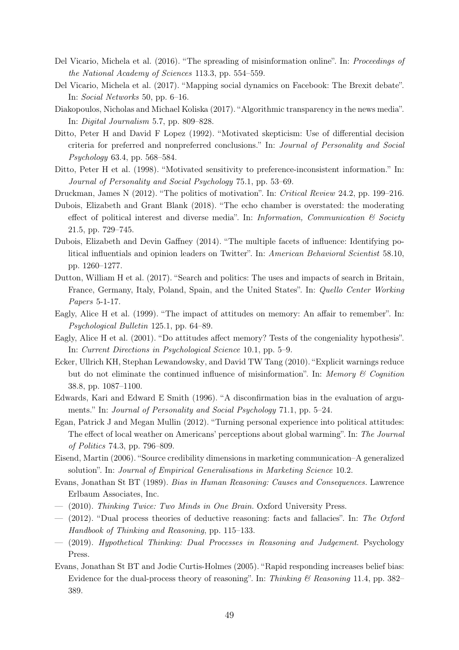- Del Vicario, Michela et al. (2016). "The spreading of misinformation online". In: Proceedings of the National Academy of Sciences 113.3, pp. 554–559.
- Del Vicario, Michela et al. (2017). "Mapping social dynamics on Facebook: The Brexit debate". In: Social Networks 50, pp. 6–16.
- Diakopoulos, Nicholas and Michael Koliska (2017). "Algorithmic transparency in the news media". In: Digital Journalism 5.7, pp. 809–828.
- Ditto, Peter H and David F Lopez (1992). "Motivated skepticism: Use of differential decision criteria for preferred and nonpreferred conclusions." In: Journal of Personality and Social Psychology 63.4, pp. 568–584.
- Ditto, Peter H et al. (1998). "Motivated sensitivity to preference-inconsistent information." In: Journal of Personality and Social Psychology 75.1, pp. 53–69.
- Druckman, James N (2012). "The politics of motivation". In: Critical Review 24.2, pp. 199–216.
- Dubois, Elizabeth and Grant Blank (2018). "The echo chamber is overstated: the moderating effect of political interest and diverse media". In: Information, Communication  $\mathcal{B}$  Society 21.5, pp. 729–745.
- Dubois, Elizabeth and Devin Gaffney (2014). "The multiple facets of influence: Identifying political influentials and opinion leaders on Twitter". In: American Behavioral Scientist 58.10, pp. 1260–1277.
- Dutton, William H et al. (2017). "Search and politics: The uses and impacts of search in Britain, France, Germany, Italy, Poland, Spain, and the United States". In: Quello Center Working Papers 5-1-17.
- Eagly, Alice H et al. (1999). "The impact of attitudes on memory: An affair to remember". In: Psychological Bulletin 125.1, pp. 64–89.
- Eagly, Alice H et al. (2001). "Do attitudes affect memory? Tests of the congeniality hypothesis". In: Current Directions in Psychological Science 10.1, pp. 5–9.
- Ecker, Ullrich KH, Stephan Lewandowsky, and David TW Tang (2010). "Explicit warnings reduce but do not eliminate the continued influence of misinformation". In: Memory & Cognition 38.8, pp. 1087–1100.
- Edwards, Kari and Edward E Smith (1996). "A disconfirmation bias in the evaluation of arguments." In: Journal of Personality and Social Psychology 71.1, pp. 5–24.
- Egan, Patrick J and Megan Mullin (2012). "Turning personal experience into political attitudes: The effect of local weather on Americans' perceptions about global warming". In: The Journal of Politics 74.3, pp. 796–809.
- Eisend, Martin (2006). "Source credibility dimensions in marketing communication–A generalized solution". In: Journal of Empirical Generalisations in Marketing Science 10.2.
- Evans, Jonathan St BT (1989). Bias in Human Reasoning: Causes and Consequences. Lawrence Erlbaum Associates, Inc.
- $-$  (2010). Thinking Twice: Two Minds in One Brain. Oxford University Press.
- $-$  (2012). "Dual process theories of deductive reasoning: facts and fallacies". In: The Oxford Handbook of Thinking and Reasoning, pp. 115–133.
- (2019). Hypothetical Thinking: Dual Processes in Reasoning and Judgement. Psychology Press.
- Evans, Jonathan St BT and Jodie Curtis-Holmes (2005). "Rapid responding increases belief bias: Evidence for the dual-process theory of reasoning". In: Thinking  $\mathcal{B}$  Reasoning 11.4, pp. 382– 389.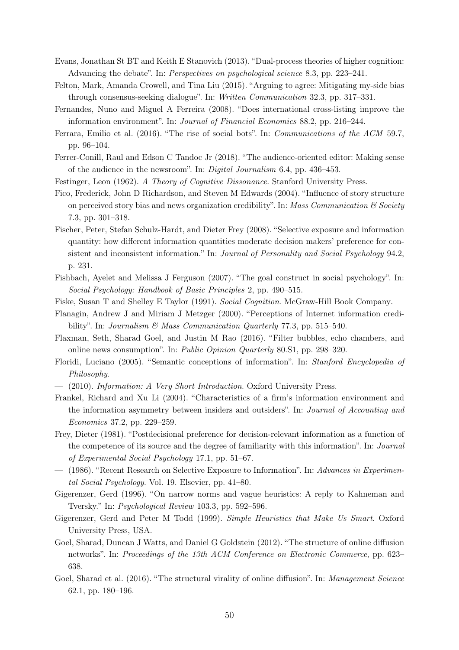- Evans, Jonathan St BT and Keith E Stanovich (2013). "Dual-process theories of higher cognition: Advancing the debate". In: *Perspectives on psychological science* 8.3, pp. 223–241.
- Felton, Mark, Amanda Crowell, and Tina Liu (2015). "Arguing to agree: Mitigating my-side bias through consensus-seeking dialogue". In: Written Communication 32.3, pp. 317–331.
- Fernandes, Nuno and Miguel A Ferreira (2008). "Does international cross-listing improve the information environment". In: Journal of Financial Economics 88.2, pp. 216–244.
- Ferrara, Emilio et al. (2016). "The rise of social bots". In: Communications of the ACM 59.7, pp. 96–104.
- Ferrer-Conill, Raul and Edson C Tandoc Jr (2018). "The audience-oriented editor: Making sense of the audience in the newsroom". In: Digital Journalism 6.4, pp. 436–453.
- Festinger, Leon (1962). A Theory of Cognitive Dissonance. Stanford University Press.
- Fico, Frederick, John D Richardson, and Steven M Edwards (2004). "Influence of story structure on perceived story bias and news organization credibility". In: Mass Communication  $\mathcal C$  Society 7.3, pp. 301–318.
- Fischer, Peter, Stefan Schulz-Hardt, and Dieter Frey (2008). "Selective exposure and information quantity: how different information quantities moderate decision makers' preference for consistent and inconsistent information." In: Journal of Personality and Social Psychology 94.2, p. 231.
- Fishbach, Ayelet and Melissa J Ferguson (2007). "The goal construct in social psychology". In: Social Psychology: Handbook of Basic Principles 2, pp. 490–515.
- Fiske, Susan T and Shelley E Taylor (1991). Social Cognition. McGraw-Hill Book Company.
- Flanagin, Andrew J and Miriam J Metzger (2000). "Perceptions of Internet information credibility". In: Journalism  $\mathcal{B}$  Mass Communication Quarterly 77.3, pp. 515–540.
- Flaxman, Seth, Sharad Goel, and Justin M Rao (2016). "Filter bubbles, echo chambers, and online news consumption". In: Public Opinion Quarterly 80.S1, pp. 298–320.
- Floridi, Luciano (2005). "Semantic conceptions of information". In: Stanford Encyclopedia of Philosophy.
- (2010). Information: A Very Short Introduction. Oxford University Press.
- Frankel, Richard and Xu Li (2004). "Characteristics of a firm's information environment and the information asymmetry between insiders and outsiders". In: Journal of Accounting and Economics 37.2, pp. 229–259.
- Frey, Dieter (1981). "Postdecisional preference for decision-relevant information as a function of the competence of its source and the degree of familiarity with this information". In: Journal of Experimental Social Psychology 17.1, pp. 51–67.
- (1986). "Recent Research on Selective Exposure to Information". In: Advances in Experimental Social Psychology. Vol. 19. Elsevier, pp. 41–80.
- Gigerenzer, Gerd (1996). "On narrow norms and vague heuristics: A reply to Kahneman and Tversky." In: Psychological Review 103.3, pp. 592–596.
- Gigerenzer, Gerd and Peter M Todd (1999). Simple Heuristics that Make Us Smart. Oxford University Press, USA.
- Goel, Sharad, Duncan J Watts, and Daniel G Goldstein (2012). "The structure of online diffusion networks". In: Proceedings of the 13th ACM Conference on Electronic Commerce, pp. 623– 638.
- Goel, Sharad et al. (2016). "The structural virality of online diffusion". In: Management Science 62.1, pp. 180–196.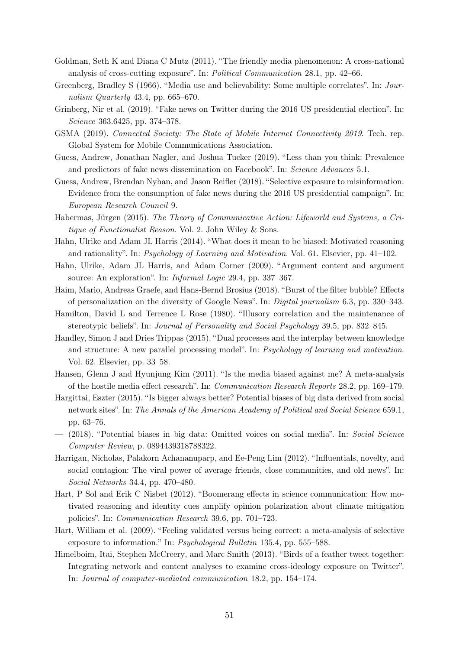- Goldman, Seth K and Diana C Mutz (2011). "The friendly media phenomenon: A cross-national analysis of cross-cutting exposure". In: Political Communication 28.1, pp. 42–66.
- Greenberg, Bradley S (1966). "Media use and believability: Some multiple correlates". In: Journalism Quarterly 43.4, pp. 665–670.
- Grinberg, Nir et al. (2019). "Fake news on Twitter during the 2016 US presidential election". In: Science 363.6425, pp. 374–378.
- GSMA (2019). Connected Society: The State of Mobile Internet Connectivity 2019. Tech. rep. Global System for Mobile Communications Association.
- Guess, Andrew, Jonathan Nagler, and Joshua Tucker (2019). "Less than you think: Prevalence and predictors of fake news dissemination on Facebook". In: Science Advances 5.1.
- Guess, Andrew, Brendan Nyhan, and Jason Reifler (2018). "Selective exposure to misinformation: Evidence from the consumption of fake news during the 2016 US presidential campaign". In: European Research Council 9.
- Habermas, Jürgen (2015). The Theory of Communicative Action: Lifeworld and Systems, a Critique of Functionalist Reason. Vol. 2. John Wiley & Sons.
- Hahn, Ulrike and Adam JL Harris (2014). "What does it mean to be biased: Motivated reasoning and rationality". In: Psychology of Learning and Motivation. Vol. 61. Elsevier, pp. 41–102.
- Hahn, Ulrike, Adam JL Harris, and Adam Corner (2009). "Argument content and argument source: An exploration". In: Informal Logic 29.4, pp. 337–367.
- Haim, Mario, Andreas Graefe, and Hans-Bernd Brosius (2018). "Burst of the filter bubble? Effects of personalization on the diversity of Google News". In: Digital journalism 6.3, pp. 330–343.
- Hamilton, David L and Terrence L Rose (1980). "Illusory correlation and the maintenance of stereotypic beliefs". In: Journal of Personality and Social Psychology 39.5, pp. 832–845.
- Handley, Simon J and Dries Trippas (2015). "Dual processes and the interplay between knowledge and structure: A new parallel processing model". In: Psychology of learning and motivation. Vol. 62. Elsevier, pp. 33–58.
- Hansen, Glenn J and Hyunjung Kim (2011). "Is the media biased against me? A meta-analysis of the hostile media effect research". In: Communication Research Reports 28.2, pp. 169–179.
- Hargittai, Eszter (2015). "Is bigger always better? Potential biases of big data derived from social network sites". In: The Annals of the American Academy of Political and Social Science 659.1, pp. 63–76.
- (2018). "Potential biases in big data: Omitted voices on social media". In: Social Science Computer Review, p. 0894439318788322.
- Harrigan, Nicholas, Palakorn Achananuparp, and Ee-Peng Lim (2012). "Influentials, novelty, and social contagion: The viral power of average friends, close communities, and old news". In: Social Networks 34.4, pp. 470–480.
- Hart, P Sol and Erik C Nisbet (2012). "Boomerang effects in science communication: How motivated reasoning and identity cues amplify opinion polarization about climate mitigation policies". In: Communication Research 39.6, pp. 701–723.
- Hart, William et al. (2009). "Feeling validated versus being correct: a meta-analysis of selective exposure to information." In: Psychological Bulletin 135.4, pp. 555–588.
- Himelboim, Itai, Stephen McCreery, and Marc Smith (2013). "Birds of a feather tweet together: Integrating network and content analyses to examine cross-ideology exposure on Twitter". In: Journal of computer-mediated communication 18.2, pp. 154–174.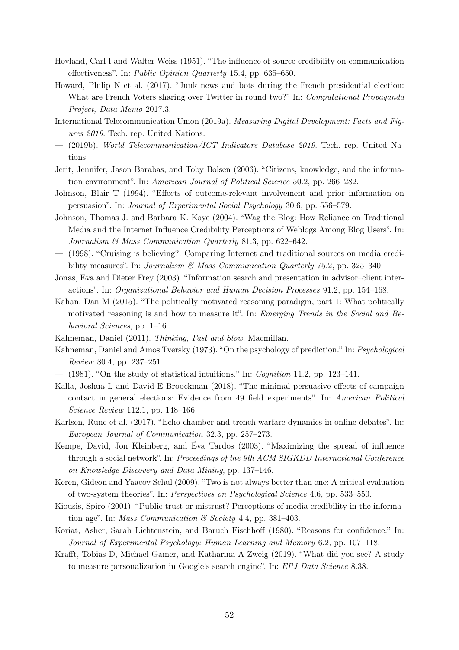- Hovland, Carl I and Walter Weiss (1951). "The influence of source credibility on communication effectiveness". In: Public Opinion Quarterly 15.4, pp. 635–650.
- Howard, Philip N et al. (2017). "Junk news and bots during the French presidential election: What are French Voters sharing over Twitter in round two?" In: Computational Propaganda Project, Data Memo 2017.3.
- International Telecommunication Union (2019a). Measuring Digital Development: Facts and Figures 2019. Tech. rep. United Nations.
- $-$  (2019b). World Telecommunication/ICT Indicators Database 2019. Tech. rep. United Nations.
- Jerit, Jennifer, Jason Barabas, and Toby Bolsen (2006). "Citizens, knowledge, and the information environment". In: American Journal of Political Science 50.2, pp. 266–282.
- Johnson, Blair T (1994). "Effects of outcome-relevant involvement and prior information on persuasion". In: Journal of Experimental Social Psychology 30.6, pp. 556–579.
- Johnson, Thomas J. and Barbara K. Kaye (2004). "Wag the Blog: How Reliance on Traditional Media and the Internet Influence Credibility Perceptions of Weblogs Among Blog Users". In: Journalism & Mass Communication Quarterly 81.3, pp. 622–642.
- (1998). "Cruising is believing?: Comparing Internet and traditional sources on media credibility measures". In: *Journalism & Mass Communication Quarterly* 75.2, pp. 325–340.
- Jonas, Eva and Dieter Frey (2003). "Information search and presentation in advisor–client interactions". In: Organizational Behavior and Human Decision Processes 91.2, pp. 154–168.
- Kahan, Dan M (2015). "The politically motivated reasoning paradigm, part 1: What politically motivated reasoning is and how to measure it". In: Emerging Trends in the Social and Behavioral Sciences, pp. 1–16.
- Kahneman, Daniel (2011). Thinking, Fast and Slow. Macmillan.
- Kahneman, Daniel and Amos Tversky (1973). "On the psychology of prediction." In: Psychological Review 80.4, pp. 237–251.
- $-$  (1981). "On the study of statistical intuitions." In: *Cognition* 11.2, pp. 123–141.
- Kalla, Joshua L and David E Broockman (2018). "The minimal persuasive effects of campaign contact in general elections: Evidence from 49 field experiments". In: American Political Science Review 112.1, pp. 148–166.
- Karlsen, Rune et al. (2017). "Echo chamber and trench warfare dynamics in online debates". In: European Journal of Communication 32.3, pp. 257–273.
- Kempe, David, Jon Kleinberg, and Éva Tardos (2003). "Maximizing the spread of influence through a social network". In: Proceedings of the 9th ACM SIGKDD International Conference on Knowledge Discovery and Data Mining, pp. 137–146.
- Keren, Gideon and Yaacov Schul (2009). "Two is not always better than one: A critical evaluation of two-system theories". In: Perspectives on Psychological Science 4.6, pp. 533–550.
- Kiousis, Spiro (2001). "Public trust or mistrust? Perceptions of media credibility in the information age". In: Mass Communication  $\mathcal B$  Society 4.4, pp. 381-403.
- Koriat, Asher, Sarah Lichtenstein, and Baruch Fischhoff (1980). "Reasons for confidence." In: Journal of Experimental Psychology: Human Learning and Memory 6.2, pp. 107–118.
- Krafft, Tobias D, Michael Gamer, and Katharina A Zweig (2019). "What did you see? A study to measure personalization in Google's search engine". In: EPJ Data Science 8.38.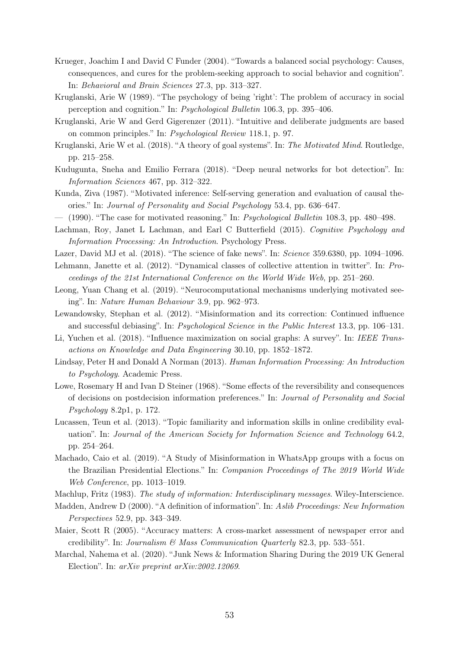- Krueger, Joachim I and David C Funder (2004). "Towards a balanced social psychology: Causes, consequences, and cures for the problem-seeking approach to social behavior and cognition". In: Behavioral and Brain Sciences 27.3, pp. 313–327.
- Kruglanski, Arie W (1989). "The psychology of being 'right': The problem of accuracy in social perception and cognition." In: Psychological Bulletin 106.3, pp. 395–406.
- Kruglanski, Arie W and Gerd Gigerenzer (2011). "Intuitive and deliberate judgments are based on common principles." In: Psychological Review 118.1, p. 97.
- Kruglanski, Arie W et al. (2018). "A theory of goal systems". In: The Motivated Mind. Routledge, pp. 215–258.
- Kudugunta, Sneha and Emilio Ferrara (2018). "Deep neural networks for bot detection". In: Information Sciences 467, pp. 312–322.
- Kunda, Ziva (1987). "Motivated inference: Self-serving generation and evaluation of causal theories." In: Journal of Personality and Social Psychology 53.4, pp. 636–647.
- $-$  (1990). "The case for motivated reasoning." In: *Psychological Bulletin* 108.3, pp. 480–498.
- Lachman, Roy, Janet L Lachman, and Earl C Butterfield (2015). Cognitive Psychology and Information Processing: An Introduction. Psychology Press.
- Lazer, David MJ et al. (2018). "The science of fake news". In: Science 359.6380, pp. 1094–1096.
- Lehmann, Janette et al. (2012). "Dynamical classes of collective attention in twitter". In: Proceedings of the 21st International Conference on the World Wide Web, pp. 251–260.
- Leong, Yuan Chang et al. (2019). "Neurocomputational mechanisms underlying motivated seeing". In: Nature Human Behaviour 3.9, pp. 962–973.
- Lewandowsky, Stephan et al. (2012). "Misinformation and its correction: Continued influence and successful debiasing". In: *Psychological Science in the Public Interest* 13.3, pp. 106–131.
- Li, Yuchen et al. (2018). "Influence maximization on social graphs: A survey". In: IEEE Transactions on Knowledge and Data Engineering 30.10, pp. 1852–1872.
- Lindsay, Peter H and Donald A Norman (2013). Human Information Processing: An Introduction to Psychology. Academic Press.
- Lowe, Rosemary H and Ivan D Steiner (1968). "Some effects of the reversibility and consequences of decisions on postdecision information preferences." In: Journal of Personality and Social Psychology 8.2p1, p. 172.
- Lucassen, Teun et al. (2013). "Topic familiarity and information skills in online credibility evaluation". In: Journal of the American Society for Information Science and Technology 64.2, pp. 254–264.
- Machado, Caio et al. (2019). "A Study of Misinformation in WhatsApp groups with a focus on the Brazilian Presidential Elections." In: Companion Proceedings of The 2019 World Wide Web Conference, pp. 1013–1019.
- Machlup, Fritz (1983). The study of information: Interdisciplinary messages. Wiley-Interscience.
- Madden, Andrew D (2000). "A definition of information". In: Aslib Proceedings: New Information Perspectives 52.9, pp. 343–349.
- Maier, Scott R (2005). "Accuracy matters: A cross-market assessment of newspaper error and credibility". In: Journalism  $\mathcal{B}$  Mass Communication Quarterly 82.3, pp. 533–551.
- Marchal, Nahema et al. (2020). "Junk News & Information Sharing During the 2019 UK General Election". In: *arXiv preprint arXiv:2002.12069*.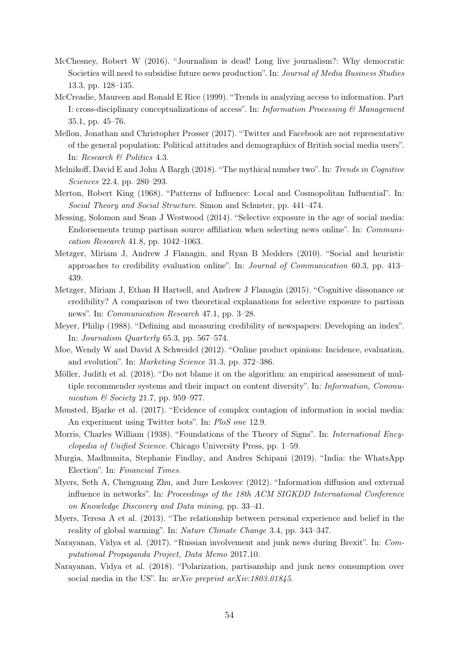- McChesney, Robert W (2016). "Journalism is dead! Long live journalism?: Why democratic Societies will need to subsidise future news production". In: Journal of Media Business Studies 13.3, pp. 128–135.
- McCreadie, Maureen and Ronald E Rice (1999). "Trends in analyzing access to information. Part I: cross-disciplinary conceptualizations of access". In: Information Processing & Management 35.1, pp. 45–76.
- Mellon, Jonathan and Christopher Prosser (2017). "Twitter and Facebook are not representative of the general population: Political attitudes and demographics of British social media users". In: Research & Politics 4.3.
- Melnikoff, David E and John A Bargh (2018). "The mythical number two". In: Trends in Cognitive Sciences 22.4, pp. 280–293.
- Merton, Robert King (1968). "Patterns of Influence: Local and Cosmopolitan Influential". In: Social Theory and Social Structure. Simon and Schuster, pp. 441–474.
- Messing, Solomon and Sean J Westwood (2014). "Selective exposure in the age of social media: Endorsements trump partisan source affiliation when selecting news online". In: Communication Research 41.8, pp. 1042–1063.
- Metzger, Miriam J, Andrew J Flanagin, and Ryan B Medders (2010). "Social and heuristic approaches to credibility evaluation online". In: Journal of Communication 60.3, pp. 413– 439.
- Metzger, Miriam J, Ethan H Hartsell, and Andrew J Flanagin (2015). "Cognitive dissonance or credibility? A comparison of two theoretical explanations for selective exposure to partisan news". In: Communication Research 47.1, pp. 3–28.
- Meyer, Philip (1988). "Defining and measuring credibility of newspapers: Developing an index". In: Journalism Quarterly 65.3, pp. 567–574.
- Moe, Wendy W and David A Schweidel (2012). "Online product opinions: Incidence, evaluation, and evolution". In: Marketing Science 31.3, pp. 372–386.
- Möller, Judith et al. (2018). "Do not blame it on the algorithm: an empirical assessment of multiple recommender systems and their impact on content diversity". In: Information, Communication  $\mathcal B$  Society 21.7, pp. 959–977.
- Mønsted, Bjarke et al. (2017). "Evidence of complex contagion of information in social media: An experiment using Twitter bots". In: PloS one 12.9.
- Morris, Charles William (1938). "Foundations of the Theory of Signs". In: International Encyclopedia of Unified Science. Chicago University Press, pp. 1–59.
- Murgia, Madhumita, Stephanie Findlay, and Andres Schipani (2019). "India: the WhatsApp Election". In: Financial Times.
- Myers, Seth A, Chenguang Zhu, and Jure Leskovec (2012). "Information diffusion and external influence in networks". In: Proceedings of the 18th ACM SIGKDD International Conference on Knowledge Discovery and Data mining, pp. 33–41.
- Myers, Teresa A et al. (2013). "The relationship between personal experience and belief in the reality of global warming". In: Nature Climate Change 3.4, pp. 343–347.
- Narayanan, Vidya et al. (2017). "Russian involvement and junk news during Brexit". In: Computational Propaganda Project, Data Memo 2017.10.
- Narayanan, Vidya et al. (2018). "Polarization, partisanship and junk news consumption over social media in the US". In: arXiv preprint arXiv:1803.01845.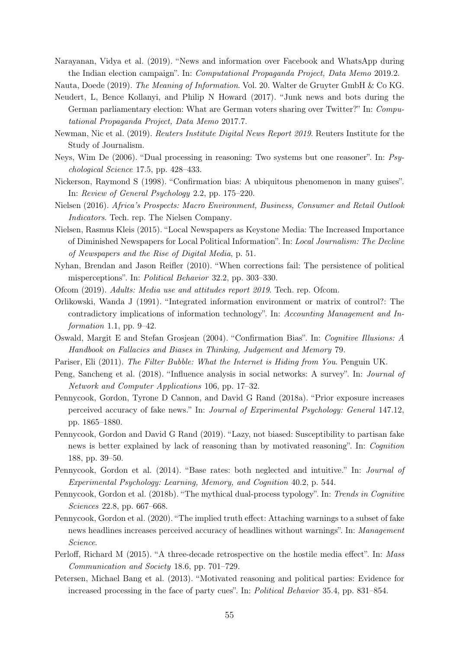Narayanan, Vidya et al. (2019). "News and information over Facebook and WhatsApp during the Indian election campaign". In: Computational Propaganda Project, Data Memo 2019.2.

Nauta, Doede (2019). The Meaning of Information. Vol. 20. Walter de Gruyter GmbH & Co KG.

- Neudert, L, Bence Kollanyi, and Philip N Howard (2017). "Junk news and bots during the German parliamentary election: What are German voters sharing over Twitter?" In: Computational Propaganda Project, Data Memo 2017.7.
- Newman, Nic et al. (2019). Reuters Institute Digital News Report 2019. Reuters Institute for the Study of Journalism.
- Neys, Wim De (2006). "Dual processing in reasoning: Two systems but one reasoner". In: Psychological Science 17.5, pp. 428–433.
- Nickerson, Raymond S (1998). "Confirmation bias: A ubiquitous phenomenon in many guises". In: Review of General Psychology 2.2, pp. 175–220.
- Nielsen (2016). Africa's Prospects: Macro Environment, Business, Consumer and Retail Outlook Indicators. Tech. rep. The Nielsen Company.
- Nielsen, Rasmus Kleis (2015). "Local Newspapers as Keystone Media: The Increased Importance of Diminished Newspapers for Local Political Information". In: Local Journalism: The Decline of Newspapers and the Rise of Digital Media, p. 51.
- Nyhan, Brendan and Jason Reifler (2010). "When corrections fail: The persistence of political misperceptions". In: Political Behavior 32.2, pp. 303–330.
- Ofcom (2019). Adults: Media use and attitudes report 2019. Tech. rep. Ofcom.
- Orlikowski, Wanda J (1991). "Integrated information environment or matrix of control?: The contradictory implications of information technology". In: Accounting Management and Information 1.1, pp.  $9-42$ .
- Oswald, Margit E and Stefan Grosjean (2004). "Confirmation Bias". In: Cognitive Illusions: A Handbook on Fallacies and Biases in Thinking, Judgement and Memory 79.
- Pariser, Eli (2011). The Filter Bubble: What the Internet is Hiding from You. Penguin UK.
- Peng, Sancheng et al. (2018). "Influence analysis in social networks: A survey". In: Journal of Network and Computer Applications 106, pp. 17–32.
- Pennycook, Gordon, Tyrone D Cannon, and David G Rand (2018a). "Prior exposure increases perceived accuracy of fake news." In: Journal of Experimental Psychology: General 147.12, pp. 1865–1880.
- Pennycook, Gordon and David G Rand (2019). "Lazy, not biased: Susceptibility to partisan fake news is better explained by lack of reasoning than by motivated reasoning". In: Cognition 188, pp. 39–50.
- Pennycook, Gordon et al. (2014). "Base rates: both neglected and intuitive." In: Journal of Experimental Psychology: Learning, Memory, and Cognition 40.2, p. 544.
- Pennycook, Gordon et al. (2018b). "The mythical dual-process typology". In: Trends in Cognitive Sciences 22.8, pp. 667–668.
- Pennycook, Gordon et al. (2020). "The implied truth effect: Attaching warnings to a subset of fake news headlines increases perceived accuracy of headlines without warnings". In: Management Science.
- Perloff, Richard M (2015). "A three-decade retrospective on the hostile media effect". In: Mass Communication and Society 18.6, pp. 701–729.
- Petersen, Michael Bang et al. (2013). "Motivated reasoning and political parties: Evidence for increased processing in the face of party cues". In: Political Behavior 35.4, pp. 831–854.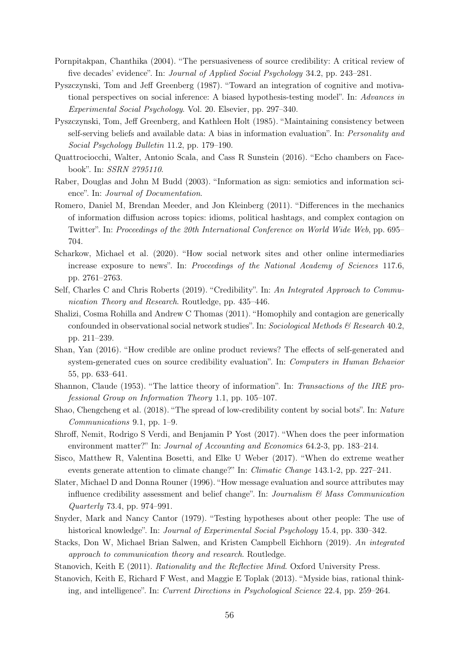- Pornpitakpan, Chanthika (2004). "The persuasiveness of source credibility: A critical review of five decades' evidence". In: Journal of Applied Social Psychology 34.2, pp. 243–281.
- Pyszczynski, Tom and Jeff Greenberg (1987). "Toward an integration of cognitive and motivational perspectives on social inference: A biased hypothesis-testing model". In: Advances in Experimental Social Psychology. Vol. 20. Elsevier, pp. 297–340.
- Pyszczynski, Tom, Jeff Greenberg, and Kathleen Holt (1985). "Maintaining consistency between self-serving beliefs and available data: A bias in information evaluation". In: Personality and Social Psychology Bulletin 11.2, pp. 179–190.
- Quattrociocchi, Walter, Antonio Scala, and Cass R Sunstein (2016). "Echo chambers on Facebook". In: SSRN 2795110.
- Raber, Douglas and John M Budd (2003). "Information as sign: semiotics and information science". In: Journal of Documentation.
- Romero, Daniel M, Brendan Meeder, and Jon Kleinberg (2011). "Differences in the mechanics of information diffusion across topics: idioms, political hashtags, and complex contagion on Twitter". In: Proceedings of the 20th International Conference on World Wide Web, pp. 695– 704.
- Scharkow, Michael et al. (2020). "How social network sites and other online intermediaries increase exposure to news". In: Proceedings of the National Academy of Sciences 117.6, pp. 2761–2763.
- Self, Charles C and Chris Roberts (2019). "Credibility". In: An Integrated Approach to Communication Theory and Research. Routledge, pp. 435–446.
- Shalizi, Cosma Rohilla and Andrew C Thomas (2011). "Homophily and contagion are generically confounded in observational social network studies". In: Sociological Methods  $\mathcal C$  Research 40.2, pp. 211–239.
- Shan, Yan (2016). "How credible are online product reviews? The effects of self-generated and system-generated cues on source credibility evaluation". In: Computers in Human Behavior 55, pp. 633–641.
- Shannon, Claude (1953). "The lattice theory of information". In: Transactions of the IRE professional Group on Information Theory 1.1, pp. 105–107.
- Shao, Chengcheng et al. (2018). "The spread of low-credibility content by social bots". In: Nature Communications 9.1, pp. 1–9.
- Shroff, Nemit, Rodrigo S Verdi, and Benjamin P Yost (2017). "When does the peer information environment matter?" In: *Journal of Accounting and Economics* 64.2-3, pp. 183–214.
- Sisco, Matthew R, Valentina Bosetti, and Elke U Weber (2017). "When do extreme weather events generate attention to climate change?" In: *Climatic Change* 143.1-2, pp. 227–241.
- Slater, Michael D and Donna Rouner (1996). "How message evaluation and source attributes may influence credibility assessment and belief change". In: Journalism  $\mathcal{B}$  Mass Communication Quarterly 73.4, pp. 974–991.
- Snyder, Mark and Nancy Cantor (1979). "Testing hypotheses about other people: The use of historical knowledge". In: *Journal of Experimental Social Psychology* 15.4, pp. 330–342.
- Stacks, Don W, Michael Brian Salwen, and Kristen Campbell Eichhorn (2019). An integrated approach to communication theory and research. Routledge.
- Stanovich, Keith E (2011). Rationality and the Reflective Mind. Oxford University Press.
- Stanovich, Keith E, Richard F West, and Maggie E Toplak (2013). "Myside bias, rational thinking, and intelligence". In: Current Directions in Psychological Science 22.4, pp. 259–264.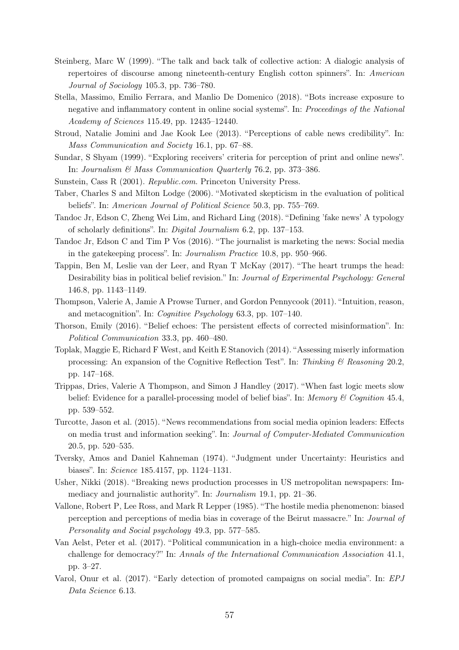- Steinberg, Marc W (1999). "The talk and back talk of collective action: A dialogic analysis of repertoires of discourse among nineteenth-century English cotton spinners". In: American Journal of Sociology 105.3, pp. 736–780.
- Stella, Massimo, Emilio Ferrara, and Manlio De Domenico (2018). "Bots increase exposure to negative and inflammatory content in online social systems". In: Proceedings of the National Academy of Sciences 115.49, pp. 12435–12440.
- Stroud, Natalie Jomini and Jae Kook Lee (2013). "Perceptions of cable news credibility". In: Mass Communication and Society 16.1, pp. 67–88.
- Sundar, S Shyam (1999). "Exploring receivers' criteria for perception of print and online news". In: Journalism & Mass Communication Quarterly 76.2, pp. 373–386.
- Sunstein, Cass R (2001). Republic.com. Princeton University Press.
- Taber, Charles S and Milton Lodge (2006). "Motivated skepticism in the evaluation of political beliefs". In: American Journal of Political Science 50.3, pp. 755–769.
- Tandoc Jr, Edson C, Zheng Wei Lim, and Richard Ling (2018). "Defining 'fake news' A typology of scholarly definitions". In: Digital Journalism 6.2, pp. 137–153.
- Tandoc Jr, Edson C and Tim P Vos (2016). "The journalist is marketing the news: Social media in the gatekeeping process". In: Journalism Practice 10.8, pp. 950–966.
- Tappin, Ben M, Leslie van der Leer, and Ryan T McKay (2017). "The heart trumps the head: Desirability bias in political belief revision." In: Journal of Experimental Psychology: General 146.8, pp. 1143–1149.
- Thompson, Valerie A, Jamie A Prowse Turner, and Gordon Pennycook (2011). "Intuition, reason, and metacognition". In: Cognitive Psychology 63.3, pp. 107–140.
- Thorson, Emily (2016). "Belief echoes: The persistent effects of corrected misinformation". In: Political Communication 33.3, pp. 460–480.
- Toplak, Maggie E, Richard F West, and Keith E Stanovich (2014). "Assessing miserly information processing: An expansion of the Cognitive Reflection Test". In: Thinking  $\mathcal{B}$  Reasoning 20.2, pp. 147–168.
- Trippas, Dries, Valerie A Thompson, and Simon J Handley (2017). "When fast logic meets slow belief: Evidence for a parallel-processing model of belief bias". In: Memory & Cognition 45.4, pp. 539–552.
- Turcotte, Jason et al. (2015). "News recommendations from social media opinion leaders: Effects on media trust and information seeking". In: Journal of Computer-Mediated Communication 20.5, pp. 520–535.
- Tversky, Amos and Daniel Kahneman (1974). "Judgment under Uncertainty: Heuristics and biases". In: Science 185.4157, pp. 1124–1131.
- Usher, Nikki (2018). "Breaking news production processes in US metropolitan newspapers: Immediacy and journalistic authority". In: Journalism 19.1, pp. 21–36.
- Vallone, Robert P, Lee Ross, and Mark R Lepper (1985). "The hostile media phenomenon: biased perception and perceptions of media bias in coverage of the Beirut massacre." In: Journal of Personality and Social psychology 49.3, pp. 577–585.
- Van Aelst, Peter et al. (2017). "Political communication in a high-choice media environment: a challenge for democracy?" In: Annals of the International Communication Association 41.1, pp. 3–27.
- Varol, Onur et al. (2017). "Early detection of promoted campaigns on social media". In: EPJ Data Science 6.13.